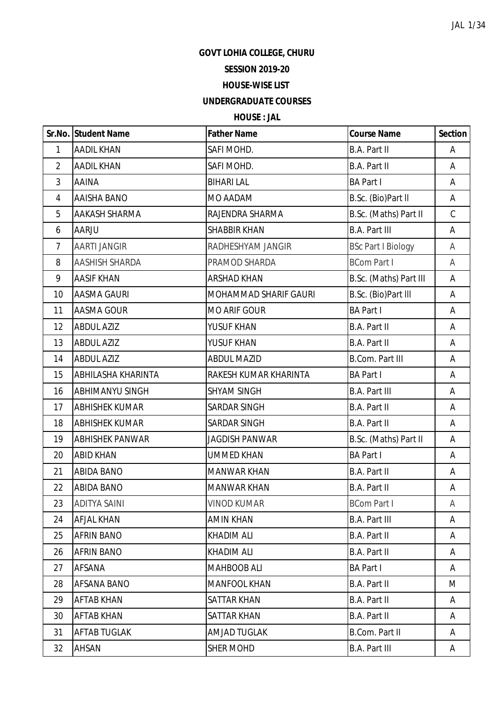**GOVT LOHIA COLLEGE, CHURU**

## **SESSION 2019-20**

## **HOUSE-WISE LIST**

## **UNDERGRADUATE COURSES**

## **HOUSE : JAL**

|                | Sr.No. Student Name    | <b>Father Name</b>           | <b>Course Name</b>        | <b>Section</b> |
|----------------|------------------------|------------------------------|---------------------------|----------------|
| 1              | <b>AADIL KHAN</b>      | SAFI MOHD.                   | B.A. Part II              | A              |
| $\overline{2}$ | <b>AADIL KHAN</b>      | SAFI MOHD.                   | <b>B.A. Part II</b>       | A              |
| 3              | <b>AAINA</b>           | <b>BIHARI LAL</b>            | <b>BA Part I</b>          | А              |
| $\overline{4}$ | <b>AAISHA BANO</b>     | MO AADAM                     | B.Sc. (Bio)Part II        | A              |
| 5              | AAKASH SHARMA          | RAJENDRA SHARMA              | B.Sc. (Maths) Part II     | $\mathsf C$    |
| 6              | AARJU                  | <b>SHABBIR KHAN</b>          | <b>B.A. Part III</b>      | Α              |
| $\overline{7}$ | <b>AARTI JANGIR</b>    | RADHESHYAM JANGIR            | <b>BSc Part I Biology</b> | A              |
| 8              | AASHISH SHARDA         | PRAMOD SHARDA                | <b>BCom Part I</b>        | A              |
| 9              | <b>AASIF KHAN</b>      | <b>ARSHAD KHAN</b>           | B.Sc. (Maths) Part III    | А              |
| 10             | <b>AASMA GAURI</b>     | <b>MOHAMMAD SHARIF GAURI</b> | B.Sc. (Bio)Part III       | А              |
| 11             | AASMA GOUR             | <b>MO ARIF GOUR</b>          | <b>BA Part I</b>          | Α              |
| 12             | <b>ABDUL AZIZ</b>      | YUSUF KHAN                   | B.A. Part II              | Α              |
| 13             | <b>ABDUL AZIZ</b>      | YUSUF KHAN                   | <b>B.A. Part II</b>       | Α              |
| 14             | <b>ABDUL AZIZ</b>      | <b>ABDUL MAZID</b>           | <b>B.Com. Part III</b>    | Α              |
| 15             | ABHILASHA KHARINTA     | RAKESH KUMAR KHARINTA        | <b>BA Part I</b>          | А              |
| 16             | <b>ABHIMANYU SINGH</b> | <b>SHYAM SINGH</b>           | <b>B.A. Part III</b>      | A              |
| 17             | <b>ABHISHEK KUMAR</b>  | <b>SARDAR SINGH</b>          | <b>B.A. Part II</b>       | A              |
| 18             | <b>ABHISHEK KUMAR</b>  | SARDAR SINGH                 | B.A. Part II              | A              |
| 19             | <b>ABHISHEK PANWAR</b> | <b>JAGDISH PANWAR</b>        | B.Sc. (Maths) Part II     | A              |
| 20             | <b>ABID KHAN</b>       | <b>UMMED KHAN</b>            | <b>BA Part I</b>          | Α              |
| 21             | <b>ABIDA BANO</b>      | <b>MANWAR KHAN</b>           | B.A. Part II              | Α              |
| 22             | <b>ABIDA BANO</b>      | <b>MANWAR KHAN</b>           | B.A. Part II              | A              |
| 23             | <b>ADITYA SAINI</b>    | <b>VINOD KUMAR</b>           | <b>BCom Part I</b>        | A              |
| 24             | <b>AFJAL KHAN</b>      | <b>AMIN KHAN</b>             | <b>B.A. Part III</b>      | A              |
| 25             | AFRIN BANO             | <b>KHADIM ALI</b>            | B.A. Part II              | A              |
| 26             | AFRIN BANO             | <b>KHADIM ALI</b>            | B.A. Part II              | A              |
| 27             | AFSANA                 | MAHBOOB ALI                  | <b>BA Part I</b>          | A              |
| 28             | <b>AFSANA BANO</b>     | <b>MANFOOL KHAN</b>          | B.A. Part II              | M              |
| 29             | <b>AFTAB KHAN</b>      | <b>SATTAR KHAN</b>           | B.A. Part II              | A              |
| 30             | AFTAB KHAN             | SATTAR KHAN                  | B.A. Part II              | A              |
| 31             | <b>AFTAB TUGLAK</b>    | <b>AMJAD TUGLAK</b>          | B.Com. Part II            | A              |
| 32             | AHSAN                  | SHER MOHD                    | <b>B.A. Part III</b>      | A              |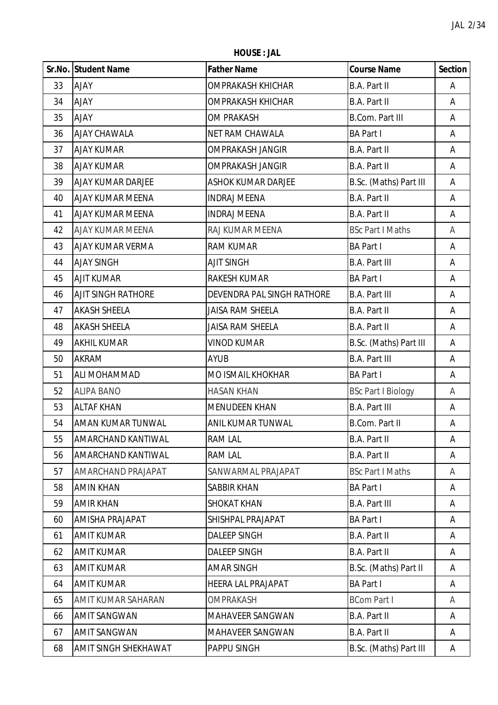**HOUSE : JAL**

|    | Sr.No. Student Name       | <b>Father Name</b>         | <b>Course Name</b>        | <b>Section</b> |
|----|---------------------------|----------------------------|---------------------------|----------------|
| 33 | <b>AJAY</b>               | <b>OMPRAKASH KHICHAR</b>   | B.A. Part II              | Α              |
| 34 | <b>AJAY</b>               | <b>OMPRAKASH KHICHAR</b>   | B.A. Part II              | Α              |
| 35 | <b>AJAY</b>               | <b>OM PRAKASH</b>          | <b>B.Com. Part III</b>    | Α              |
| 36 | AJAY CHAWALA              | <b>NET RAM CHAWALA</b>     | <b>BA Part I</b>          | Α              |
| 37 | <b>AJAY KUMAR</b>         | <b>OMPRAKASH JANGIR</b>    | B.A. Part II              | A              |
| 38 | <b>AJAY KUMAR</b>         | <b>OMPRAKASH JANGIR</b>    | B.A. Part II              | Α              |
| 39 | AJAY KUMAR DARJEE         | <b>ASHOK KUMAR DARJEE</b>  | B.Sc. (Maths) Part III    | Α              |
| 40 | <b>AJAY KUMAR MEENA</b>   | <b>INDRAJ MEENA</b>        | B.A. Part II              | Α              |
| 41 | AJAY KUMAR MEENA          | <b>INDRAJ MEENA</b>        | B.A. Part II              | Α              |
| 42 | <b>AJAY KUMAR MEENA</b>   | RAJ KUMAR MEENA            | <b>BSc Part I Maths</b>   | A              |
| 43 | AJAY KUMAR VERMA          | <b>RAM KUMAR</b>           | <b>BA Part I</b>          | Α              |
| 44 | <b>AJAY SINGH</b>         | <b>AJIT SINGH</b>          | <b>B.A. Part III</b>      | A              |
| 45 | <b>AJIT KUMAR</b>         | <b>RAKESH KUMAR</b>        | <b>BA Part I</b>          | Α              |
| 46 | <b>AJIT SINGH RATHORE</b> | DEVENDRA PAL SINGH RATHORE | <b>B.A. Part III</b>      | Α              |
| 47 | <b>AKASH SHEELA</b>       | JAISA RAM SHEELA           | B.A. Part II              | A              |
| 48 | <b>AKASH SHEELA</b>       | <b>JAISA RAM SHEELA</b>    | <b>B.A. Part II</b>       | Α              |
| 49 | <b>AKHIL KUMAR</b>        | <b>VINOD KUMAR</b>         | B.Sc. (Maths) Part III    | Α              |
| 50 | AKRAM                     | <b>AYUB</b>                | <b>B.A. Part III</b>      | A              |
| 51 | ALI MOHAMMAD              | MO ISMAIL KHOKHAR          | <b>BA Part I</b>          | Α              |
| 52 | <b>ALIPA BANO</b>         | <b>HASAN KHAN</b>          | <b>BSc Part I Biology</b> | A              |
| 53 | <b>ALTAF KHAN</b>         | <b>MENUDEEN KHAN</b>       | <b>B.A. Part III</b>      | A              |
| 54 | AMAN KUMAR TUNWAL         | ANIL KUMAR TUNWAL          | B.Com. Part II            | A              |
| 55 | <b>AMARCHAND KANTIWAL</b> | <b>RAM LAL</b>             | <b>B.A. Part II</b>       | A              |
| 56 | AMARCHAND KANTIWAL        | <b>RAM LAL</b>             | B.A. Part II              | Α              |
| 57 | AMARCHAND PRAJAPAT        | SANWARMAL PRAJAPAT         | <b>BSc Part I Maths</b>   | A              |
| 58 | <b>AMIN KHAN</b>          | <b>SABBIR KHAN</b>         | <b>BA Part I</b>          | A              |
| 59 | <b>AMIR KHAN</b>          | <b>SHOKAT KHAN</b>         | <b>B.A. Part III</b>      | A              |
| 60 | AMISHA PRAJAPAT           | SHISHPAL PRAJAPAT          | <b>BA Part I</b>          | A              |
| 61 | <b>AMIT KUMAR</b>         | <b>DALEEP SINGH</b>        | B.A. Part II              | A              |
| 62 | <b>AMIT KUMAR</b>         | <b>DALEEP SINGH</b>        | B.A. Part II              | Α              |
| 63 | <b>AMIT KUMAR</b>         | <b>AMAR SINGH</b>          | B.Sc. (Maths) Part II     | Α              |
| 64 | <b>AMIT KUMAR</b>         | <b>HEERA LAL PRAJAPAT</b>  | <b>BA Part I</b>          | A              |
| 65 | AMIT KUMAR SAHARAN        | <b>OMPRAKASH</b>           | <b>BCom Part I</b>        | A              |
| 66 | <b>AMIT SANGWAN</b>       | <b>MAHAVEER SANGWAN</b>    | B.A. Part II              | A              |
| 67 | AMIT SANGWAN              | <b>MAHAVEER SANGWAN</b>    | <b>B.A. Part II</b>       | A              |
| 68 | AMIT SINGH SHEKHAWAT      | PAPPU SINGH                | B.Sc. (Maths) Part III    | A              |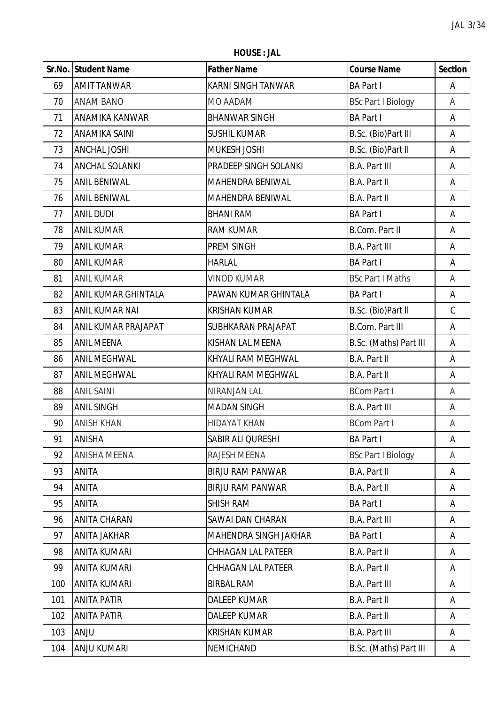**HOUSE : JAL**

|     | Sr.No. Student Name   | <b>Father Name</b>        | <b>Course Name</b>        | <b>Section</b> |
|-----|-----------------------|---------------------------|---------------------------|----------------|
| 69  | <b>AMIT TANWAR</b>    | KARNI SINGH TANWAR        | <b>BA Part I</b>          | Α              |
| 70  | <b>ANAM BANO</b>      | MO AADAM                  | <b>BSc Part I Biology</b> | A              |
| 71  | <b>ANAMIKA KANWAR</b> | <b>BHANWAR SINGH</b>      | <b>BA Part I</b>          | Α              |
| 72  | <b>ANAMIKA SAINI</b>  | <b>SUSHIL KUMAR</b>       | B.Sc. (Bio)Part III       | Α              |
| 73  | <b>ANCHAL JOSHI</b>   | <b>MUKESH JOSHI</b>       | B.Sc. (Bio)Part II        | Α              |
| 74  | <b>ANCHAL SOLANKI</b> | PRADEEP SINGH SOLANKI     | <b>B.A. Part III</b>      | A              |
| 75  | <b>ANIL BENIWAL</b>   | MAHENDRA BENIWAL          | B.A. Part II              | Α              |
| 76  | <b>ANIL BENIWAL</b>   | MAHENDRA BENIWAL          | B.A. Part II              | Α              |
| 77  | <b>ANIL DUDI</b>      | <b>BHANI RAM</b>          | <b>BA Part I</b>          | Α              |
| 78  | <b>ANIL KUMAR</b>     | <b>RAM KUMAR</b>          | <b>B.Com. Part II</b>     | Α              |
| 79  | <b>ANIL KUMAR</b>     | PREM SINGH                | <b>B.A. Part III</b>      | Α              |
| 80  | <b>ANIL KUMAR</b>     | <b>HARLAL</b>             | <b>BA Part I</b>          | Α              |
| 81  | <b>ANIL KUMAR</b>     | <b>VINOD KUMAR</b>        | <b>BSc Part I Maths</b>   | A              |
| 82  | ANIL KUMAR GHINTALA   | PAWAN KUMAR GHINTALA      | <b>BA Part I</b>          | Α              |
| 83  | <b>ANIL KUMAR NAI</b> | <b>KRISHAN KUMAR</b>      | B.Sc. (Bio)Part II        | $\mathsf C$    |
| 84  | ANIL KUMAR PRAJAPAT   | SUBHKARAN PRAJAPAT        | <b>B.Com. Part III</b>    | Α              |
| 85  | <b>ANIL MEENA</b>     | KISHAN LAL MEENA          | B.Sc. (Maths) Part III    | Α              |
| 86  | <b>ANIL MEGHWAL</b>   | KHYALI RAM MEGHWAL        | B.A. Part II              | A              |
| 87  | <b>ANIL MEGHWAL</b>   | KHYALI RAM MEGHWAL        | B.A. Part II              | Α              |
| 88  | <b>ANIL SAINI</b>     | NIRANJAN LAL              | <b>BCom Part I</b>        | A              |
| 89  | <b>ANIL SINGH</b>     | <b>MADAN SINGH</b>        | <b>B.A. Part III</b>      | Α              |
| 90  | <b>ANISH KHAN</b>     | <b>HIDAYAT KHAN</b>       | <b>BCom Part I</b>        | A              |
| 91  | <b>ANISHA</b>         | SABIR ALI QURESHI         | <b>BA Part I</b>          | Α              |
| 92  | <b>ANISHA MEENA</b>   | RAJESH MEENA              | <b>BSc Part I Biology</b> | A              |
| 93  | <b>ANITA</b>          | <b>BIRJU RAM PANWAR</b>   | B.A. Part II              | A              |
| 94  | <b>ANITA</b>          | <b>BIRJU RAM PANWAR</b>   | <b>B.A. Part II</b>       | A              |
| 95  | <b>ANITA</b>          | <b>SHISH RAM</b>          | <b>BA Part I</b>          | Α              |
| 96  | <b>ANITA CHARAN</b>   | SAWAI DAN CHARAN          | <b>B.A. Part III</b>      | A              |
| 97  | <b>ANITA JAKHAR</b>   | MAHENDRA SINGH JAKHAR     | <b>BA Part I</b>          | A              |
| 98  | ANITA KUMARI          | <b>CHHAGAN LAL PATEER</b> | <b>B.A. Part II</b>       | Α              |
| 99  | <b>ANITA KUMARI</b>   | <b>CHHAGAN LAL PATEER</b> | <b>B.A. Part II</b>       | Α              |
| 100 | <b>ANITA KUMARI</b>   | <b>BIRBAL RAM</b>         | <b>B.A. Part III</b>      | A              |
| 101 | <b>ANITA PATIR</b>    | <b>DALEEP KUMAR</b>       | <b>B.A. Part II</b>       | A              |
| 102 | <b>ANITA PATIR</b>    | <b>DALEEP KUMAR</b>       | B.A. Part II              | A              |
| 103 | <b>ANJU</b>           | <b>KRISHAN KUMAR</b>      | <b>B.A. Part III</b>      | A              |
| 104 | <b>ANJU KUMARI</b>    | NEMICHAND                 | B.Sc. (Maths) Part III    | A              |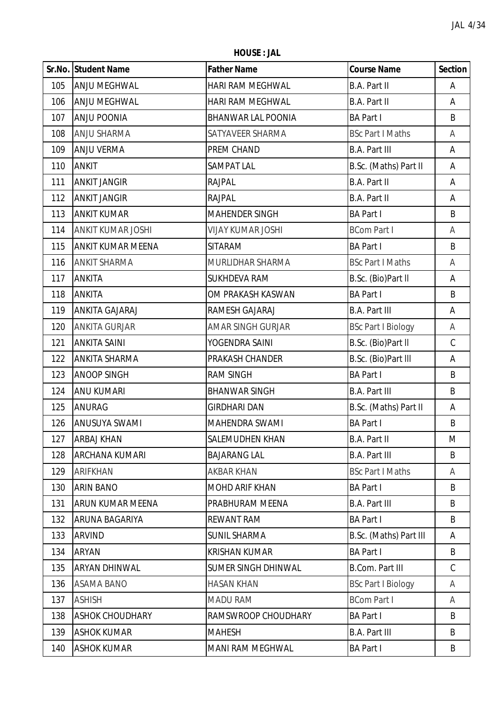**HOUSE : JAL**

|     | Sr.No. Student Name      | <b>Father Name</b>         | <b>Course Name</b>        | <b>Section</b> |
|-----|--------------------------|----------------------------|---------------------------|----------------|
| 105 | ANJU MEGHWAL             | HARI RAM MEGHWAL           | B.A. Part II              | Α              |
| 106 | <b>ANJU MEGHWAL</b>      | HARI RAM MEGHWAL           | <b>B.A. Part II</b>       | Α              |
| 107 | <b>ANJU POONIA</b>       | <b>BHANWAR LAL POONIA</b>  | <b>BA Part I</b>          | B              |
| 108 | <b>ANJU SHARMA</b>       | SATYAVEER SHARMA           | <b>BSc Part I Maths</b>   | A              |
| 109 | <b>ANJU VERMA</b>        | PREM CHAND                 | <b>B.A. Part III</b>      | A              |
| 110 | <b>ANKIT</b>             | SAMPAT LAL                 | B.Sc. (Maths) Part II     | Α              |
| 111 | <b>ANKIT JANGIR</b>      | <b>RAJPAL</b>              | <b>B.A. Part II</b>       | Α              |
| 112 | <b>ANKIT JANGIR</b>      | RAJPAL                     | B.A. Part II              | Α              |
| 113 | <b>ANKIT KUMAR</b>       | <b>MAHENDER SINGH</b>      | <b>BA Part I</b>          | B              |
| 114 | <b>ANKIT KUMAR JOSHI</b> | <b>VIJAY KUMAR JOSHI</b>   | <b>BCom Part I</b>        | A              |
| 115 | ANKIT KUMAR MEENA        | SITARAM                    | <b>BA Part I</b>          | B              |
| 116 | <b>ANKIT SHARMA</b>      | MURLIDHAR SHARMA           | <b>BSc Part I Maths</b>   | A              |
| 117 | <b>ANKITA</b>            | <b>SUKHDEVA RAM</b>        | B.Sc. (Bio)Part II        | Α              |
| 118 | ANKITA                   | OM PRAKASH KASWAN          | <b>BA Part I</b>          | B              |
| 119 | <b>ANKITA GAJARAJ</b>    | RAMESH GAJARAJ             | <b>B.A. Part III</b>      | A              |
| 120 | <b>ANKITA GURJAR</b>     | <b>AMAR SINGH GURJAR</b>   | <b>BSc Part I Biology</b> | A              |
| 121 | <b>ANKITA SAINI</b>      | YOGENDRA SAINI             | B.Sc. (Bio)Part II        | $\mathsf C$    |
| 122 | <b>ANKITA SHARMA</b>     | PRAKASH CHANDER            | B.Sc. (Bio)Part III       | Α              |
| 123 | <b>ANOOP SINGH</b>       | <b>RAM SINGH</b>           | <b>BA Part I</b>          | B              |
| 124 | <b>ANU KUMARI</b>        | <b>BHANWAR SINGH</b>       | <b>B.A. Part III</b>      | B              |
| 125 | ANURAG                   | <b>GIRDHARI DAN</b>        | B.Sc. (Maths) Part II     | Α              |
| 126 | <b>ANUSUYA SWAMI</b>     | MAHENDRA SWAMI             | <b>BA Part I</b>          | B              |
| 127 | <b>ARBAJ KHAN</b>        | SALEMUDHEN KHAN            | <b>B.A. Part II</b>       | M              |
| 128 | ARCHANA KUMARI           | <b>BAJARANG LAL</b>        | <b>B.A. Part III</b>      | B              |
| 129 | <b>ARIFKHAN</b>          | <b>AKBAR KHAN</b>          | <b>BSc Part I Maths</b>   | A              |
| 130 | <b>ARIN BANO</b>         | <b>MOHD ARIF KHAN</b>      | <b>BA Part I</b>          | B              |
| 131 | ARUN KUMAR MEENA         | PRABHURAM MEENA            | <b>B.A. Part III</b>      | B              |
| 132 | ARUNA BAGARIYA           | <b>REWANT RAM</b>          | <b>BA Part I</b>          | B              |
| 133 | ARVIND                   | <b>SUNIL SHARMA</b>        | B.Sc. (Maths) Part III    | Α              |
| 134 | ARYAN                    | <b>KRISHAN KUMAR</b>       | <b>BA Part I</b>          | B              |
| 135 | ARYAN DHINWAL            | <b>SUMER SINGH DHINWAL</b> | <b>B.Com. Part III</b>    | C              |
| 136 | <b>ASAMA BANO</b>        | <b>HASAN KHAN</b>          | <b>BSc Part I Biology</b> | A              |
| 137 | <b>ASHISH</b>            | <b>MADU RAM</b>            | <b>BCom Part I</b>        | A              |
| 138 | <b>ASHOK CHOUDHARY</b>   | RAMSWROOP CHOUDHARY        | <b>BA Part I</b>          | B              |
| 139 | <b>ASHOK KUMAR</b>       | <b>MAHESH</b>              | <b>B.A. Part III</b>      | B              |
| 140 | <b>ASHOK KUMAR</b>       | <b>MANI RAM MEGHWAL</b>    | <b>BA Part I</b>          | Β              |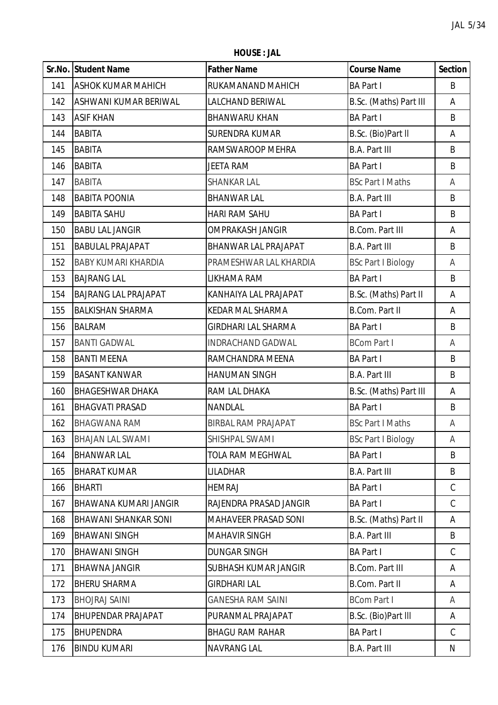**HOUSE : JAL**

|     | Sr.No. Student Name         | <b>Father Name</b>          | <b>Course Name</b>        | <b>Section</b> |
|-----|-----------------------------|-----------------------------|---------------------------|----------------|
| 141 | <b>ASHOK KUMAR MAHICH</b>   | RUKAMANAND MAHICH           | <b>BA Part I</b>          | B              |
| 142 | ASHWANI KUMAR BERIWAL       | <b>LALCHAND BERIWAL</b>     | B.Sc. (Maths) Part III    | Α              |
| 143 | <b>ASIF KHAN</b>            | <b>BHANWARU KHAN</b>        | <b>BA Part I</b>          | B              |
| 144 | <b>BABITA</b>               | <b>SURENDRA KUMAR</b>       | B.Sc. (Bio)Part II        | А              |
| 145 | <b>BABITA</b>               | RAMSWAROOP MEHRA            | <b>B.A. Part III</b>      | B              |
| 146 | <b>BABITA</b>               | <b>JEETA RAM</b>            | <b>BA Part I</b>          | B              |
| 147 | <b>BABITA</b>               | <b>SHANKAR LAL</b>          | <b>BSc Part I Maths</b>   | A              |
| 148 | <b>BABITA POONIA</b>        | <b>BHANWAR LAL</b>          | <b>B.A. Part III</b>      | B              |
| 149 | <b>BABITA SAHU</b>          | <b>HARI RAM SAHU</b>        | <b>BA Part I</b>          | B              |
| 150 | <b>BABU LAL JANGIR</b>      | <b>OMPRAKASH JANGIR</b>     | <b>B.Com. Part III</b>    | Α              |
| 151 | <b>BABULAL PRAJAPAT</b>     | <b>BHANWAR LAL PRAJAPAT</b> | <b>B.A. Part III</b>      | B              |
| 152 | <b>BABY KUMARI KHARDIA</b>  | PRAMESHWAR LAL KHARDIA      | <b>BSc Part I Biology</b> | A              |
| 153 | <b>BAJRANG LAL</b>          | LIKHAMA RAM                 | <b>BA Part I</b>          | B              |
| 154 | <b>BAJRANG LAL PRAJAPAT</b> | KANHAIYA LAL PRAJAPAT       | B.Sc. (Maths) Part II     | А              |
| 155 | <b>BALKISHAN SHARMA</b>     | <b>KEDAR MAL SHARMA</b>     | <b>B.Com. Part II</b>     | Α              |
| 156 | <b>BALRAM</b>               | <b>GIRDHARI LAL SHARMA</b>  | <b>BA Part I</b>          | B              |
| 157 | <b>BANTI GADWAL</b>         | <b>INDRACHAND GADWAL</b>    | <b>BCom Part I</b>        | A              |
| 158 | <b>BANTI MEENA</b>          | RAMCHANDRA MEENA            | <b>BA Part I</b>          | B              |
| 159 | <b>BASANT KANWAR</b>        | <b>HANUMAN SINGH</b>        | <b>B.A. Part III</b>      | B              |
| 160 | <b>BHAGESHWAR DHAKA</b>     | RAM LAL DHAKA               | B.Sc. (Maths) Part III    | Α              |
| 161 | <b>BHAGVATI PRASAD</b>      | NANDLAL                     | <b>BA Part I</b>          | B              |
| 162 | <b>BHAGWANA RAM</b>         | <b>BIRBAL RAM PRAJAPAT</b>  | <b>BSc Part I Maths</b>   | Α              |
| 163 | <b>BHAJAN LAL SWAMI</b>     | SHISHPAL SWAMI              | <b>BSc Part I Biology</b> | A              |
| 164 | <b>BHANWAR LAL</b>          | <b>TOLA RAM MEGHWAL</b>     | <b>BA Part I</b>          | B              |
| 165 | <b>BHARAT KUMAR</b>         | LILADHAR                    | <b>B.A. Part III</b>      | B              |
| 166 | <b>BHARTI</b>               | <b>HEMRAJ</b>               | <b>BA Part I</b>          | $\mathcal{C}$  |
| 167 | BHAWANA KUMARI JANGIR       | RAJENDRA PRASAD JANGIR      | <b>BA Part I</b>          | $\mathcal{C}$  |
| 168 | <b>BHAWANI SHANKAR SONI</b> | <b>MAHAVEER PRASAD SONI</b> | B.Sc. (Maths) Part II     | Α              |
| 169 | <b>BHAWANI SINGH</b>        | <b>MAHAVIR SINGH</b>        | <b>B.A. Part III</b>      | B              |
| 170 | <b>BHAWANI SINGH</b>        | <b>DUNGAR SINGH</b>         | <b>BA Part I</b>          | C              |
| 171 | <b>BHAWNA JANGIR</b>        | SUBHASH KUMAR JANGIR        | <b>B.Com. Part III</b>    | Α              |
| 172 | <b>BHERU SHARMA</b>         | <b>GIRDHARI LAL</b>         | <b>B.Com. Part II</b>     | Α              |
| 173 | <b>BHOJRAJ SAINI</b>        | <b>GANESHA RAM SAINI</b>    | <b>BCom Part I</b>        | A              |
| 174 | <b>BHUPENDAR PRAJAPAT</b>   | PURANMAL PRAJAPAT           | B.Sc. (Bio)Part III       | Α              |
| 175 | <b>BHUPENDRA</b>            | <b>BHAGU RAM RAHAR</b>      | <b>BA Part I</b>          | C              |
| 176 | <b>BINDU KUMARI</b>         | <b>NAVRANG LAL</b>          | <b>B.A. Part III</b>      | N              |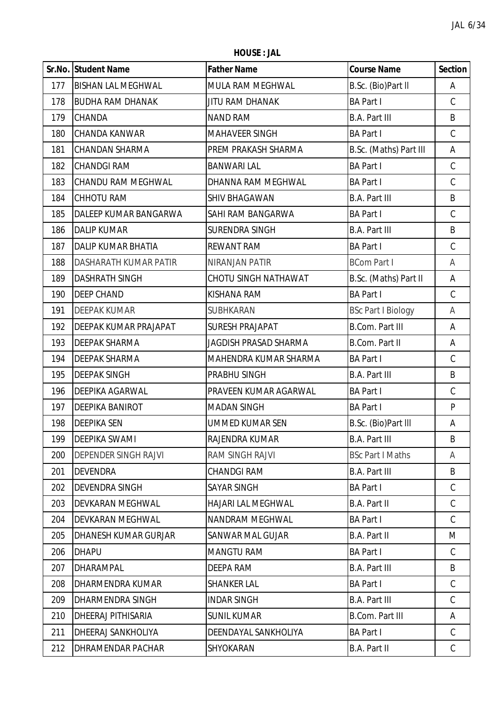**HOUSE : JAL**

|     | Sr.No. Student Name       | <b>Father Name</b>        | <b>Course Name</b>        | <b>Section</b> |
|-----|---------------------------|---------------------------|---------------------------|----------------|
| 177 | <b>BISHAN LAL MEGHWAL</b> | MULA RAM MEGHWAL          | B.Sc. (Bio)Part II        | Α              |
| 178 | <b>BUDHA RAM DHANAK</b>   | <b>JITU RAM DHANAK</b>    | <b>BA Part I</b>          | $\mathcal{C}$  |
| 179 | <b>CHANDA</b>             | <b>NAND RAM</b>           | <b>B.A. Part III</b>      | B              |
| 180 | CHANDA KANWAR             | MAHAVEER SINGH            | <b>BA Part I</b>          | $\mathsf C$    |
| 181 | <b>CHANDAN SHARMA</b>     | PREM PRAKASH SHARMA       | B.Sc. (Maths) Part III    | А              |
| 182 | <b>CHANDGI RAM</b>        | <b>BANWARI LAL</b>        | <b>BA Part I</b>          | C              |
| 183 | <b>CHANDU RAM MEGHWAL</b> | DHANNA RAM MEGHWAL        | <b>BA Part I</b>          | $\mathsf C$    |
| 184 | <b>CHHOTU RAM</b>         | SHIV BHAGAWAN             | <b>B.A. Part III</b>      | B              |
| 185 | DALEEP KUMAR BANGARWA     | SAHI RAM BANGARWA         | <b>BA Part I</b>          | $\mathsf C$    |
| 186 | <b>DALIP KUMAR</b>        | <b>SURENDRA SINGH</b>     | <b>B.A. Part III</b>      | B              |
| 187 | DALIP KUMAR BHATIA        | <b>REWANT RAM</b>         | <b>BA Part I</b>          | $\mathsf C$    |
| 188 | DASHARATH KUMAR PATIR     | <b>NIRANJAN PATIR</b>     | <b>BCom Part I</b>        | A              |
| 189 | <b>DASHRATH SINGH</b>     | CHOTU SINGH NATHAWAT      | B.Sc. (Maths) Part II     | Α              |
| 190 | <b>DEEP CHAND</b>         | KISHANA RAM               | <b>BA Part I</b>          | $\mathsf C$    |
| 191 | <b>DEEPAK KUMAR</b>       | SUBHKARAN                 | <b>BSc Part I Biology</b> | A              |
| 192 | DEEPAK KUMAR PRAJAPAT     | <b>SURESH PRAJAPAT</b>    | <b>B.Com. Part III</b>    | А              |
| 193 | <b>DEEPAK SHARMA</b>      | JAGDISH PRASAD SHARMA     | <b>B.Com. Part II</b>     | Α              |
| 194 | DEEPAK SHARMA             | MAHENDRA KUMAR SHARMA     | <b>BA Part I</b>          | $\mathsf C$    |
| 195 | <b>DEEPAK SINGH</b>       | PRABHU SINGH              | <b>B.A. Part III</b>      | B              |
| 196 | DEEPIKA AGARWAL           | PRAVEEN KUMAR AGARWAL     | <b>BA Part I</b>          | $\mathsf C$    |
| 197 | DEEPIKA BANIROT           | <b>MADAN SINGH</b>        | <b>BA Part I</b>          | P              |
| 198 | <b>DEEPIKA SEN</b>        | <b>UMMED KUMAR SEN</b>    | B.Sc. (Bio)Part III       | А              |
| 199 | <b>DEEPIKA SWAMI</b>      | RAJENDRA KUMAR            | <b>B.A. Part III</b>      | B              |
| 200 | DEPENDER SINGH RAJVI      | <b>RAM SINGH RAJVI</b>    | <b>BSc Part I Maths</b>   | A              |
| 201 | <b>DEVENDRA</b>           | <b>CHANDGI RAM</b>        | <b>B.A. Part III</b>      | B              |
| 202 | <b>DEVENDRA SINGH</b>     | <b>SAYAR SINGH</b>        | <b>BA Part I</b>          | C              |
| 203 | DEVKARAN MEGHWAL          | <b>HAJARI LAL MEGHWAL</b> | <b>B.A. Part II</b>       | $\mathcal{C}$  |
| 204 | DEVKARAN MEGHWAL          | <b>NANDRAM MEGHWAL</b>    | <b>BA Part I</b>          | C              |
| 205 | DHANESH KUMAR GURJAR      | <b>SANWAR MAL GUJAR</b>   | <b>B.A. Part II</b>       | M              |
| 206 | <b>DHAPU</b>              | <b>MANGTU RAM</b>         | <b>BA Part I</b>          | C              |
| 207 | DHARAMPAL                 | DEEPA RAM                 | <b>B.A. Part III</b>      | B              |
| 208 | DHARMENDRA KUMAR          | <b>SHANKER LAL</b>        | <b>BA Part I</b>          | C              |
| 209 | DHARMENDRA SINGH          | <b>INDAR SINGH</b>        | <b>B.A. Part III</b>      | C              |
| 210 | DHEERAJ PITHISARIA        | <b>SUNIL KUMAR</b>        | <b>B.Com. Part III</b>    | A              |
| 211 | DHEERAJ SANKHOLIYA        | DEENDAYAL SANKHOLIYA      | <b>BA Part I</b>          | C              |
| 212 | DHRAMENDAR PACHAR         | SHYOKARAN                 | <b>B.A. Part II</b>       | C              |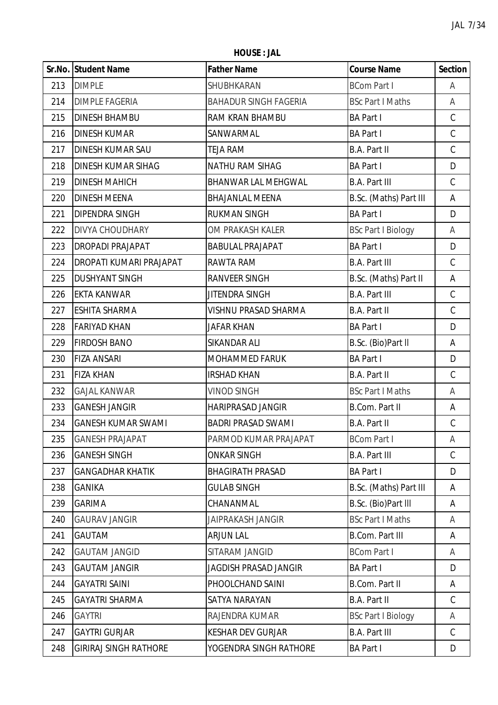**HOUSE : JAL**

|     | Sr.No. Student Name          | <b>Father Name</b>           | <b>Course Name</b>        | <b>Section</b> |
|-----|------------------------------|------------------------------|---------------------------|----------------|
| 213 | <b>DIMPLE</b>                | SHUBHKARAN                   | <b>BCom Part I</b>        | A              |
| 214 | <b>DIMPLE FAGERIA</b>        | <b>BAHADUR SINGH FAGERIA</b> | <b>BSc Part I Maths</b>   | A              |
| 215 | <b>DINESH BHAMBU</b>         | RAM KRAN BHAMBU              | <b>BA Part I</b>          | $\mathsf C$    |
| 216 | <b>DINESH KUMAR</b>          | SANWARMAL                    | <b>BA Part I</b>          | $\mathsf C$    |
| 217 | <b>DINESH KUMAR SAU</b>      | <b>TEJA RAM</b>              | <b>B.A. Part II</b>       | $\mathsf C$    |
| 218 | <b>DINESH KUMAR SIHAG</b>    | <b>NATHU RAM SIHAG</b>       | <b>BA Part I</b>          | D              |
| 219 | <b>DINESH MAHICH</b>         | BHANWAR LAL MEHGWAL          | <b>B.A. Part III</b>      | $\mathsf C$    |
| 220 | <b>DINESH MEENA</b>          | <b>BHAJANLAL MEENA</b>       | B.Sc. (Maths) Part III    | А              |
| 221 | DIPENDRA SINGH               | <b>RUKMAN SINGH</b>          | <b>BA Part I</b>          | D              |
| 222 | <b>DIVYA CHOUDHARY</b>       | OM PRAKASH KALER             | <b>BSc Part I Biology</b> | A              |
| 223 | <b>DROPADI PRAJAPAT</b>      | <b>BABULAL PRAJAPAT</b>      | <b>BA Part I</b>          | D              |
| 224 | DROPATI KUMARI PRAJAPAT      | RAWTA RAM                    | <b>B.A. Part III</b>      | $\mathsf C$    |
| 225 | <b>DUSHYANT SINGH</b>        | <b>RANVEER SINGH</b>         | B.Sc. (Maths) Part II     | А              |
| 226 | <b>EKTA KANWAR</b>           | JITENDRA SINGH               | <b>B.A. Part III</b>      | $\mathsf C$    |
| 227 | <b>ESHITA SHARMA</b>         | <b>VISHNU PRASAD SHARMA</b>  | <b>B.A. Part II</b>       | $\mathsf C$    |
| 228 | <b>FARIYAD KHAN</b>          | <b>JAFAR KHAN</b>            | <b>BA Part I</b>          | D              |
| 229 | <b>FIRDOSH BANO</b>          | SIKANDAR ALI                 | B.Sc. (Bio)Part II        | А              |
| 230 | <b>FIZA ANSARI</b>           | MOHAMMED FARUK               | <b>BA Part I</b>          | D              |
| 231 | <b>FIZA KHAN</b>             | <b>IRSHAD KHAN</b>           | <b>B.A. Part II</b>       | $\mathsf C$    |
| 232 | <b>GAJAL KANWAR</b>          | <b>VINOD SINGH</b>           | <b>BSc Part I Maths</b>   | A              |
| 233 | <b>GANESH JANGIR</b>         | <b>HARIPRASAD JANGIR</b>     | <b>B.Com. Part II</b>     | Α              |
| 234 | <b>GANESH KUMAR SWAMI</b>    | <b>BADRI PRASAD SWAMI</b>    | B.A. Part II              | $\mathsf C$    |
| 235 | <b>GANESH PRAJAPAT</b>       | PARMOD KUMAR PRAJAPAT        | <b>BCom Part I</b>        | A              |
| 236 | <b>GANESH SINGH</b>          | <b>ONKAR SINGH</b>           | <b>B.A. Part III</b>      | $\mathsf C$    |
| 237 | <b>GANGADHAR KHATIK</b>      | <b>BHAGIRATH PRASAD</b>      | <b>BA Part I</b>          | D              |
| 238 | <b>GANIKA</b>                | <b>GULAB SINGH</b>           | B.Sc. (Maths) Part III    | A              |
| 239 | <b>GARIMA</b>                | CHANANMAL                    | B.Sc. (Bio)Part III       | Α              |
| 240 | <b>GAURAV JANGIR</b>         | <b>JAIPRAKASH JANGIR</b>     | <b>BSc Part I Maths</b>   | A              |
| 241 | <b>GAUTAM</b>                | <b>ARJUN LAL</b>             | <b>B.Com. Part III</b>    | A              |
| 242 | <b>GAUTAM JANGID</b>         | SITARAM JANGID               | <b>BCom Part I</b>        | A              |
| 243 | <b>GAUTAM JANGIR</b>         | <b>JAGDISH PRASAD JANGIR</b> | <b>BA Part I</b>          | D              |
| 244 | <b>GAYATRI SAINI</b>         | PHOOLCHAND SAINI             | <b>B.Com. Part II</b>     | Α              |
| 245 | <b>GAYATRI SHARMA</b>        | SATYA NARAYAN                | <b>B.A. Part II</b>       | C              |
| 246 | <b>GAYTRI</b>                | RAJENDRA KUMAR               | <b>BSc Part I Biology</b> | A              |
| 247 | <b>GAYTRI GURJAR</b>         | <b>KESHAR DEV GURJAR</b>     | <b>B.A. Part III</b>      | C              |
| 248 | <b>GIRIRAJ SINGH RATHORE</b> | YOGENDRA SINGH RATHORE       | <b>BA Part I</b>          | D              |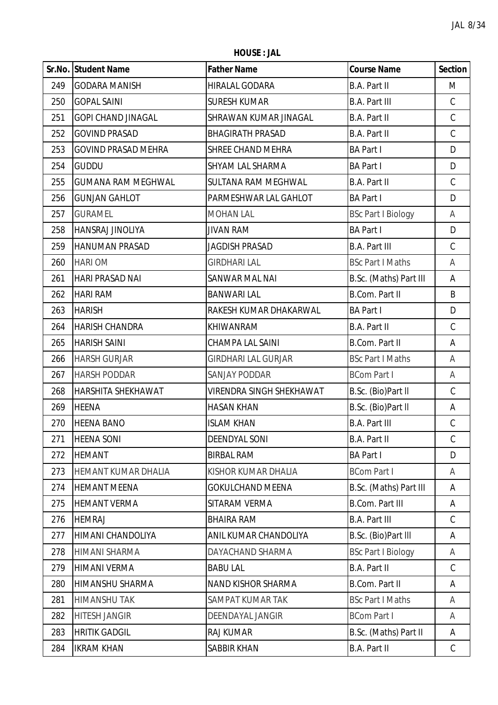**HOUSE : JAL**

|     | Sr.No. Student Name        | <b>Father Name</b>              | <b>Course Name</b>        | <b>Section</b> |
|-----|----------------------------|---------------------------------|---------------------------|----------------|
| 249 | <b>GODARA MANISH</b>       | HIRALAL GODARA                  | <b>B.A. Part II</b>       | M              |
| 250 | <b>GOPAL SAINI</b>         | <b>SURESH KUMAR</b>             | <b>B.A. Part III</b>      | $\mathsf C$    |
| 251 | <b>GOPI CHAND JINAGAL</b>  | SHRAWAN KUMAR JINAGAL           | <b>B.A. Part II</b>       | $\mathsf C$    |
| 252 | <b>GOVIND PRASAD</b>       | <b>BHAGIRATH PRASAD</b>         | <b>B.A. Part II</b>       | $\mathsf C$    |
| 253 | <b>GOVIND PRASAD MEHRA</b> | SHREE CHAND MEHRA               | <b>BA Part I</b>          | D              |
| 254 | <b>GUDDU</b>               | SHYAM LAL SHARMA                | <b>BA Part I</b>          | D              |
| 255 | <b>GUMANA RAM MEGHWAL</b>  | SULTANA RAM MEGHWAL             | <b>B.A. Part II</b>       | C              |
| 256 | <b>GUNJAN GAHLOT</b>       | PARMESHWAR LAL GAHLOT           | <b>BA Part I</b>          | D              |
| 257 | <b>GURAMEL</b>             | <b>MOHAN LAL</b>                | <b>BSc Part I Biology</b> | A              |
| 258 | <b>HANSRAJ JINOLIYA</b>    | <b>JIVAN RAM</b>                | <b>BA Part I</b>          | D              |
| 259 | <b>HANUMAN PRASAD</b>      | <b>JAGDISH PRASAD</b>           | <b>B.A. Part III</b>      | C              |
| 260 | <b>HARI OM</b>             | <b>GIRDHARI LAL</b>             | <b>BSc Part I Maths</b>   | A              |
| 261 | <b>HARI PRASAD NAI</b>     | SANWAR MAL NAI                  | B.Sc. (Maths) Part III    | A              |
| 262 | <b>HARI RAM</b>            | <b>BANWARI LAL</b>              | <b>B.Com. Part II</b>     | B              |
| 263 | <b>HARISH</b>              | RAKESH KUMAR DHAKARWAL          | <b>BA Part I</b>          | D              |
| 264 | <b>HARISH CHANDRA</b>      | KHIWANRAM                       | <b>B.A. Part II</b>       | C              |
| 265 | <b>HARISH SAINI</b>        | <b>CHAMPA LAL SAINI</b>         | <b>B.Com. Part II</b>     | Α              |
| 266 | <b>HARSH GURJAR</b>        | <b>GIRDHARI LAL GURJAR</b>      | <b>BSc Part I Maths</b>   | A              |
| 267 | <b>HARSH PODDAR</b>        | <b>SANJAY PODDAR</b>            | <b>BCom Part I</b>        | A              |
| 268 | <b>HARSHITA SHEKHAWAT</b>  | <b>VIRENDRA SINGH SHEKHAWAT</b> | B.Sc. (Bio)Part II        | $\mathsf C$    |
| 269 | <b>HEENA</b>               | <b>HASAN KHAN</b>               | B.Sc. (Bio)Part II        | А              |
| 270 | <b>HEENA BANO</b>          | <b>ISLAM KHAN</b>               | <b>B.A. Part III</b>      | $\mathsf C$    |
| 271 | <b>HEENA SONI</b>          | <b>DEENDYAL SONI</b>            | <b>B.A. Part II</b>       | $\mathcal{C}$  |
| 272 | <b>HEMANT</b>              | <b>BIRBAL RAM</b>               | <b>BA Part I</b>          | D              |
| 273 | HEMANT KUMAR DHALIA        | KISHOR KUMAR DHALIA             | <b>BCom Part I</b>        | A              |
| 274 | <b>HEMANT MEENA</b>        | <b>GOKULCHAND MEENA</b>         | B.Sc. (Maths) Part III    | Α              |
| 275 | <b>HEMANT VERMA</b>        | SITARAM VERMA                   | <b>B.Com. Part III</b>    | Α              |
| 276 | <b>HEMRAJ</b>              | <b>BHAIRA RAM</b>               | <b>B.A. Part III</b>      | C              |
| 277 | HIMANI CHANDOLIYA          | ANIL KUMAR CHANDOLIYA           | B.Sc. (Bio)Part III       | Α              |
| 278 | <b>HIMANI SHARMA</b>       | DAYACHAND SHARMA                | <b>BSc Part I Biology</b> | A              |
| 279 | <b>HIMANI VERMA</b>        | <b>BABU LAL</b>                 | <b>B.A. Part II</b>       | C              |
| 280 | HIMANSHU SHARMA            | NAND KISHOR SHARMA              | <b>B.Com. Part II</b>     | Α              |
| 281 | <b>HIMANSHU TAK</b>        | SAMPAT KUMAR TAK                | <b>BSc Part I Maths</b>   | A              |
| 282 | <b>HITESH JANGIR</b>       | DEENDAYAL JANGIR                | <b>BCom Part I</b>        | A              |
| 283 | <b>HRITIK GADGIL</b>       | <b>RAJ KUMAR</b>                | B.Sc. (Maths) Part II     | Α              |
| 284 | <b>IKRAM KHAN</b>          | <b>SABBIR KHAN</b>              | <b>B.A. Part II</b>       | $\mathsf{C}$   |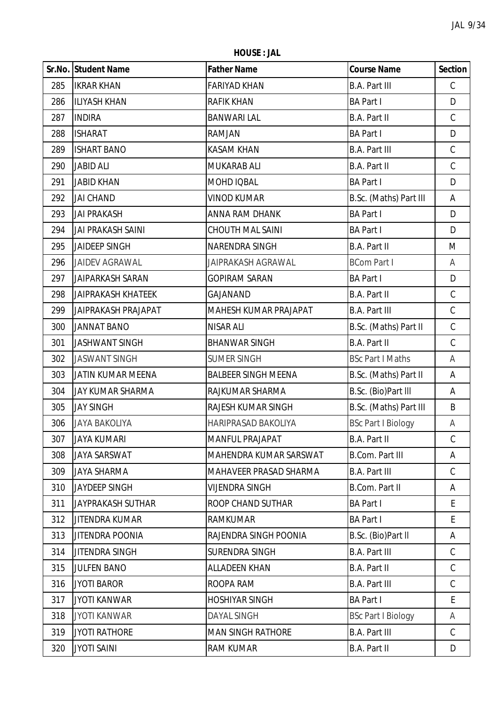**HOUSE : JAL**

|     | Sr.No. Student Name        | <b>Father Name</b>         | <b>Course Name</b>        | <b>Section</b> |
|-----|----------------------------|----------------------------|---------------------------|----------------|
| 285 | <b>IKRAR KHAN</b>          | <b>FARIYAD KHAN</b>        | <b>B.A. Part III</b>      | $\mathsf C$    |
| 286 | <b>ILIYASH KHAN</b>        | <b>RAFIK KHAN</b>          | <b>BA Part I</b>          | D              |
| 287 | <b>INDIRA</b>              | <b>BANWARI LAL</b>         | B.A. Part II              | $\mathsf C$    |
| 288 | <b>ISHARAT</b>             | RAMJAN                     | <b>BA Part I</b>          | D              |
| 289 | <b>ISHART BANO</b>         | <b>KASAM KHAN</b>          | <b>B.A. Part III</b>      | $\mathsf C$    |
| 290 | <b>JABID ALI</b>           | MUKARAB ALI                | B.A. Part II              | $\mathsf C$    |
| 291 | <b>JABID KHAN</b>          | MOHD IQBAL                 | <b>BA Part I</b>          | D              |
| 292 | <b>JAI CHAND</b>           | <b>VINOD KUMAR</b>         | B.Sc. (Maths) Part III    | A              |
| 293 | <b>JAI PRAKASH</b>         | ANNA RAM DHANK             | <b>BA Part I</b>          | D              |
| 294 | <b>JAI PRAKASH SAINI</b>   | <b>CHOUTH MAL SAINI</b>    | <b>BA Part I</b>          | D              |
| 295 | <b>JAIDEEP SINGH</b>       | NARENDRA SINGH             | B.A. Part II              | M              |
| 296 | <b>JAIDEV AGRAWAL</b>      | <b>JAIPRAKASH AGRAWAL</b>  | <b>BCom Part I</b>        | A              |
| 297 | <b>JAIPARKASH SARAN</b>    | <b>GOPIRAM SARAN</b>       | <b>BA Part I</b>          | D              |
| 298 | <b>JAIPRAKASH KHATEEK</b>  | GAJANAND                   | B.A. Part II              | $\mathsf C$    |
| 299 | <b>JAIPRAKASH PRAJAPAT</b> | MAHESH KUMAR PRAJAPAT      | <b>B.A. Part III</b>      | $\mathsf C$    |
| 300 | <b>JANNAT BANO</b>         | <b>NISAR ALI</b>           | B.Sc. (Maths) Part II     | $\mathsf C$    |
| 301 | <b>JASHWANT SINGH</b>      | <b>BHANWAR SINGH</b>       | <b>B.A. Part II</b>       | $\mathsf C$    |
| 302 | <b>JASWANT SINGH</b>       | <b>SUMER SINGH</b>         | <b>BSc Part I Maths</b>   | A              |
| 303 | JATIN KUMAR MEENA          | <b>BALBEER SINGH MEENA</b> | B.Sc. (Maths) Part II     | Α              |
| 304 | JAY KUMAR SHARMA           | RAJKUMAR SHARMA            | B.Sc. (Bio)Part III       | Α              |
| 305 | <b>JAY SINGH</b>           | RAJESH KUMAR SINGH         | B.Sc. (Maths) Part III    | B              |
| 306 | <b>JAYA BAKOLIYA</b>       | HARIPRASAD BAKOLIYA        | <b>BSc Part I Biology</b> | Α              |
| 307 | <b>JAYA KUMARI</b>         | <b>MANFUL PRAJAPAT</b>     | B.A. Part II              | C              |
| 308 | <b>JAYA SARSWAT</b>        | MAHENDRA KUMAR SARSWAT     | <b>B.Com. Part III</b>    | Α              |
| 309 | <b>JAYA SHARMA</b>         | MAHAVEER PRASAD SHARMA     | <b>B.A. Part III</b>      | $\mathcal{C}$  |
| 310 | <b>JAYDEEP SINGH</b>       | <b>VIJENDRA SINGH</b>      | B.Com. Part II            | Α              |
| 311 | <b>JAYPRAKASH SUTHAR</b>   | ROOP CHAND SUTHAR          | <b>BA Part I</b>          | E.             |
| 312 | <b>JITENDRA KUMAR</b>      | <b>RAMKUMAR</b>            | <b>BA Part I</b>          | E              |
| 313 | <b>JITENDRA POONIA</b>     | RAJENDRA SINGH POONIA      | B.Sc. (Bio)Part II        | Α              |
| 314 | <b>JITENDRA SINGH</b>      | SURENDRA SINGH             | <b>B.A. Part III</b>      | C              |
| 315 | <b>JULFEN BANO</b>         | <b>ALLADEEN KHAN</b>       | B.A. Part II              | C              |
| 316 | <b>JYOTI BAROR</b>         | ROOPA RAM                  | <b>B.A. Part III</b>      | $\mathcal{C}$  |
| 317 | <b>JYOTI KANWAR</b>        | <b>HOSHIYAR SINGH</b>      | <b>BA Part I</b>          | E              |
| 318 | <b>JYOTI KANWAR</b>        | <b>DAYAL SINGH</b>         | <b>BSc Part I Biology</b> | A              |
| 319 | <b>JYOTI RATHORE</b>       | <b>MAN SINGH RATHORE</b>   | <b>B.A. Part III</b>      | $\mathcal{C}$  |
| 320 | <b>JYOTI SAINI</b>         | RAM KUMAR                  | B.A. Part II              | D              |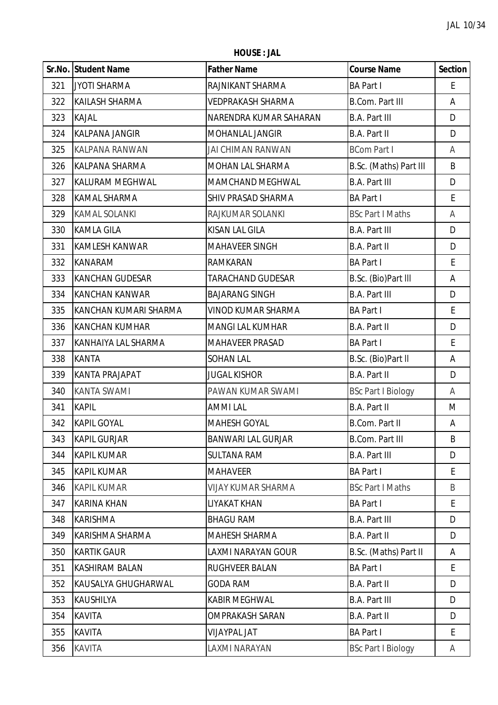**HOUSE : JAL**

|     | Sr.No. Student Name    | <b>Father Name</b>        | <b>Course Name</b>        | <b>Section</b> |
|-----|------------------------|---------------------------|---------------------------|----------------|
| 321 | <b>JYOTI SHARMA</b>    | RAJNIKANT SHARMA          | <b>BA Part I</b>          | E              |
| 322 | <b>KAILASH SHARMA</b>  | <b>VEDPRAKASH SHARMA</b>  | <b>B.Com. Part III</b>    | Α              |
| 323 | <b>KAJAL</b>           | NARENDRA KUMAR SAHARAN    | <b>B.A. Part III</b>      | D              |
| 324 | <b>KALPANA JANGIR</b>  | MOHANLAL JANGIR           | B.A. Part II              | D              |
| 325 | <b>KALPANA RANWAN</b>  | JAI CHIMAN RANWAN         | <b>BCom Part I</b>        | A              |
| 326 | KALPANA SHARMA         | MOHAN LAL SHARMA          | B.Sc. (Maths) Part III    | B              |
| 327 | <b>KALURAM MEGHWAL</b> | MAMCHAND MEGHWAL          | <b>B.A. Part III</b>      | D              |
| 328 | <b>KAMAL SHARMA</b>    | SHIV PRASAD SHARMA        | <b>BA Part I</b>          | E              |
| 329 | <b>KAMAL SOLANKI</b>   | RAJKUMAR SOLANKI          | <b>BSc Part I Maths</b>   | A              |
| 330 | <b>KAMLA GILA</b>      | KISAN LAL GILA            | <b>B.A. Part III</b>      | D              |
| 331 | <b>KAMLESH KANWAR</b>  | <b>MAHAVEER SINGH</b>     | B.A. Part II              | D              |
| 332 | <b>KANARAM</b>         | RAMKARAN                  | <b>BA Part I</b>          | E              |
| 333 | <b>KANCHAN GUDESAR</b> | <b>TARACHAND GUDESAR</b>  | B.Sc. (Bio)Part III       | Α              |
| 334 | <b>KANCHAN KANWAR</b>  | <b>BAJARANG SINGH</b>     | <b>B.A. Part III</b>      | D              |
| 335 | KANCHAN KUMARI SHARMA  | VINOD KUMAR SHARMA        | <b>BA Part I</b>          | E              |
| 336 | <b>KANCHAN KUMHAR</b>  | <b>MANGI LAL KUMHAR</b>   | B.A. Part II              | D              |
| 337 | KANHAIYA LAL SHARMA    | MAHAVEER PRASAD           | <b>BA Part I</b>          | E              |
| 338 | <b>KANTA</b>           | <b>SOHAN LAL</b>          | B.Sc. (Bio)Part II        | A              |
| 339 | <b>KANTA PRAJAPAT</b>  | <b>JUGAL KISHOR</b>       | B.A. Part II              | D              |
| 340 | <b>KANTA SWAMI</b>     | PAWAN KUMAR SWAMI         | <b>BSc Part I Biology</b> | A              |
| 341 | <b>KAPIL</b>           | <b>AMMI LAL</b>           | B.A. Part II              | M              |
| 342 | <b>KAPIL GOYAL</b>     | <b>MAHESH GOYAL</b>       | B.Com. Part II            | Α              |
| 343 | <b>KAPIL GURJAR</b>    | <b>BANWARI LAL GURJAR</b> | <b>B.Com. Part III</b>    | B              |
| 344 | <b>KAPIL KUMAR</b>     | <b>SULTANA RAM</b>        | <b>B.A. Part III</b>      | D              |
| 345 | <b>KAPIL KUMAR</b>     | <b>MAHAVEER</b>           | <b>BA Part I</b>          | E              |
| 346 | <b>KAPIL KUMAR</b>     | <b>VIJAY KUMAR SHARMA</b> | <b>BSc Part I Maths</b>   | B              |
| 347 | <b>KARINA KHAN</b>     | LIYAKAT KHAN              | <b>BA Part I</b>          | E.             |
| 348 | <b>KARISHMA</b>        | <b>BHAGU RAM</b>          | <b>B.A. Part III</b>      | D              |
| 349 | KARISHMA SHARMA        | <b>MAHESH SHARMA</b>      | B.A. Part II              | D              |
| 350 | <b>KARTIK GAUR</b>     | LAXMI NARAYAN GOUR        | B.Sc. (Maths) Part II     | A              |
| 351 | KASHIRAM BALAN         | <b>RUGHVEER BALAN</b>     | <b>BA Part I</b>          | E              |
| 352 | KAUSALYA GHUGHARWAL    | <b>GODA RAM</b>           | B.A. Part II              | D              |
| 353 | KAUSHILYA              | <b>KABIR MEGHWAL</b>      | <b>B.A. Part III</b>      | D              |
| 354 | <b>KAVITA</b>          | <b>OMPRAKASH SARAN</b>    | B.A. Part II              | D              |
| 355 | <b>KAVITA</b>          | <b>VIJAYPAL JAT</b>       | <b>BA Part I</b>          | E              |
| 356 | <b>KAVITA</b>          | LAXMI NARAYAN             | <b>BSc Part I Biology</b> | A              |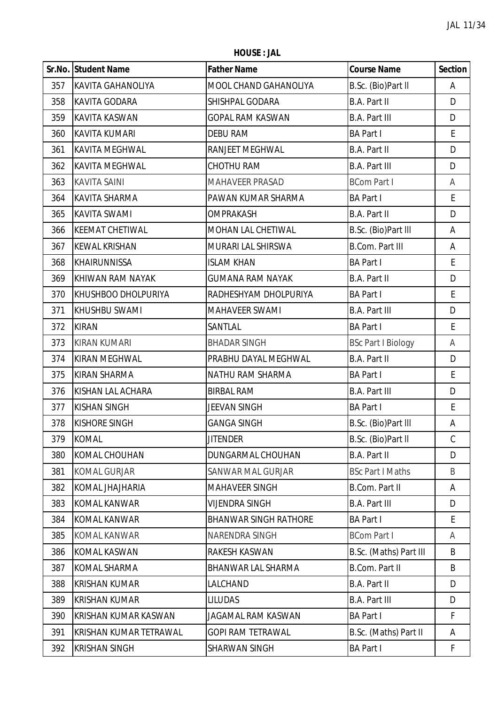**HOUSE : JAL**

|     | Sr.No. Student Name         | <b>Father Name</b>           | <b>Course Name</b>        | <b>Section</b> |
|-----|-----------------------------|------------------------------|---------------------------|----------------|
| 357 | <b>KAVITA GAHANOLIYA</b>    | MOOL CHAND GAHANOLIYA        | B.Sc. (Bio)Part II        | Α              |
| 358 | <b>KAVITA GODARA</b>        | SHISHPAL GODARA              | <b>B.A. Part II</b>       | D              |
| 359 | <b>KAVITA KASWAN</b>        | <b>GOPAL RAM KASWAN</b>      | <b>B.A. Part III</b>      | D              |
| 360 | <b>KAVITA KUMARI</b>        | <b>DEBU RAM</b>              | <b>BA Part I</b>          | E              |
| 361 | <b>KAVITA MEGHWAL</b>       | RANJEET MEGHWAL              | <b>B.A. Part II</b>       | D              |
| 362 | <b>KAVITA MEGHWAL</b>       | CHOTHU RAM                   | <b>B.A. Part III</b>      | D              |
| 363 | <b>KAVITA SAINI</b>         | <b>MAHAVEER PRASAD</b>       | <b>BCom Part I</b>        | Α              |
| 364 | <b>KAVITA SHARMA</b>        | PAWAN KUMAR SHARMA           | <b>BA Part I</b>          | E              |
| 365 | <b>KAVITA SWAMI</b>         | <b>OMPRAKASH</b>             | <b>B.A. Part II</b>       | D              |
| 366 | <b>KEEMAT CHETIWAL</b>      | <b>MOHAN LAL CHETIWAL</b>    | B.Sc. (Bio)Part III       | Α              |
| 367 | <b>KEWAL KRISHAN</b>        | MURARI LAL SHIRSWA           | <b>B.Com. Part III</b>    | Α              |
| 368 | <b>KHAIRUNNISSA</b>         | <b>ISLAM KHAN</b>            | <b>BA Part I</b>          | E              |
| 369 | KHIWAN RAM NAYAK            | <b>GUMANA RAM NAYAK</b>      | <b>B.A. Part II</b>       | D              |
| 370 | KHUSHBOO DHOLPURIYA         | RADHESHYAM DHOLPURIYA        | <b>BA Part I</b>          | E              |
| 371 | <b>KHUSHBU SWAMI</b>        | MAHAVEER SWAMI               | <b>B.A. Part III</b>      | D              |
| 372 | <b>KIRAN</b>                | SANTLAL                      | <b>BA Part I</b>          | E              |
| 373 | <b>KIRAN KUMARI</b>         | <b>BHADAR SINGH</b>          | <b>BSc Part I Biology</b> | A              |
| 374 | <b>KIRAN MEGHWAL</b>        | PRABHU DAYAL MEGHWAL         | <b>B.A. Part II</b>       | D              |
| 375 | <b>KIRAN SHARMA</b>         | NATHU RAM SHARMA             | <b>BA Part I</b>          | E              |
| 376 | KISHAN LAL ACHARA           | <b>BIRBAL RAM</b>            | <b>B.A. Part III</b>      | D              |
| 377 | <b>KISHAN SINGH</b>         | JEEVAN SINGH                 | <b>BA Part I</b>          | E              |
| 378 | <b>KISHORE SINGH</b>        | <b>GANGA SINGH</b>           | B.Sc. (Bio)Part III       | А              |
| 379 | <b>KOMAL</b>                | <b>JITENDER</b>              | B.Sc. (Bio)Part II        | C              |
| 380 | <b>KOMAL CHOUHAN</b>        | <b>DUNGARMAL CHOUHAN</b>     | B.A. Part II              | D              |
| 381 | <b>KOMAL GURJAR</b>         | <b>SANWAR MAL GURJAR</b>     | <b>BSc Part I Maths</b>   | B              |
| 382 | KOMAL JHAJHARIA             | <b>MAHAVEER SINGH</b>        | <b>B.Com. Part II</b>     | A              |
| 383 | <b>KOMAL KANWAR</b>         | <b>VIJENDRA SINGH</b>        | <b>B.A. Part III</b>      | D              |
| 384 | <b>KOMAL KANWAR</b>         | <b>BHANWAR SINGH RATHORE</b> | <b>BA Part I</b>          | E              |
| 385 | <b>KOMAL KANWAR</b>         | NARENDRA SINGH               | <b>BCom Part I</b>        | A              |
| 386 | <b>KOMAL KASWAN</b>         | RAKESH KASWAN                | B.Sc. (Maths) Part III    | B              |
| 387 | <b>KOMAL SHARMA</b>         | BHANWAR LAL SHARMA           | <b>B.Com. Part II</b>     | B              |
| 388 | <b>KRISHAN KUMAR</b>        | LALCHAND                     | B.A. Part II              | D              |
| 389 | <b>KRISHAN KUMAR</b>        | <b>LILUDAS</b>               | <b>B.A. Part III</b>      | D              |
| 390 | <b>KRISHAN KUMAR KASWAN</b> | JAGAMAL RAM KASWAN           | <b>BA Part I</b>          | F              |
| 391 | KRISHAN KUMAR TETRAWAL      | <b>GOPI RAM TETRAWAL</b>     | B.Sc. (Maths) Part II     | Α              |
| 392 | <b>KRISHAN SINGH</b>        | SHARWAN SINGH                | <b>BA Part I</b>          | F              |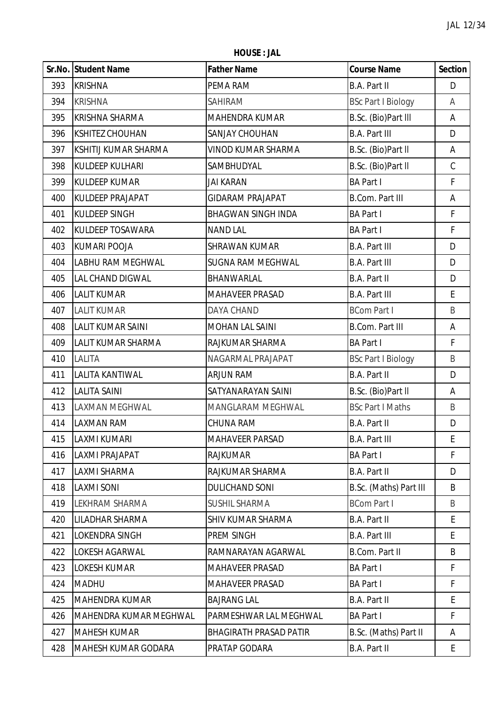**HOUSE : JAL**

|     | Sr.No. Student Name        | <b>Father Name</b>            | <b>Course Name</b>        | <b>Section</b> |
|-----|----------------------------|-------------------------------|---------------------------|----------------|
| 393 | <b>KRISHNA</b>             | PEMA RAM                      | B.A. Part II              | D              |
| 394 | <b>KRISHNA</b>             | <b>SAHIRAM</b>                | <b>BSc Part I Biology</b> | A              |
| 395 | <b>KRISHNA SHARMA</b>      | MAHENDRA KUMAR                | B.Sc. (Bio)Part III       | А              |
| 396 | <b>KSHITEZ CHOUHAN</b>     | <b>SANJAY CHOUHAN</b>         | <b>B.A. Part III</b>      | D              |
| 397 | KSHITIJ KUMAR SHARMA       | <b>VINOD KUMAR SHARMA</b>     | B.Sc. (Bio)Part II        | A              |
| 398 | <b>KULDEEP KULHARI</b>     | SAMBHUDYAL                    | B.Sc. (Bio)Part II        | $\mathsf C$    |
| 399 | <b>KULDEEP KUMAR</b>       | <b>JAI KARAN</b>              | <b>BA Part I</b>          | F              |
| 400 | <b>KULDEEP PRAJAPAT</b>    | <b>GIDARAM PRAJAPAT</b>       | <b>B.Com. Part III</b>    | А              |
| 401 | <b>KULDEEP SINGH</b>       | <b>BHAGWAN SINGH INDA</b>     | <b>BA Part I</b>          | F              |
| 402 | <b>KULDEEP TOSAWARA</b>    | <b>NAND LAL</b>               | <b>BA Part I</b>          | F              |
| 403 | <b>KUMARI POOJA</b>        | <b>SHRAWAN KUMAR</b>          | <b>B.A. Part III</b>      | D              |
| 404 | <b>LABHU RAM MEGHWAL</b>   | <b>SUGNA RAM MEGHWAL</b>      | <b>B.A. Part III</b>      | D              |
| 405 | LAL CHAND DIGWAL           | BHANWARLAL                    | <b>B.A. Part II</b>       | D              |
| 406 | <b>LALIT KUMAR</b>         | MAHAVEER PRASAD               | <b>B.A. Part III</b>      | E              |
| 407 | <b>LALIT KUMAR</b>         | <b>DAYA CHAND</b>             | <b>BCom Part I</b>        | B              |
| 408 | <b>LALIT KUMAR SAINI</b>   | <b>MOHAN LAL SAINI</b>        | <b>B.Com. Part III</b>    | А              |
| 409 | LALIT KUMAR SHARMA         | RAJKUMAR SHARMA               | <b>BA Part I</b>          | F              |
| 410 | <b>LALITA</b>              | NAGARMAL PRAJAPAT             | <b>BSc Part I Biology</b> | B              |
| 411 | <b>LALITA KANTIWAL</b>     | <b>ARJUN RAM</b>              | <b>B.A. Part II</b>       | D              |
| 412 | <b>LALITA SAINI</b>        | SATYANARAYAN SAINI            | B.Sc. (Bio)Part II        | A              |
| 413 | <b>LAXMAN MEGHWAL</b>      | MANGLARAM MEGHWAL             | <b>BSc Part I Maths</b>   | B              |
| 414 | <b>LAXMAN RAM</b>          | <b>CHUNA RAM</b>              | <b>B.A. Part II</b>       | D              |
| 415 | <b>LAXMI KUMARI</b>        | <b>MAHAVEER PARSAD</b>        | <b>B.A. Part III</b>      | Ł              |
| 416 | LAXMI PRAJAPAT             | <b>RAJKUMAR</b>               | <b>BA Part I</b>          | F              |
| 417 | <b>LAXMI SHARMA</b>        | RAJKUMAR SHARMA               | <b>B.A. Part II</b>       | D              |
| 418 | <b>LAXMI SONI</b>          | <b>DULICHAND SONI</b>         | B.Sc. (Maths) Part III    | B              |
| 419 | <b>LEKHRAM SHARMA</b>      | <b>SUSHIL SHARMA</b>          | <b>BCom Part I</b>        | B              |
| 420 | LILADHAR SHARMA            | <b>SHIV KUMAR SHARMA</b>      | <b>B.A. Part II</b>       | E              |
| 421 | <b>LOKENDRA SINGH</b>      | PREM SINGH                    | <b>B.A. Part III</b>      | E              |
| 422 | <b>LOKESH AGARWAL</b>      | RAMNARAYAN AGARWAL            | <b>B.Com. Part II</b>     | B              |
| 423 | <b>LOKESH KUMAR</b>        | <b>MAHAVEER PRASAD</b>        | <b>BA Part I</b>          | F              |
| 424 | <b>MADHU</b>               | <b>MAHAVEER PRASAD</b>        | <b>BA Part I</b>          | F              |
| 425 | <b>MAHENDRA KUMAR</b>      | <b>BAJRANG LAL</b>            | <b>B.A. Part II</b>       | E              |
| 426 | MAHENDRA KUMAR MEGHWAL     | PARMESHWAR LAL MEGHWAL        | <b>BA Part I</b>          | F.             |
| 427 | <b>MAHESH KUMAR</b>        | <b>BHAGIRATH PRASAD PATIR</b> | B.Sc. (Maths) Part II     | Α              |
| 428 | <b>MAHESH KUMAR GODARA</b> | PRATAP GODARA                 | <b>B.A. Part II</b>       | E.             |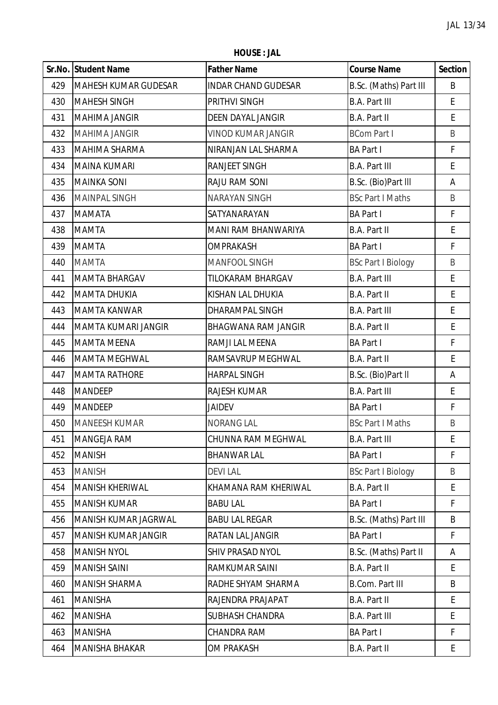**HOUSE : JAL**

|     | Sr.No. Student Name         | <b>Father Name</b>         | <b>Course Name</b>        | <b>Section</b> |
|-----|-----------------------------|----------------------------|---------------------------|----------------|
| 429 | <b>MAHESH KUMAR GUDESAR</b> | <b>INDAR CHAND GUDESAR</b> | B.Sc. (Maths) Part III    | B              |
| 430 | <b>MAHESH SINGH</b>         | PRITHVI SINGH              | <b>B.A. Part III</b>      | E              |
| 431 | <b>MAHIMA JANGIR</b>        | <b>DEEN DAYAL JANGIR</b>   | <b>B.A. Part II</b>       | E              |
| 432 | <b>MAHIMA JANGIR</b>        | <b>VINOD KUMAR JANGIR</b>  | <b>BCom Part I</b>        | B              |
| 433 | <b>MAHIMA SHARMA</b>        | NIRANJAN LAL SHARMA        | <b>BA Part I</b>          | F              |
| 434 | <b>MAINA KUMARI</b>         | RANJEET SINGH              | <b>B.A. Part III</b>      | E              |
| 435 | <b>MAINKA SONI</b>          | RAJU RAM SONI              | B.Sc. (Bio)Part III       | А              |
| 436 | <b>MAINPAL SINGH</b>        | <b>NARAYAN SINGH</b>       | <b>BSc Part I Maths</b>   | B              |
| 437 | <b>MAMATA</b>               | SATYANARAYAN               | <b>BA Part I</b>          | F              |
| 438 | <b>MAMTA</b>                | MANI RAM BHANWARIYA        | <b>B.A. Part II</b>       | E              |
| 439 | <b>MAMTA</b>                | <b>OMPRAKASH</b>           | <b>BA Part I</b>          | F              |
| 440 | <b>MAMTA</b>                | <b>MANFOOL SINGH</b>       | <b>BSc Part I Biology</b> | B              |
| 441 | <b>MAMTA BHARGAV</b>        | TILOKARAM BHARGAV          | <b>B.A. Part III</b>      | E              |
| 442 | <b>MAMTA DHUKIA</b>         | KISHAN LAL DHUKIA          | <b>B.A. Part II</b>       | E              |
| 443 | <b>MAMTA KANWAR</b>         | DHARAMPAL SINGH            | <b>B.A. Part III</b>      | E              |
| 444 | <b>MAMTA KUMARI JANGIR</b>  | <b>BHAGWANA RAM JANGIR</b> | <b>B.A. Part II</b>       | E              |
| 445 | <b>MAMTA MEENA</b>          | RAMJI LAL MEENA            | <b>BA Part I</b>          | F              |
| 446 | <b>MAMTA MEGHWAL</b>        | RAMSAVRUP MEGHWAL          | <b>B.A. Part II</b>       | E              |
| 447 | <b>MAMTA RATHORE</b>        | <b>HARPAL SINGH</b>        | B.Sc. (Bio)Part II        | А              |
| 448 | <b>MANDEEP</b>              | RAJESH KUMAR               | <b>B.A. Part III</b>      | E              |
| 449 | <b>MANDEEP</b>              | <b>JAIDEV</b>              | <b>BA Part I</b>          | $\mathsf F$    |
| 450 | <b>MANEESH KUMAR</b>        | <b>NORANG LAL</b>          | <b>BSc Part I Maths</b>   | B              |
| 451 | <b>MANGEJA RAM</b>          | CHUNNA RAM MEGHWAL         | <b>B.A. Part III</b>      | E              |
| 452 | <b>MANISH</b>               | <b>BHANWAR LAL</b>         | <b>BA Part I</b>          | F              |
| 453 | <b>MANISH</b>               | <b>DEVILAL</b>             | <b>BSc Part I Biology</b> | B              |
| 454 | <b>MANISH KHERIWAL</b>      | KHAMANA RAM KHERIWAL       | <b>B.A. Part II</b>       | E              |
| 455 | <b>MANISH KUMAR</b>         | <b>BABU LAL</b>            | <b>BA Part I</b>          | F              |
| 456 | MANISH KUMAR JAGRWAL        | <b>BABU LAL REGAR</b>      | B.Sc. (Maths) Part III    | B              |
| 457 | <b>MANISH KUMAR JANGIR</b>  | RATAN LAL JANGIR           | <b>BA Part I</b>          | F              |
| 458 | <b>MANISH NYOL</b>          | SHIV PRASAD NYOL           | B.Sc. (Maths) Part II     | Α              |
| 459 | <b>MANISH SAINI</b>         | RAMKUMAR SAINI             | <b>B.A. Part II</b>       | E              |
| 460 | <b>MANISH SHARMA</b>        | RADHE SHYAM SHARMA         | <b>B.Com. Part III</b>    | B              |
| 461 | <b>MANISHA</b>              | RAJENDRA PRAJAPAT          | <b>B.A. Part II</b>       | E              |
| 462 | <b>MANISHA</b>              | <b>SUBHASH CHANDRA</b>     | <b>B.A. Part III</b>      | E              |
| 463 | <b>MANISHA</b>              | CHANDRA RAM                | <b>BA Part I</b>          | F.             |
| 464 | <b>MANISHA BHAKAR</b>       | <b>OM PRAKASH</b>          | <b>B.A. Part II</b>       | E              |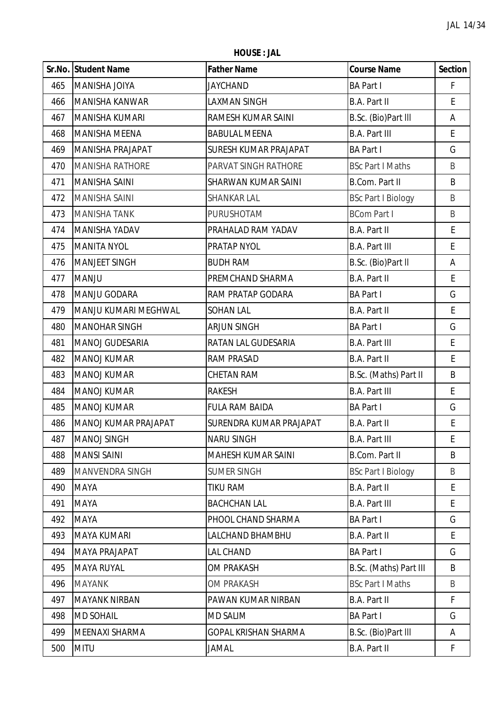**HOUSE : JAL**

|     | Sr.No. Student Name     | <b>Father Name</b>           | <b>Course Name</b>        | <b>Section</b> |
|-----|-------------------------|------------------------------|---------------------------|----------------|
| 465 | MANISHA JOIYA           | JAYCHAND                     | <b>BA Part I</b>          | F              |
| 466 | <b>MANISHA KANWAR</b>   | LAXMAN SINGH                 | <b>B.A. Part II</b>       | E              |
| 467 | <b>MANISHA KUMARI</b>   | RAMESH KUMAR SAINI           | B.Sc. (Bio)Part III       | Α              |
| 468 | <b>MANISHA MEENA</b>    | <b>BABULAL MEENA</b>         | <b>B.A. Part III</b>      | E              |
| 469 | <b>MANISHA PRAJAPAT</b> | <b>SURESH KUMAR PRAJAPAT</b> | <b>BA Part I</b>          | G              |
| 470 | <b>MANISHA RATHORE</b>  | PARVAT SINGH RATHORE         | <b>BSc Part I Maths</b>   | B              |
| 471 | <b>MANISHA SAINI</b>    | <b>SHARWAN KUMAR SAINI</b>   | <b>B.Com. Part II</b>     | B              |
| 472 | <b>MANISHA SAINI</b>    | <b>SHANKAR LAL</b>           | <b>BSc Part I Biology</b> | B              |
| 473 | <b>MANISHA TANK</b>     | PURUSHOTAM                   | <b>BCom Part I</b>        | B              |
| 474 | <b>MANISHA YADAV</b>    | PRAHALAD RAM YADAV           | B.A. Part II              | E              |
| 475 | <b>MANITA NYOL</b>      | PRATAP NYOL                  | <b>B.A. Part III</b>      | E              |
| 476 | <b>MANJEET SINGH</b>    | <b>BUDH RAM</b>              | B.Sc. (Bio)Part II        | Α              |
| 477 | <b>MANJU</b>            | PREMCHAND SHARMA             | B.A. Part II              | E              |
| 478 | MANJU GODARA            | RAM PRATAP GODARA            | <b>BA Part I</b>          | G              |
| 479 | MANJU KUMARI MEGHWAL    | <b>SOHAN LAL</b>             | <b>B.A. Part II</b>       | E              |
| 480 | <b>MANOHAR SINGH</b>    | ARJUN SINGH                  | <b>BA Part I</b>          | G              |
| 481 | MANOJ GUDESARIA         | RATAN LAL GUDESARIA          | <b>B.A. Part III</b>      | E              |
| 482 | <b>MANOJ KUMAR</b>      | <b>RAM PRASAD</b>            | B.A. Part II              | E              |
| 483 | <b>MANOJ KUMAR</b>      | <b>CHETAN RAM</b>            | B.Sc. (Maths) Part II     | B              |
| 484 | <b>MANOJ KUMAR</b>      | <b>RAKESH</b>                | <b>B.A. Part III</b>      | E              |
| 485 | <b>MANOJ KUMAR</b>      | <b>FULA RAM BAIDA</b>        | <b>BA Part I</b>          | G              |
| 486 | MANOJ KUMAR PRAJAPAT    | SURENDRA KUMAR PRAJAPAT      | <b>B.A. Part II</b>       | E              |
| 487 | MANOJ SINGH             | <b>NARU SINGH</b>            | <b>B.A. Part III</b>      | E              |
| 488 | <b>MANSI SAINI</b>      | <b>MAHESH KUMAR SAINI</b>    | <b>B.Com. Part II</b>     | B              |
| 489 | <b>MANVENDRA SINGH</b>  | <b>SUMER SINGH</b>           | <b>BSc Part I Biology</b> | B              |
| 490 | MAYA                    | TIKU RAM                     | <b>B.A. Part II</b>       | E              |
| 491 | <b>MAYA</b>             | <b>BACHCHAN LAL</b>          | <b>B.A. Part III</b>      | E.             |
| 492 | <b>MAYA</b>             | PHOOL CHAND SHARMA           | <b>BA Part I</b>          | G              |
| 493 | <b>MAYA KUMARI</b>      | LALCHAND BHAMBHU             | <b>B.A. Part II</b>       | E              |
| 494 | <b>MAYA PRAJAPAT</b>    | LAL CHAND                    | <b>BA Part I</b>          | G              |
| 495 | <b>MAYA RUYAL</b>       | <b>OM PRAKASH</b>            | B.Sc. (Maths) Part III    | B              |
| 496 | <b>MAYANK</b>           | <b>OM PRAKASH</b>            | <b>BSc Part I Maths</b>   | B              |
| 497 | <b>MAYANK NIRBAN</b>    | PAWAN KUMAR NIRBAN           | <b>B.A. Part II</b>       | F              |
| 498 | <b>MD SOHAIL</b>        | <b>MD SALIM</b>              | <b>BA Part I</b>          | G              |
| 499 | MEENAXI SHARMA          | <b>GOPAL KRISHAN SHARMA</b>  | B.Sc. (Bio)Part III       | Α              |
| 500 | <b>MITU</b>             | JAMAL                        | <b>B.A. Part II</b>       | F              |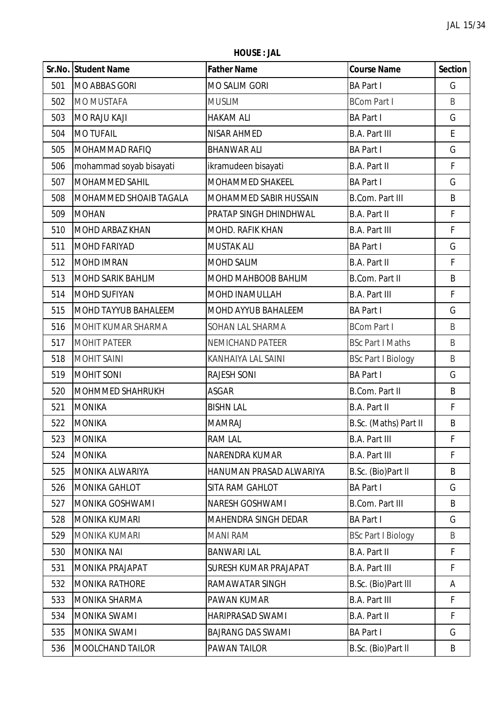**HOUSE : JAL**

|     | Sr.No. Student Name         | <b>Father Name</b>           | <b>Course Name</b>        | <b>Section</b> |
|-----|-----------------------------|------------------------------|---------------------------|----------------|
| 501 | <b>MO ABBAS GORI</b>        | <b>MO SALIM GORI</b>         | <b>BA Part I</b>          | G              |
| 502 | <b>MO MUSTAFA</b>           | <b>MUSLIM</b>                | <b>BCom Part I</b>        | B              |
| 503 | <b>MO RAJU KAJI</b>         | <b>HAKAM ALI</b>             | <b>BA Part I</b>          | G              |
| 504 | <b>MO TUFAIL</b>            | NISAR AHMED                  | <b>B.A. Part III</b>      | E              |
| 505 | <b>MOHAMMAD RAFIQ</b>       | <b>BHANWAR ALI</b>           | <b>BA Part I</b>          | G              |
| 506 | mohammad soyab bisayati     | ikramudeen bisayati          | B.A. Part II              | F              |
| 507 | MOHAMMED SAHIL              | <b>MOHAMMED SHAKEEL</b>      | <b>BA Part I</b>          | G              |
| 508 | MOHAMMED SHOAIB TAGALA      | MOHAMMED SABIR HUSSAIN       | <b>B.Com. Part III</b>    | B              |
| 509 | <b>MOHAN</b>                | PRATAP SINGH DHINDHWAL       | <b>B.A. Part II</b>       | F              |
| 510 | <b>MOHD ARBAZ KHAN</b>      | <b>MOHD, RAFIK KHAN</b>      | <b>B.A. Part III</b>      | F              |
| 511 | <b>MOHD FARIYAD</b>         | <b>MUSTAK ALI</b>            | <b>BA Part I</b>          | G              |
| 512 | <b>MOHD IMRAN</b>           | <b>MOHD SALIM</b>            | <b>B.A. Part II</b>       | F              |
| 513 | <b>MOHD SARIK BAHLIM</b>    | MOHD MAHBOOB BAHLIM          | <b>B.Com. Part II</b>     | B              |
| 514 | <b>MOHD SUFIYAN</b>         | MOHD INAMULLAH               | <b>B.A. Part III</b>      | F              |
| 515 | <b>MOHD TAYYUB BAHALEEM</b> | MOHD AYYUB BAHALEEM          | <b>BA Part I</b>          | G              |
| 516 | MOHIT KUMAR SHARMA          | SOHAN LAL SHARMA             | <b>BCom Part I</b>        | $\sf B$        |
| 517 | <b>MOHIT PATEER</b>         | NEMICHAND PATEER             | <b>BSc Part I Maths</b>   | $\sf B$        |
| 518 | <b>MOHIT SAINI</b>          | KANHAIYA LAL SAINI           | <b>BSc Part I Biology</b> | B              |
| 519 | <b>MOHIT SONI</b>           | <b>RAJESH SONI</b>           | <b>BA Part I</b>          | G              |
| 520 | <b>MOHMMED SHAHRUKH</b>     | <b>ASGAR</b>                 | <b>B.Com. Part II</b>     | B              |
| 521 | <b>MONIKA</b>               | <b>BISHN LAL</b>             | B.A. Part II              | F              |
| 522 | <b>MONIKA</b>               | <b>MAMRAJ</b>                | B.Sc. (Maths) Part II     | B              |
| 523 | MONIKA                      | <b>RAM LAL</b>               | <b>B.A. Part III</b>      | Ł              |
| 524 | <b>MONIKA</b>               | NARENDRA KUMAR               | <b>B.A. Part III</b>      | F              |
| 525 | <b>MONIKA ALWARIYA</b>      | HANUMAN PRASAD ALWARIYA      | B.Sc. (Bio)Part II        | B              |
| 526 | <b>MONIKA GAHLOT</b>        | SITA RAM GAHLOT              | <b>BA Part I</b>          | G              |
| 527 | MONIKA GOSHWAMI             | <b>NARESH GOSHWAMI</b>       | <b>B.Com. Part III</b>    | B              |
| 528 | <b>MONIKA KUMARI</b>        | <b>MAHENDRA SINGH DEDAR</b>  | <b>BA Part I</b>          | G              |
| 529 | MONIKA KUMARI               | <b>MANI RAM</b>              | <b>BSc Part I Biology</b> | B              |
| 530 | <b>MONIKA NAI</b>           | <b>BANWARI LAL</b>           | B.A. Part II              | F              |
| 531 | MONIKA PRAJAPAT             | <b>SURESH KUMAR PRAJAPAT</b> | <b>B.A. Part III</b>      | F              |
| 532 | <b>MONIKA RATHORE</b>       | RAMAWATAR SINGH              | B.Sc. (Bio)Part III       | A              |
| 533 | <b>MONIKA SHARMA</b>        | PAWAN KUMAR                  | <b>B.A. Part III</b>      | F              |
| 534 | MONIKA SWAMI                | <b>HARIPRASAD SWAMI</b>      | B.A. Part II              | F.             |
| 535 | MONIKA SWAMI                | <b>BAJRANG DAS SWAMI</b>     | <b>BA Part I</b>          | G              |
| 536 | <b>MOOLCHAND TAILOR</b>     | PAWAN TAILOR                 | B.Sc. (Bio)Part II        | B              |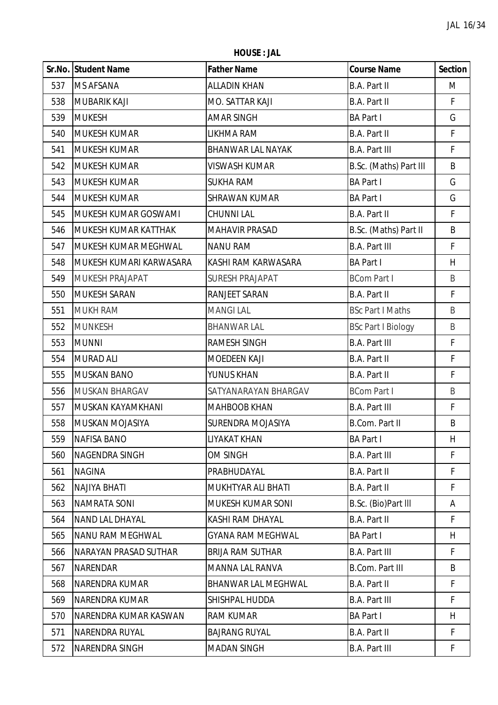**HOUSE : JAL**

|     | <b>Sr.No. Student Name</b>  | <b>Father Name</b>       | <b>Course Name</b>        | <b>Section</b> |
|-----|-----------------------------|--------------------------|---------------------------|----------------|
| 537 | MS AFSANA                   | <b>ALLADIN KHAN</b>      | <b>B.A. Part II</b>       | M              |
| 538 | <b>MUBARIK KAJI</b>         | MO. SATTAR KAJI          | B.A. Part II              | F              |
| 539 | <b>MUKESH</b>               | <b>AMAR SINGH</b>        | <b>BA Part I</b>          | G              |
| 540 | <b>MUKESH KUMAR</b>         | LIKHMA RAM               | B.A. Part II              | F              |
| 541 | <b>MUKESH KUMAR</b>         | <b>BHANWAR LAL NAYAK</b> | <b>B.A. Part III</b>      | F              |
| 542 | <b>MUKESH KUMAR</b>         | <b>VISWASH KUMAR</b>     | B.Sc. (Maths) Part III    | B              |
| 543 | <b>MUKESH KUMAR</b>         | <b>SUKHA RAM</b>         | <b>BA Part I</b>          | G              |
| 544 | <b>MUKESH KUMAR</b>         | <b>SHRAWAN KUMAR</b>     | <b>BA Part I</b>          | G              |
| 545 | MUKESH KUMAR GOSWAMI        | <b>CHUNNI LAL</b>        | B.A. Part II              | F              |
| 546 | <b>MUKESH KUMAR KATTHAK</b> | <b>MAHAVIR PRASAD</b>    | B.Sc. (Maths) Part II     | B              |
| 547 | MUKESH KUMAR MEGHWAL        | <b>NANU RAM</b>          | <b>B.A. Part III</b>      | F              |
| 548 | MUKESH KUMARI KARWASARA     | KASHI RAM KARWASARA      | <b>BA Part I</b>          | H              |
| 549 | MUKESH PRAJAPAT             | <b>SURESH PRAJAPAT</b>   | <b>BCom Part I</b>        | B              |
| 550 | <b>MUKESH SARAN</b>         | RANJEET SARAN            | B.A. Part II              | F              |
| 551 | <b>MUKH RAM</b>             | <b>MANGILAL</b>          | <b>BSc Part I Maths</b>   | $\sf B$        |
| 552 | <b>MUNKESH</b>              | <b>BHANWAR LAL</b>       | <b>BSc Part I Biology</b> | $\sf B$        |
| 553 | <b>MUNNI</b>                | <b>RAMESH SINGH</b>      | <b>B.A. Part III</b>      | F              |
| 554 | <b>MURAD ALI</b>            | <b>MOEDEEN KAJI</b>      | B.A. Part II              | F              |
| 555 | <b>MUSKAN BANO</b>          | YUNUS KHAN               | B.A. Part II              | F              |
| 556 | <b>MUSKAN BHARGAV</b>       | SATYANARAYAN BHARGAV     | <b>BCom Part I</b>        | $\sf B$        |
| 557 | MUSKAN KAYAMKHANI           | <b>MAHBOOB KHAN</b>      | <b>B.A. Part III</b>      | F              |
| 558 | MUSKAN MOJASIYA             | SURENDRA MOJASIYA        | B.Com. Part II            | B              |
| 559 | <b>NAFISA BANO</b>          | LIYAKAT KHAN             | <b>BA Part I</b>          | H              |
| 560 | NAGENDRA SINGH              | OM SINGH                 | <b>B.A. Part III</b>      | F              |
| 561 | <b>NAGINA</b>               | PRABHUDAYAL              | <b>B.A. Part II</b>       | F              |
| 562 | <b>NAJIYA BHATI</b>         | MUKHTYAR ALI BHATI       | B.A. Part II              | F.             |
| 563 | <b>NAMRATA SONI</b>         | MUKESH KUMAR SONI        | B.Sc. (Bio)Part III       | Α              |
| 564 | NAND LAL DHAYAL             | KASHI RAM DHAYAL         | B.A. Part II              | F              |
| 565 | NANU RAM MEGHWAL            | <b>GYANA RAM MEGHWAL</b> | <b>BA Part I</b>          | H              |
| 566 | NARAYAN PRASAD SUTHAR       | <b>BRIJA RAM SUTHAR</b>  | <b>B.A. Part III</b>      | F              |
| 567 | <b>NARENDAR</b>             | MANNA LAL RANVA          | <b>B.Com. Part III</b>    | B              |
| 568 | NARENDRA KUMAR              | BHANWAR LAL MEGHWAL      | B.A. Part II              | F              |
| 569 | NARENDRA KUMAR              | SHISHPAL HUDDA           | <b>B.A. Part III</b>      | F              |
| 570 | NARENDRA KUMAR KASWAN       | <b>RAM KUMAR</b>         | <b>BA Part I</b>          | H              |
| 571 | <b>NARENDRA RUYAL</b>       | <b>BAJRANG RUYAL</b>     | B.A. Part II              | F              |
| 572 | NARENDRA SINGH              | <b>MADAN SINGH</b>       | <b>B.A. Part III</b>      | F              |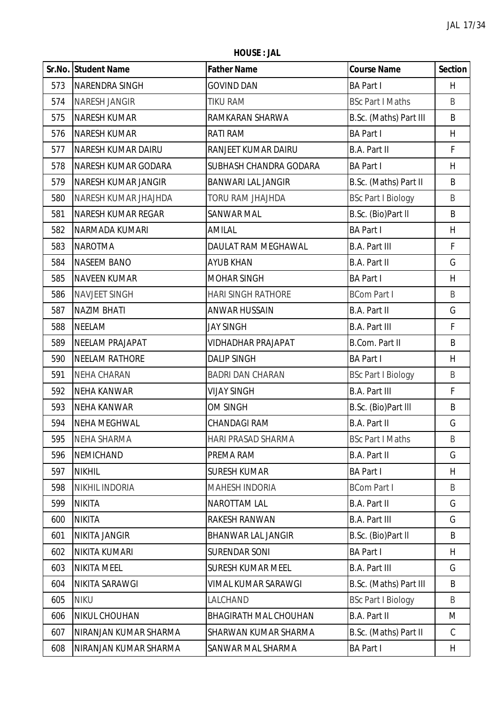**HOUSE : JAL**

|     | Sr.No. Student Name       | <b>Father Name</b>           | <b>Course Name</b>        | <b>Section</b> |
|-----|---------------------------|------------------------------|---------------------------|----------------|
| 573 | <b>NARENDRA SINGH</b>     | <b>GOVIND DAN</b>            | <b>BA Part I</b>          | H              |
| 574 | <b>NARESH JANGIR</b>      | <b>TIKU RAM</b>              | <b>BSc Part I Maths</b>   | B              |
| 575 | <b>NARESH KUMAR</b>       | RAMKARAN SHARWA              | B.Sc. (Maths) Part III    | B              |
| 576 | <b>NARESH KUMAR</b>       | RATI RAM                     | <b>BA Part I</b>          | H              |
| 577 | <b>NARESH KUMAR DAIRU</b> | RANJEET KUMAR DAIRU          | B.A. Part II              | F              |
| 578 | NARESH KUMAR GODARA       | SUBHASH CHANDRA GODARA       | <b>BA Part I</b>          | H              |
| 579 | NARESH KUMAR JANGIR       | <b>BANWARI LAL JANGIR</b>    | B.Sc. (Maths) Part II     | B              |
| 580 | NARESH KUMAR JHAJHDA      | <b>TORU RAM JHAJHDA</b>      | <b>BSc Part I Biology</b> | B              |
| 581 | <b>NARESH KUMAR REGAR</b> | SANWAR MAL                   | B.Sc. (Bio)Part II        | B              |
| 582 | NARMADA KUMARI            | AMILAL                       | <b>BA Part I</b>          | H              |
| 583 | <b>NAROTMA</b>            | DAULAT RAM MEGHAWAL          | <b>B.A. Part III</b>      | F              |
| 584 | <b>NASEEM BANO</b>        | <b>AYUB KHAN</b>             | B.A. Part II              | G              |
| 585 | <b>NAVEEN KUMAR</b>       | <b>MOHAR SINGH</b>           | <b>BA Part I</b>          | H              |
| 586 | <b>NAVJEET SINGH</b>      | <b>HARI SINGH RATHORE</b>    | <b>BCom Part I</b>        | B              |
| 587 | <b>NAZIM BHATI</b>        | <b>ANWAR HUSSAIN</b>         | B.A. Part II              | G              |
| 588 | <b>NEELAM</b>             | <b>JAY SINGH</b>             | <b>B.A. Part III</b>      | F              |
| 589 | <b>NEELAM PRAJAPAT</b>    | <b>VIDHADHAR PRAJAPAT</b>    | <b>B.Com. Part II</b>     | B              |
| 590 | <b>NEELAM RATHORE</b>     | <b>DALIP SINGH</b>           | <b>BA Part I</b>          | H              |
| 591 | <b>NEHA CHARAN</b>        | <b>BADRI DAN CHARAN</b>      | <b>BSc Part I Biology</b> | $\sf B$        |
| 592 | <b>NEHA KANWAR</b>        | <b>VIJAY SINGH</b>           | <b>B.A. Part III</b>      | F              |
| 593 | <b>NEHA KANWAR</b>        | OM SINGH                     | B.Sc. (Bio)Part III       | B              |
| 594 | <b>NEHA MEGHWAL</b>       | <b>CHANDAGI RAM</b>          | <b>B.A. Part II</b>       | G              |
| 595 | <b>NEHA SHARMA</b>        | HARI PRASAD SHARMA           | <b>BSc Part I Maths</b>   | B              |
| 596 | NEMICHAND                 | PREMA RAM                    | B.A. Part II              | G              |
| 597 | <b>NIKHIL</b>             | <b>SURESH KUMAR</b>          | <b>BA Part I</b>          | H              |
| 598 | NIKHIL INDORIA            | <b>MAHESH INDORIA</b>        | <b>BCom Part I</b>        | B              |
| 599 | <b>NIKITA</b>             | <b>NAROTTAM LAL</b>          | B.A. Part II              | G              |
| 600 | <b>NIKITA</b>             | RAKESH RANWAN                | <b>B.A. Part III</b>      | G              |
| 601 | <b>NIKITA JANGIR</b>      | <b>BHANWAR LAL JANGIR</b>    | B.Sc. (Bio)Part II        | B              |
| 602 | NIKITA KUMARI             | <b>SURENDAR SONI</b>         | <b>BA Part I</b>          | H              |
| 603 | <b>NIKITA MEEL</b>        | <b>SURESH KUMAR MEEL</b>     | <b>B.A. Part III</b>      | G              |
| 604 | NIKITA SARAWGI            | VIMAL KUMAR SARAWGI          | B.Sc. (Maths) Part III    | B              |
| 605 | <b>NIKU</b>               | LALCHAND                     | <b>BSc Part I Biology</b> | B              |
| 606 | NIKUL CHOUHAN             | <b>BHAGIRATH MAL CHOUHAN</b> | B.A. Part II              | M              |
| 607 | NIRANJAN KUMAR SHARMA     | SHARWAN KUMAR SHARMA         | B.Sc. (Maths) Part II     | C              |
| 608 | NIRANJAN KUMAR SHARMA     | SANWAR MAL SHARMA            | <b>BA Part I</b>          | H              |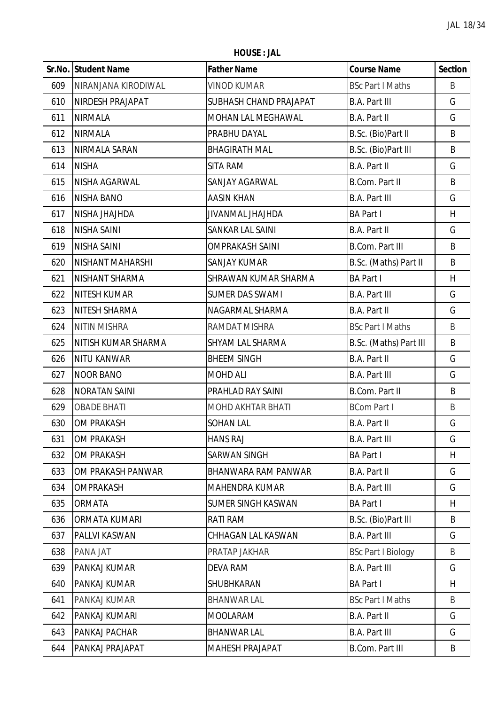**HOUSE : JAL**

|     | Sr.No. Student Name     | <b>Father Name</b>        | <b>Course Name</b>        | <b>Section</b> |
|-----|-------------------------|---------------------------|---------------------------|----------------|
| 609 | NIRANJANA KIRODIWAL     | <b>VINOD KUMAR</b>        | <b>BSc Part I Maths</b>   | B              |
| 610 | NIRDESH PRAJAPAT        | SUBHASH CHAND PRAJAPAT    | <b>B.A. Part III</b>      | G              |
| 611 | <b>NIRMALA</b>          | MOHAN LAL MEGHAWAL        | B.A. Part II              | G              |
| 612 | <b>NIRMALA</b>          | PRABHU DAYAL              | B.Sc. (Bio)Part II        | B              |
| 613 | NIRMALA SARAN           | <b>BHAGIRATH MAL</b>      | B.Sc. (Bio)Part III       | B              |
| 614 | <b>NISHA</b>            | SITA RAM                  | B.A. Part II              | G              |
| 615 | NISHA AGARWAL           | SANJAY AGARWAL            | <b>B.Com. Part II</b>     | B              |
| 616 | <b>NISHA BANO</b>       | <b>AASIN KHAN</b>         | <b>B.A. Part III</b>      | G              |
| 617 | NISHA JHAJHDA           | JIVANMAL JHAJHDA          | <b>BA Part I</b>          | H              |
| 618 | <b>NISHA SAINI</b>      | SANKAR LAL SAINI          | B.A. Part II              | G              |
| 619 | <b>NISHA SAINI</b>      | <b>OMPRAKASH SAINI</b>    | <b>B.Com. Part III</b>    | B              |
| 620 | <b>NISHANT MAHARSHI</b> | <b>SANJAY KUMAR</b>       | B.Sc. (Maths) Part II     | B              |
| 621 | NISHANT SHARMA          | SHRAWAN KUMAR SHARMA      | <b>BA Part I</b>          | H              |
| 622 | <b>NITESH KUMAR</b>     | <b>SUMER DAS SWAMI</b>    | <b>B.A. Part III</b>      | G              |
| 623 | NITESH SHARMA           | NAGARMAL SHARMA           | B.A. Part II              | G              |
| 624 | <b>NITIN MISHRA</b>     | RAMDAT MISHRA             | <b>BSc Part I Maths</b>   | $\sf B$        |
| 625 | NITISH KUMAR SHARMA     | SHYAM LAL SHARMA          | B.Sc. (Maths) Part III    | B              |
| 626 | <b>NITU KANWAR</b>      | <b>BHEEM SINGH</b>        | B.A. Part II              | G              |
| 627 | <b>NOOR BANO</b>        | <b>MOHD ALI</b>           | <b>B.A. Part III</b>      | G              |
| 628 | <b>NORATAN SAINI</b>    | PRAHLAD RAY SAINI         | <b>B.Com. Part II</b>     | B              |
| 629 | <b>OBADE BHATI</b>      | MOHD AKHTAR BHATI         | <b>BCom Part I</b>        | $\sf B$        |
| 630 | <b>OM PRAKASH</b>       | <b>SOHAN LAL</b>          | B.A. Part II              | G              |
| 631 | OM PRAKASH              | <b>HANS RAJ</b>           | <b>B.A. Part III</b>      | G              |
| 632 | <b>OM PRAKASH</b>       | <b>SARWAN SINGH</b>       | <b>BA Part I</b>          | H              |
| 633 | OM PRAKASH PANWAR       | BHANWARA RAM PANWAR       | B.A. Part II              | G              |
| 634 | <b>OMPRAKASH</b>        | <b>MAHENDRA KUMAR</b>     | <b>B.A. Part III</b>      | G              |
| 635 | ORMATA                  | <b>SUMER SINGH KASWAN</b> | <b>BA Part I</b>          | H              |
| 636 | ORMATA KUMARI           | RATI RAM                  | B.Sc. (Bio)Part III       | B              |
| 637 | PALLVI KASWAN           | CHHAGAN LAL KASWAN        | <b>B.A. Part III</b>      | G              |
| 638 | PANA JAT                | PRATAP JAKHAR             | <b>BSc Part I Biology</b> | B              |
| 639 | PANKAJ KUMAR            | <b>DEVA RAM</b>           | <b>B.A. Part III</b>      | G              |
| 640 | PANKAJ KUMAR            | SHUBHKARAN                | <b>BA Part I</b>          | H              |
| 641 | PANKAJ KUMAR            | <b>BHANWAR LAL</b>        | <b>BSc Part I Maths</b>   | B              |
| 642 | PANKAJ KUMARI           | <b>MOOLARAM</b>           | B.A. Part II              | G              |
| 643 | PANKAJ PACHAR           | <b>BHANWAR LAL</b>        | <b>B.A. Part III</b>      | G              |
| 644 | PANKAJ PRAJAPAT         | <b>MAHESH PRAJAPAT</b>    | <b>B.Com. Part III</b>    | B              |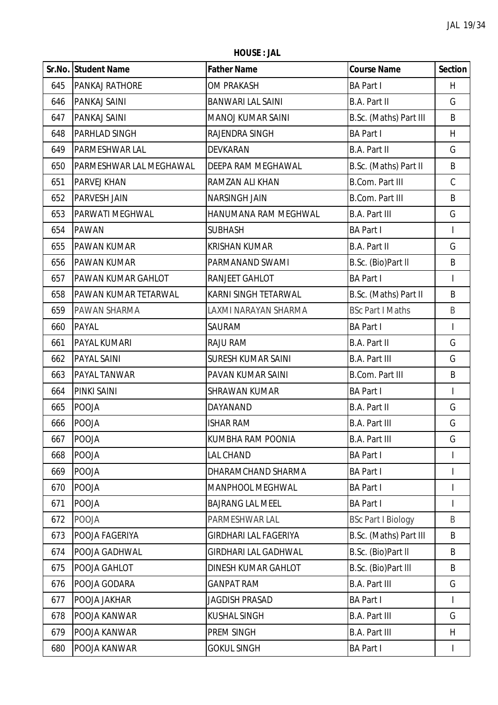**HOUSE : JAL**

|     | <b>Sr.No. Student Name</b> | <b>Father Name</b>           | <b>Course Name</b>        | <b>Section</b>           |
|-----|----------------------------|------------------------------|---------------------------|--------------------------|
| 645 | <b>PANKAJ RATHORE</b>      | OM PRAKASH                   | <b>BA Part I</b>          | H                        |
| 646 | PANKAJ SAINI               | <b>BANWARI LAL SAINI</b>     | <b>B.A. Part II</b>       | G                        |
| 647 | PANKAJ SAINI               | <b>MANOJ KUMAR SAINI</b>     | B.Sc. (Maths) Part III    | B                        |
| 648 | PARHLAD SINGH              | RAJENDRA SINGH               | <b>BA Part I</b>          | H                        |
| 649 | PARMESHWAR LAL             | DEVKARAN                     | <b>B.A. Part II</b>       | G                        |
| 650 | PARMESHWAR LAL MEGHAWAL    | DEEPA RAM MEGHAWAL           | B.Sc. (Maths) Part II     | B                        |
| 651 | PARVEJ KHAN                | RAMZAN ALI KHAN              | <b>B.Com. Part III</b>    | $\mathsf C$              |
| 652 | <b>PARVESH JAIN</b>        | <b>NARSINGH JAIN</b>         | <b>B.Com. Part III</b>    | B                        |
| 653 | PARWATI MEGHWAL            | HANUMANA RAM MEGHWAL         | <b>B.A. Part III</b>      | G                        |
| 654 | <b>PAWAN</b>               | <b>SUBHASH</b>               | <b>BA Part I</b>          | $\overline{\phantom{a}}$ |
| 655 | <b>PAWAN KUMAR</b>         | <b>KRISHAN KUMAR</b>         | <b>B.A. Part II</b>       | G                        |
| 656 | <b>PAWAN KUMAR</b>         | PARMANAND SWAMI              | B.Sc. (Bio)Part II        | B                        |
| 657 | PAWAN KUMAR GAHLOT         | RANJEET GAHLOT               | <b>BA Part I</b>          |                          |
| 658 | PAWAN KUMAR TETARWAL       | KARNI SINGH TETARWAL         | B.Sc. (Maths) Part II     | B                        |
| 659 | PAWAN SHARMA               | LAXMI NARAYAN SHARMA         | <b>BSc Part I Maths</b>   | B                        |
| 660 | PAYAL                      | SAURAM                       | <b>BA Part I</b>          | $\overline{1}$           |
| 661 | PAYAL KUMARI               | RAJU RAM                     | <b>B.A. Part II</b>       | G                        |
| 662 | <b>PAYAL SAINI</b>         | <b>SURESH KUMAR SAINI</b>    | <b>B.A. Part III</b>      | G                        |
| 663 | PAYAL TANWAR               | PAVAN KUMAR SAINI            | <b>B.Com. Part III</b>    | B                        |
| 664 | <b>PINKI SAINI</b>         | <b>SHRAWAN KUMAR</b>         | <b>BA Part I</b>          | $\overline{\phantom{a}}$ |
| 665 | POOJA                      | DAYANAND                     | <b>B.A. Part II</b>       | G                        |
| 666 | <b>POOJA</b>               | <b>ISHAR RAM</b>             | <b>B.A. Part III</b>      | G                        |
| 667 | POOJA                      | KUMBHA RAM POONIA            | <b>B.A. Part III</b>      | G                        |
| 668 | <b>POOJA</b>               | LAL CHAND                    | <b>BA Part I</b>          |                          |
| 669 | <b>POOJA</b>               | DHARAMCHAND SHARMA           | <b>BA Part I</b>          |                          |
| 670 | POOJA                      | MANPHOOL MEGHWAL             | <b>BA Part I</b>          | $\mathsf{I}$             |
| 671 | POOJA                      | <b>BAJRANG LAL MEEL</b>      | <b>BA Part I</b>          |                          |
| 672 | POOJA                      | PARMESHWAR LAL               | <b>BSc Part I Biology</b> | B                        |
| 673 | POOJA FAGERIYA             | <b>GIRDHARI LAL FAGERIYA</b> | B.Sc. (Maths) Part III    | B                        |
| 674 | POOJA GADHWAL              | <b>GIRDHARI LAL GADHWAL</b>  | B.Sc. (Bio)Part II        | B                        |
| 675 | POOJA GAHLOT               | DINESH KUMAR GAHLOT          | B.Sc. (Bio)Part III       | B                        |
| 676 | POOJA GODARA               | <b>GANPAT RAM</b>            | <b>B.A. Part III</b>      | G                        |
| 677 | POOJA JAKHAR               | <b>JAGDISH PRASAD</b>        | <b>BA Part I</b>          |                          |
| 678 | POOJA KANWAR               | <b>KUSHAL SINGH</b>          | <b>B.A. Part III</b>      | G                        |
| 679 | POOJA KANWAR               | PREM SINGH                   | <b>B.A. Part III</b>      | H                        |
| 680 | POOJA KANWAR               | <b>GOKUL SINGH</b>           | <b>BA Part I</b>          | $\mathsf{I}$             |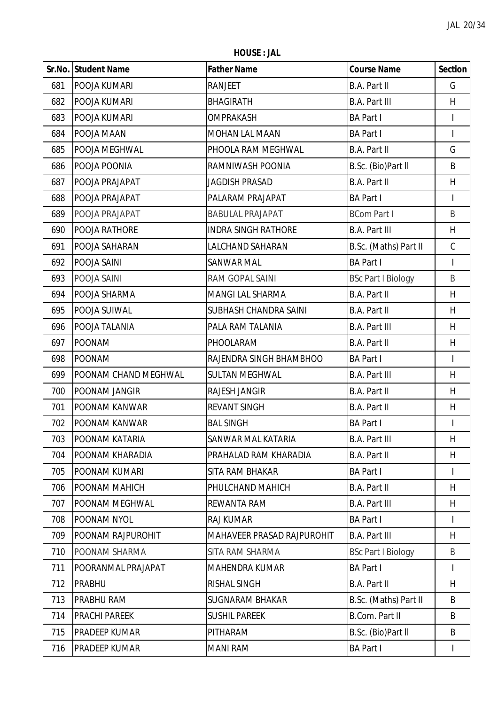**HOUSE : JAL**

|     | Sr.No. Student Name   | <b>Father Name</b>                | <b>Course Name</b>        | <b>Section</b>           |
|-----|-----------------------|-----------------------------------|---------------------------|--------------------------|
| 681 | POOJA KUMARI          | RANJEET                           | B.A. Part II              | G                        |
| 682 | POOJA KUMARI          | <b>BHAGIRATH</b>                  | <b>B.A. Part III</b>      | H                        |
| 683 | POOJA KUMARI          | <b>OMPRAKASH</b>                  | <b>BA Part I</b>          |                          |
| 684 | POOJA MAAN            | MOHAN LAL MAAN                    | <b>BA Part I</b>          | $\overline{1}$           |
| 685 | POOJA MEGHWAL         | PHOOLA RAM MEGHWAL                | B.A. Part II              | G                        |
| 686 | POOJA POONIA          | RAMNIWASH POONIA                  | B.Sc. (Bio)Part II        | B                        |
| 687 | POOJA PRAJAPAT        | <b>JAGDISH PRASAD</b>             | <b>B.A. Part II</b>       | H                        |
| 688 | POOJA PRAJAPAT        | PALARAM PRAJAPAT                  | <b>BA Part I</b>          |                          |
| 689 | POOJA PRAJAPAT        | <b>BABULAL PRAJAPAT</b>           | <b>BCom Part I</b>        | B                        |
| 690 | POOJA RATHORE         | <b>INDRA SINGH RATHORE</b>        | <b>B.A. Part III</b>      | H                        |
| 691 | POOJA SAHARAN         | LALCHAND SAHARAN                  | B.Sc. (Maths) Part II     | $\mathsf C$              |
| 692 | POOJA SAINI           | SANWAR MAL                        | <b>BA Part I</b>          | $\overline{\phantom{a}}$ |
| 693 | POOJA SAINI           | RAM GOPAL SAINI                   | <b>BSc Part I Biology</b> | B                        |
| 694 | POOJA SHARMA          | MANGI LAL SHARMA                  | <b>B.A. Part II</b>       | H                        |
| 695 | POOJA SUIWAL          | SUBHASH CHANDRA SAINI             | B.A. Part II              | H                        |
| 696 | POOJA TALANIA         | PALA RAM TALANIA                  | <b>B.A. Part III</b>      | H                        |
| 697 | <b>POONAM</b>         | PHOOLARAM                         | <b>B.A. Part II</b>       | H                        |
| 698 | <b>POONAM</b>         | RAJENDRA SINGH BHAMBHOO           | <b>BA Part I</b>          |                          |
| 699 | POONAM CHAND MEGHWAL  | <b>SULTAN MEGHWAL</b>             | <b>B.A. Part III</b>      | H                        |
| 700 | POONAM JANGIR         | RAJESH JANGIR                     | B.A. Part II              | H                        |
| 701 | POONAM KANWAR         | <b>REVANT SINGH</b>               | B.A. Part II              | H                        |
| 702 | POONAM KANWAR         | <b>BAL SINGH</b>                  | <b>BA Part I</b>          | $\overline{\phantom{a}}$ |
| 703 | <b>POONAM KATARIA</b> | SANWAR MAL KATARIA                | <b>B.A. Part III</b>      | H                        |
| 704 | POONAM KHARADIA       | PRAHALAD RAM KHARADIA             | B.A. Part II              | H                        |
| 705 | POONAM KUMARI         | SITA RAM BHAKAR                   | <b>BA Part I</b>          |                          |
| 706 | POONAM MAHICH         | PHULCHAND MAHICH                  | B.A. Part II              | H                        |
| 707 | POONAM MEGHWAL        | <b>REWANTA RAM</b>                | <b>B.A. Part III</b>      | H                        |
| 708 | POONAM NYOL           | RAJ KUMAR                         | <b>BA Part I</b>          | I                        |
| 709 | POONAM RAJPUROHIT     | <b>MAHAVEER PRASAD RAJPUROHIT</b> | <b>B.A. Part III</b>      | H                        |
| 710 | POONAM SHARMA         | SITA RAM SHARMA                   | <b>BSc Part I Biology</b> | B                        |
| 711 | POORANMAL PRAJAPAT    | <b>MAHENDRA KUMAR</b>             | <b>BA Part I</b>          | $\mathsf{I}$             |
| 712 | <b>PRABHU</b>         | RISHAL SINGH                      | B.A. Part II              | H                        |
| 713 | PRABHU RAM            | <b>SUGNARAM BHAKAR</b>            | B.Sc. (Maths) Part II     | B                        |
| 714 | PRACHI PAREEK         | <b>SUSHIL PAREEK</b>              | B.Com. Part II            | B                        |
| 715 | PRADEEP KUMAR         | PITHARAM                          | B.Sc. (Bio)Part II        | B                        |
| 716 | PRADEEP KUMAR         | <b>MANI RAM</b>                   | <b>BA Part I</b>          | $\mathsf{I}$             |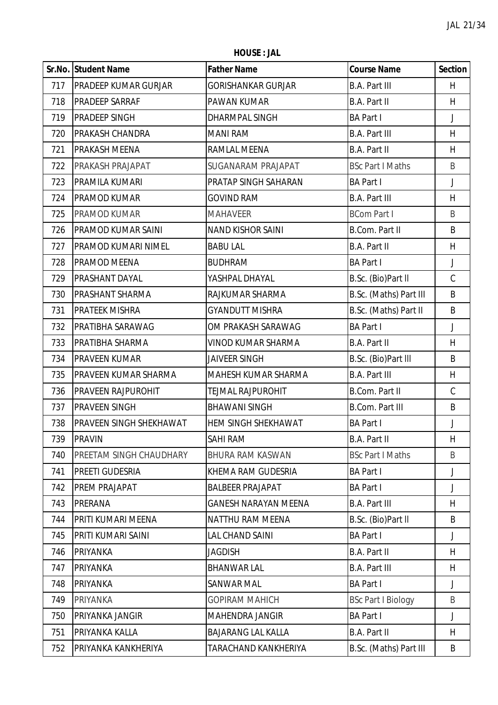**HOUSE : JAL**

|     | Sr.No. Student Name            | <b>Father Name</b>          | <b>Course Name</b>        | <b>Section</b> |
|-----|--------------------------------|-----------------------------|---------------------------|----------------|
| 717 | <b>PRADEEP KUMAR GURJAR</b>    | <b>GORISHANKAR GURJAR</b>   | <b>B.A. Part III</b>      | H              |
| 718 | <b>PRADEEP SARRAF</b>          | PAWAN KUMAR                 | B.A. Part II              | H              |
| 719 | <b>PRADEEP SINGH</b>           | <b>DHARMPAL SINGH</b>       | <b>BA Part I</b>          | $\mathsf J$    |
| 720 | <b>PRAKASH CHANDRA</b>         | <b>MANI RAM</b>             | <b>B.A. Part III</b>      | H              |
| 721 | PRAKASH MEENA                  | RAMLAL MEENA                | <b>B.A. Part II</b>       | H              |
| 722 | PRAKASH PRAJAPAT               | <b>SUGANARAM PRAJAPAT</b>   | <b>BSc Part I Maths</b>   | B              |
| 723 | PRAMILA KUMARI                 | PRATAP SINGH SAHARAN        | <b>BA Part I</b>          | J              |
| 724 | PRAMOD KUMAR                   | <b>GOVIND RAM</b>           | <b>B.A. Part III</b>      | H              |
| 725 | PRAMOD KUMAR                   | <b>MAHAVEER</b>             | <b>BCom Part I</b>        | B              |
| 726 | PRAMOD KUMAR SAINI             | <b>NAND KISHOR SAINI</b>    | <b>B.Com. Part II</b>     | B              |
| 727 | <b>PRAMOD KUMARI NIMEL</b>     | <b>BABU LAL</b>             | <b>B.A. Part II</b>       | H.             |
| 728 | PRAMOD MEENA                   | <b>BUDHRAM</b>              | <b>BA Part I</b>          | J              |
| 729 | PRASHANT DAYAL                 | YASHPAL DHAYAL              | B.Sc. (Bio)Part II        | $\mathsf C$    |
| 730 | <b>PRASHANT SHARMA</b>         | RAJKUMAR SHARMA             | B.Sc. (Maths) Part III    | B              |
| 731 | <b>PRATEEK MISHRA</b>          | <b>GYANDUTT MISHRA</b>      | B.Sc. (Maths) Part II     | B              |
| 732 | PRATIBHA SARAWAG               | OM PRAKASH SARAWAG          | <b>BA Part I</b>          | J              |
| 733 | PRATIBHA SHARMA                | <b>VINOD KUMAR SHARMA</b>   | B.A. Part II              | H              |
| 734 | PRAVEEN KUMAR                  | <b>JAIVEER SINGH</b>        | B.Sc. (Bio)Part III       | B              |
| 735 | <b>PRAVEEN KUMAR SHARMA</b>    | MAHESH KUMAR SHARMA         | <b>B.A. Part III</b>      | H              |
| 736 | <b>PRAVEEN RAJPUROHIT</b>      | TEJMAL RAJPUROHIT           | <b>B.Com. Part II</b>     | $\mathsf C$    |
| 737 | <b>PRAVEEN SINGH</b>           | <b>BHAWANI SINGH</b>        | <b>B.Com. Part III</b>    | B              |
| 738 | <b>PRAVEEN SINGH SHEKHAWAT</b> | <b>HEM SINGH SHEKHAWAT</b>  | <b>BA Part I</b>          | J              |
| 739 | <b>PRAVIN</b>                  | SAHI RAM                    | <b>B.A. Part II</b>       | H              |
| 740 | PREETAM SINGH CHAUDHARY        | <b>BHURA RAM KASWAN</b>     | <b>BSc Part I Maths</b>   | B              |
| 741 | PREETI GUDESRIA                | KHEMA RAM GUDESRIA          | <b>BA Part I</b>          | J              |
| 742 | PREM PRAJAPAT                  | <b>BALBEER PRAJAPAT</b>     | <b>BA Part I</b>          | J              |
| 743 | <b>PRERANA</b>                 | <b>GANESH NARAYAN MEENA</b> | <b>B.A. Part III</b>      | H              |
| 744 | PRITI KUMARI MEENA             | <b>NATTHU RAM MEENA</b>     | B.Sc. (Bio)Part II        | B              |
| 745 | PRITI KUMARI SAINI             | LAL CHAND SAINI             | <b>BA Part I</b>          | J              |
| 746 | PRIYANKA                       | JAGDISH                     | <b>B.A. Part II</b>       | H              |
| 747 | PRIYANKA                       | <b>BHANWAR LAL</b>          | <b>B.A. Part III</b>      | H              |
| 748 | <b>PRIYANKA</b>                | SANWAR MAL                  | <b>BA Part I</b>          | J              |
| 749 | PRIYANKA                       | <b>GOPIRAM MAHICH</b>       | <b>BSc Part I Biology</b> | B              |
| 750 | PRIYANKA JANGIR                | <b>MAHENDRA JANGIR</b>      | <b>BA Part I</b>          | J              |
| 751 | PRIYANKA KALLA                 | <b>BAJARANG LAL KALLA</b>   | <b>B.A. Part II</b>       | H              |
| 752 | PRIYANKA KANKHERIYA            | TARACHAND KANKHERIYA        | B.Sc. (Maths) Part III    | B              |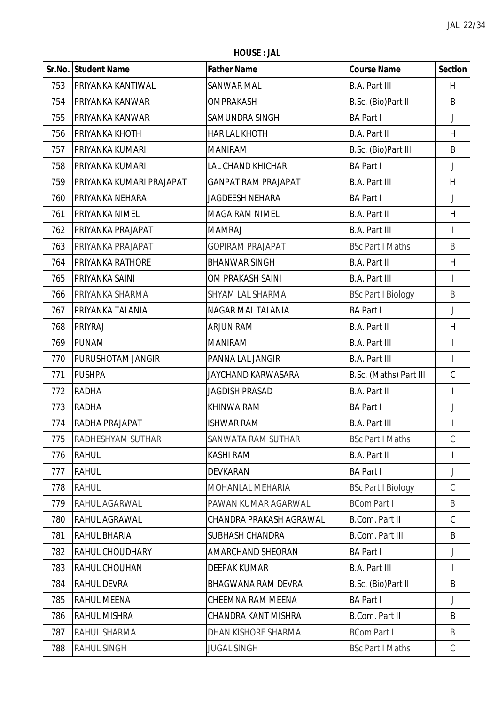**HOUSE : JAL**

|     | Sr.No. Student Name      | <b>Father Name</b>         | <b>Course Name</b>        | <b>Section</b>           |
|-----|--------------------------|----------------------------|---------------------------|--------------------------|
| 753 | PRIYANKA KANTIWAL        | <b>SANWAR MAL</b>          | <b>B.A. Part III</b>      | H.                       |
| 754 | PRIYANKA KANWAR          | <b>OMPRAKASH</b>           | B.Sc. (Bio)Part II        | B                        |
| 755 | PRIYANKA KANWAR          | SAMUNDRA SINGH             | <b>BA Part I</b>          | J                        |
| 756 | PRIYANKA KHOTH           | HAR LAL KHOTH              | <b>B.A. Part II</b>       | H                        |
| 757 | PRIYANKA KUMARI          | <b>MANIRAM</b>             | B.Sc. (Bio)Part III       | B                        |
| 758 | PRIYANKA KUMARI          | LAL CHAND KHICHAR          | <b>BA Part I</b>          | J                        |
| 759 | PRIYANKA KUMARI PRAJAPAT | <b>GANPAT RAM PRAJAPAT</b> | <b>B.A. Part III</b>      | H                        |
| 760 | PRIYANKA NEHARA          | JAGDEESH NEHARA            | <b>BA Part I</b>          | J                        |
| 761 | PRIYANKA NIMEL           | <b>MAGA RAM NIMEL</b>      | <b>B.A. Part II</b>       | H                        |
| 762 | PRIYANKA PRAJAPAT        | <b>MAMRAJ</b>              | <b>B.A. Part III</b>      | $\overline{\phantom{a}}$ |
| 763 | PRIYANKA PRAJAPAT        | <b>GOPIRAM PRAJAPAT</b>    | <b>BSc Part I Maths</b>   | B                        |
| 764 | PRIYANKA RATHORE         | <b>BHANWAR SINGH</b>       | <b>B.A. Part II</b>       | H                        |
| 765 | PRIYANKA SAINI           | OM PRAKASH SAINI           | <b>B.A. Part III</b>      | $\mathsf{I}$             |
| 766 | PRIYANKA SHARMA          | SHYAM LAL SHARMA           | <b>BSc Part I Biology</b> | B                        |
| 767 | PRIYANKA TALANIA         | NAGAR MAL TALANIA          | <b>BA Part I</b>          | $\overline{\mathsf{I}}$  |
| 768 | PRIYRAJ                  | ARJUN RAM                  | <b>B.A. Part II</b>       | H                        |
| 769 | <b>PUNAM</b>             | <b>MANIRAM</b>             | <b>B.A. Part III</b>      | I                        |
| 770 | PURUSHOTAM JANGIR        | PANNA LAL JANGIR           | <b>B.A. Part III</b>      | $\mathsf{I}$             |
| 771 | <b>PUSHPA</b>            | JAYCHAND KARWASARA         | B.Sc. (Maths) Part III    | $\mathsf C$              |
| 772 | <b>RADHA</b>             | <b>JAGDISH PRASAD</b>      | <b>B.A. Part II</b>       | $\overline{1}$           |
| 773 | <b>RADHA</b>             | KHINWA RAM                 | <b>BA Part I</b>          | J                        |
| 774 | RADHA PRAJAPAT           | <b>ISHWAR RAM</b>          | <b>B.A. Part III</b>      |                          |
| 775 | <b>RADHESHYAM SUTHAR</b> | SANWATA RAM SUTHAR         | <b>BSc Part I Maths</b>   | $\mathcal{C}$            |
| 776 | <b>RAHUL</b>             | <b>KASHI RAM</b>           | <b>B.A. Part II</b>       |                          |
| 777 | <b>RAHUL</b>             | <b>DEVKARAN</b>            | <b>BA Part I</b>          | J                        |
| 778 | <b>RAHUL</b>             | MOHANLAL MEHARIA           | <b>BSc Part I Biology</b> | C                        |
| 779 | RAHUL AGARWAL            | PAWAN KUMAR AGARWAL        | <b>BCom Part I</b>        | B                        |
| 780 | RAHUL AGRAWAL            | CHANDRA PRAKASH AGRAWAL    | <b>B.Com. Part II</b>     | $\mathsf{C}$             |
| 781 | RAHUL BHARIA             | SUBHASH CHANDRA            | <b>B.Com. Part III</b>    | B                        |
| 782 | <b>RAHUL CHOUDHARY</b>   | AMARCHAND SHEORAN          | <b>BA Part I</b>          | J                        |
| 783 | RAHUL CHOUHAN            | <b>DEEPAK KUMAR</b>        | <b>B.A. Part III</b>      | I                        |
| 784 | <b>RAHUL DEVRA</b>       | <b>BHAGWANA RAM DEVRA</b>  | B.Sc. (Bio)Part II        | B                        |
| 785 | RAHUL MEENA              | <b>CHEEMNA RAM MEENA</b>   | <b>BA Part I</b>          | J                        |
| 786 | RAHUL MISHRA             | <b>CHANDRA KANT MISHRA</b> | <b>B.Com. Part II</b>     | B                        |
| 787 | RAHUL SHARMA             | DHAN KISHORE SHARMA        | <b>BCom Part I</b>        | B                        |
| 788 | <b>RAHUL SINGH</b>       | <b>JUGAL SINGH</b>         | <b>BSc Part I Maths</b>   | C                        |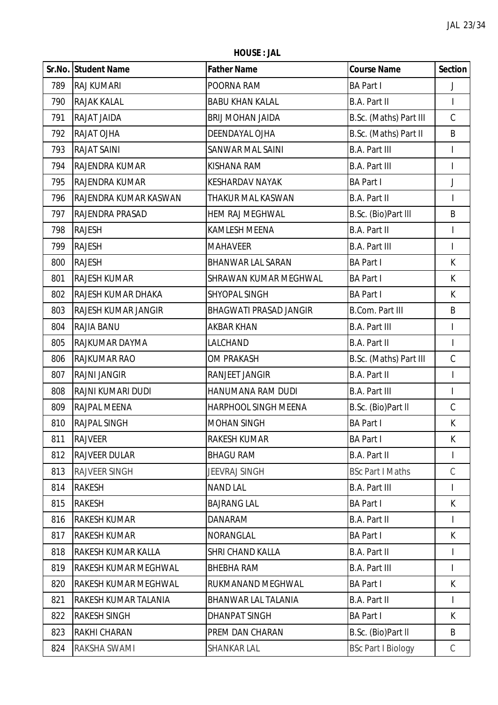**HOUSE : JAL**

|     | Sr.No. Student Name   | <b>Father Name</b>            | <b>Course Name</b>        | <b>Section</b>           |
|-----|-----------------------|-------------------------------|---------------------------|--------------------------|
| 789 | <b>RAJ KUMARI</b>     | POORNA RAM                    | <b>BA Part I</b>          | J                        |
| 790 | <b>RAJAK KALAL</b>    | <b>BABU KHAN KALAL</b>        | <b>B.A. Part II</b>       | $\overline{\phantom{a}}$ |
| 791 | RAJAT JAIDA           | <b>BRIJ MOHAN JAIDA</b>       | B.Sc. (Maths) Part III    | $\mathsf C$              |
| 792 | RAJAT OJHA            | DEENDAYAL OJHA                | B.Sc. (Maths) Part II     | B                        |
| 793 | <b>RAJAT SAINI</b>    | <b>SANWAR MAL SAINI</b>       | <b>B.A. Part III</b>      | $\overline{\phantom{a}}$ |
| 794 | RAJENDRA KUMAR        | KISHANA RAM                   | <b>B.A. Part III</b>      | $\overline{1}$           |
| 795 | <b>RAJENDRA KUMAR</b> | <b>KESHARDAV NAYAK</b>        | <b>BA Part I</b>          | J                        |
| 796 | RAJENDRA KUMAR KASWAN | THAKUR MAL KASWAN             | B.A. Part II              | $\mathsf{I}$             |
| 797 | RAJENDRA PRASAD       | <b>HEM RAJ MEGHWAL</b>        | B.Sc. (Bio)Part III       | B                        |
| 798 | <b>RAJESH</b>         | <b>KAMLESH MEENA</b>          | <b>B.A. Part II</b>       | $\overline{\phantom{a}}$ |
| 799 | <b>RAJESH</b>         | <b>MAHAVEER</b>               | <b>B.A. Part III</b>      | $\overline{1}$           |
| 800 | <b>RAJESH</b>         | <b>BHANWAR LAL SARAN</b>      | <b>BA Part I</b>          | K                        |
| 801 | <b>RAJESH KUMAR</b>   | SHRAWAN KUMAR MEGHWAL         | <b>BA Part I</b>          | K                        |
| 802 | RAJESH KUMAR DHAKA    | SHYOPAL SINGH                 | <b>BA Part I</b>          | K                        |
| 803 | RAJESH KUMAR JANGIR   | <b>BHAGWATI PRASAD JANGIR</b> | <b>B.Com. Part III</b>    | B                        |
| 804 | RAJIA BANU            | AKBAR KHAN                    | <b>B.A. Part III</b>      | I                        |
| 805 | RAJKUMAR DAYMA        | LALCHAND                      | <b>B.A. Part II</b>       | $\mathsf{I}$             |
| 806 | <b>RAJKUMAR RAO</b>   | <b>OM PRAKASH</b>             | B.Sc. (Maths) Part III    | $\mathsf C$              |
| 807 | <b>RAJNI JANGIR</b>   | RANJEET JANGIR                | <b>B.A. Part II</b>       | $\overline{\phantom{a}}$ |
| 808 | RAJNI KUMARI DUDI     | HANUMANA RAM DUDI             | <b>B.A. Part III</b>      | $\overline{\phantom{a}}$ |
| 809 | RAJPAL MEENA          | <b>HARPHOOL SINGH MEENA</b>   | B.Sc. (Bio)Part II        | $\mathsf C$              |
| 810 | <b>RAJPAL SINGH</b>   | <b>MOHAN SINGH</b>            | <b>BA Part I</b>          | К                        |
| 811 | <b>RAJVEER</b>        | <b>RAKESH KUMAR</b>           | <b>BA Part I</b>          | K                        |
| 812 | <b>RAJVEER DULAR</b>  | <b>BHAGU RAM</b>              | <b>B.A. Part II</b>       |                          |
| 813 | <b>RAJVEER SINGH</b>  | <b>JEEVRAJ SINGH</b>          | <b>BSc Part I Maths</b>   | $\mathsf C$              |
| 814 | <b>RAKESH</b>         | <b>NAND LAL</b>               | <b>B.A. Part III</b>      | I                        |
| 815 | <b>RAKESH</b>         | <b>BAJRANG LAL</b>            | <b>BA Part I</b>          | K                        |
| 816 | RAKESH KUMAR          | <b>DANARAM</b>                | <b>B.A. Part II</b>       | $\mathsf{I}$             |
| 817 | <b>RAKESH KUMAR</b>   | NORANGLAL                     | <b>BA Part I</b>          | K                        |
| 818 | RAKESH KUMAR KALLA    | <b>SHRI CHAND KALLA</b>       | <b>B.A. Part II</b>       |                          |
| 819 | RAKESH KUMAR MEGHWAL  | <b>BHEBHA RAM</b>             | <b>B.A. Part III</b>      | I                        |
| 820 | RAKESH KUMAR MEGHWAL  | RUKMANAND MEGHWAL             | <b>BA Part I</b>          | K                        |
| 821 | RAKESH KUMAR TALANIA  | BHANWAR LAL TALANIA           | <b>B.A. Part II</b>       | $\mathsf{I}$             |
| 822 | <b>RAKESH SINGH</b>   | <b>DHANPAT SINGH</b>          | <b>BA Part I</b>          | K                        |
| 823 | RAKHI CHARAN          | PREM DAN CHARAN               | B.Sc. (Bio)Part II        | B                        |
| 824 | RAKSHA SWAMI          | SHANKAR LAL                   | <b>BSc Part I Biology</b> | C                        |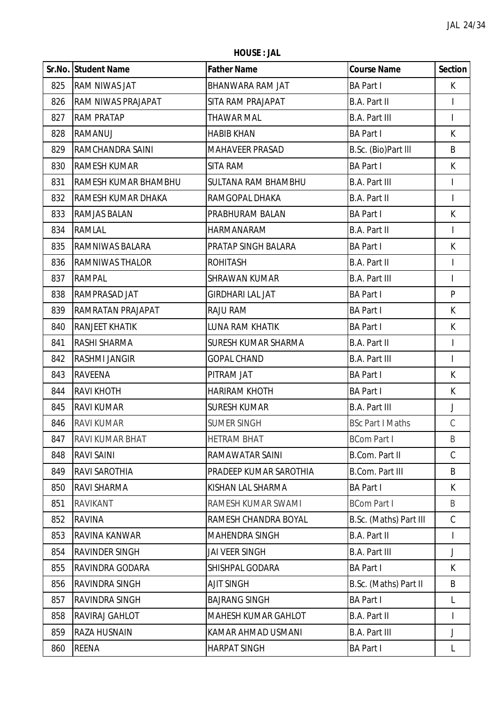**HOUSE : JAL**

|     | Sr.No. Student Name    | <b>Father Name</b>         | <b>Course Name</b>      | <b>Section</b>           |
|-----|------------------------|----------------------------|-------------------------|--------------------------|
| 825 | <b>RAM NIWAS JAT</b>   | BHANWARA RAM JAT           | <b>BA Part I</b>        | K                        |
| 826 | RAM NIWAS PRAJAPAT     | SITA RAM PRAJAPAT          | <b>B.A. Part II</b>     | $\overline{\phantom{a}}$ |
| 827 | <b>RAM PRATAP</b>      | <b>THAWAR MAL</b>          | <b>B.A. Part III</b>    | I                        |
| 828 | RAMANUJ                | <b>HABIB KHAN</b>          | <b>BA Part I</b>        | K                        |
| 829 | RAMCHANDRA SAINI       | <b>MAHAVEER PRASAD</b>     | B.Sc. (Bio)Part III     | B                        |
| 830 | RAMESH KUMAR           | SITA RAM                   | <b>BA Part I</b>        | K                        |
| 831 | RAMESH KUMAR BHAMBHU   | <b>SULTANA RAM BHAMBHU</b> | <b>B.A. Part III</b>    | I                        |
| 832 | RAMESH KUMAR DHAKA     | RAMGOPAL DHAKA             | B.A. Part II            | $\overline{1}$           |
| 833 | RAMJAS BALAN           | PRABHURAM BALAN            | <b>BA Part I</b>        | $\sf K$                  |
| 834 | <b>RAMLAL</b>          | <b>HARMANARAM</b>          | B.A. Part II            | $\overline{1}$           |
| 835 | RAMNIWAS BALARA        | PRATAP SINGH BALARA        | <b>BA Part I</b>        | K                        |
| 836 | <b>RAMNIWAS THALOR</b> | <b>ROHITASH</b>            | <b>B.A. Part II</b>     | $\mathsf{I}$             |
| 837 | <b>RAMPAL</b>          | <b>SHRAWAN KUMAR</b>       | <b>B.A. Part III</b>    | $\mathsf{I}$             |
| 838 | RAMPRASAD JAT          | <b>GIRDHARI LAL JAT</b>    | <b>BA Part I</b>        | $\mathsf{P}$             |
| 839 | RAMRATAN PRAJAPAT      | RAJU RAM                   | <b>BA Part I</b>        | $\sf K$                  |
| 840 | <b>RANJEET KHATIK</b>  | LUNA RAM KHATIK            | <b>BA Part I</b>        | K                        |
| 841 | RASHI SHARMA           | SURESH KUMAR SHARMA        | <b>B.A. Part II</b>     | $\mathsf{I}$             |
| 842 | <b>RASHMI JANGIR</b>   | <b>GOPAL CHAND</b>         | <b>B.A. Part III</b>    | $\overline{1}$           |
| 843 | <b>RAVEENA</b>         | PITRAM JAT                 | <b>BA Part I</b>        | K                        |
| 844 | <b>RAVI KHOTH</b>      | <b>HARIRAM KHOTH</b>       | <b>BA Part I</b>        | К                        |
| 845 | <b>RAVI KUMAR</b>      | <b>SURESH KUMAR</b>        | <b>B.A. Part III</b>    | J                        |
| 846 | <b>RAVI KUMAR</b>      | <b>SUMER SINGH</b>         | <b>BSc Part I Maths</b> | $\mathsf C$              |
| 847 | <b>RAVI KUMAR BHAT</b> | <b>HETRAM BHAT</b>         | <b>BCom Part I</b>      | B                        |
| 848 | <b>RAVI SAINI</b>      | RAMAWATAR SAINI            | <b>B.Com. Part II</b>   | $\mathsf C$              |
| 849 | RAVI SAROTHIA          | PRADEEP KUMAR SAROTHIA     | <b>B.Com. Part III</b>  | B                        |
| 850 | RAVI SHARMA            | KISHAN LAL SHARMA          | <b>BA Part I</b>        | K                        |
| 851 | <b>RAVIKANT</b>        | RAMESH KUMAR SWAMI         | <b>BCom Part I</b>      | B                        |
| 852 | <b>RAVINA</b>          | RAMESH CHANDRA BOYAL       | B.Sc. (Maths) Part III  | $\mathcal{C}$            |
| 853 | RAVINA KANWAR          | <b>MAHENDRA SINGH</b>      | <b>B.A. Part II</b>     | I                        |
| 854 | <b>RAVINDER SINGH</b>  | JAI VEER SINGH             | <b>B.A. Part III</b>    | J                        |
| 855 | RAVINDRA GODARA        | SHISHPAL GODARA            | <b>BA Part I</b>        | K                        |
| 856 | RAVINDRA SINGH         | <b>AJIT SINGH</b>          | B.Sc. (Maths) Part II   | B                        |
| 857 | RAVINDRA SINGH         | <b>BAJRANG SINGH</b>       | <b>BA Part I</b>        | L                        |
| 858 | RAVIRAJ GAHLOT         | MAHESH KUMAR GAHLOT        | <b>B.A. Part II</b>     | $\mathsf{I}$             |
| 859 | <b>RAZA HUSNAIN</b>    | KAMAR AHMAD USMANI         | <b>B.A. Part III</b>    | J                        |
| 860 | <b>REENA</b>           | <b>HARPAT SINGH</b>        | <b>BA Part I</b>        | L                        |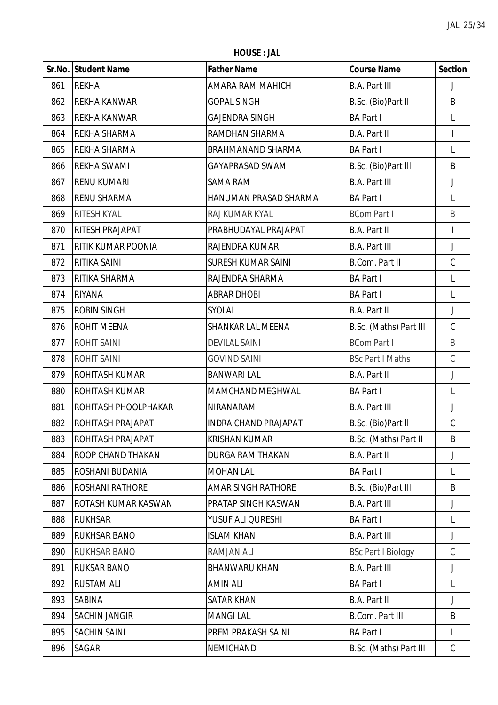**HOUSE : JAL**

|     | Sr.No. Student Name      | <b>Father Name</b>        | <b>Course Name</b>        | <b>Section</b>           |
|-----|--------------------------|---------------------------|---------------------------|--------------------------|
| 861 | <b>REKHA</b>             | AMARA RAM MAHICH          | <b>B.A. Part III</b>      | J                        |
| 862 | <b>REKHA KANWAR</b>      | <b>GOPAL SINGH</b>        | B.Sc. (Bio)Part II        | B                        |
| 863 | <b>REKHA KANWAR</b>      | <b>GAJENDRA SINGH</b>     | <b>BA Part I</b>          | L                        |
| 864 | REKHA SHARMA             | RAMDHAN SHARMA            | <b>B.A. Part II</b>       | $\overline{\phantom{a}}$ |
| 865 | REKHA SHARMA             | <b>BRAHMANAND SHARMA</b>  | <b>BA Part I</b>          | L                        |
| 866 | <b>REKHA SWAMI</b>       | <b>GAYAPRASAD SWAMI</b>   | B.Sc. (Bio)Part III       | B                        |
| 867 | <b>RENU KUMARI</b>       | <b>SAMA RAM</b>           | <b>B.A. Part III</b>      | J                        |
| 868 | <b>RENU SHARMA</b>       | HANUMAN PRASAD SHARMA     | <b>BA Part I</b>          | L                        |
| 869 | RITESH KYAL              | RAJ KUMAR KYAL            | <b>BCom Part I</b>        | B                        |
| 870 | RITESH PRAJAPAT          | PRABHUDAYAL PRAJAPAT      | <b>B.A. Part II</b>       | $\overline{1}$           |
| 871 | RITIK KUMAR POONIA       | RAJENDRA KUMAR            | <b>B.A. Part III</b>      | J                        |
| 872 | RITIKA SAINI             | <b>SURESH KUMAR SAINI</b> | <b>B.Com. Part II</b>     | $\mathsf C$              |
| 873 | RITIKA SHARMA            | RAJENDRA SHARMA           | <b>BA Part I</b>          | L                        |
| 874 | <b>RIYANA</b>            | <b>ABRAR DHOBI</b>        | <b>BA Part I</b>          | L                        |
| 875 | <b>ROBIN SINGH</b>       | SYOLAL                    | <b>B.A. Part II</b>       | $\overline{\mathsf{I}}$  |
| 876 | <b>ROHIT MEENA</b>       | SHANKAR LAL MEENA         | B.Sc. (Maths) Part III    | C                        |
| 877 | <b>ROHIT SAINI</b>       | <b>DEVILAL SAINI</b>      | <b>BCom Part I</b>        | B                        |
| 878 | <b>ROHIT SAINI</b>       | <b>GOVIND SAINI</b>       | <b>BSc Part I Maths</b>   | $\mathsf C$              |
| 879 | ROHITASH KUMAR           | <b>BANWARI LAL</b>        | <b>B.A. Part II</b>       | J                        |
| 880 | <b>ROHITASH KUMAR</b>    | MAMCHAND MEGHWAL          | <b>BA Part I</b>          | L                        |
| 881 | ROHITASH PHOOLPHAKAR     | NIRANARAM                 | <b>B.A. Part III</b>      | J                        |
| 882 | ROHITASH PRAJAPAT        | INDRA CHAND PRAJAPAT      | B.Sc. (Bio)Part II        | $\mathsf C$              |
| 883 | <b>ROHITASH PRAJAPAT</b> | <b>KRISHAN KUMAR</b>      | B.Sc. (Maths) Part II     | B                        |
| 884 | ROOP CHAND THAKAN        | <b>DURGA RAM THAKAN</b>   | <b>B.A. Part II</b>       | J                        |
| 885 | ROSHANI BUDANIA          | <b>MOHAN LAL</b>          | <b>BA Part I</b>          | L                        |
| 886 | <b>ROSHANI RATHORE</b>   | <b>AMAR SINGH RATHORE</b> | B.Sc. (Bio)Part III       | B                        |
| 887 | ROTASH KUMAR KASWAN      | PRATAP SINGH KASWAN       | <b>B.A. Part III</b>      | J                        |
| 888 | <b>RUKHSAR</b>           | YUSUF ALI QURESHI         | <b>BA Part I</b>          | L                        |
| 889 | RUKHSAR BANO             | <b>ISLAM KHAN</b>         | <b>B.A. Part III</b>      | J                        |
| 890 | <b>RUKHSAR BANO</b>      | <b>RAMJAN ALI</b>         | <b>BSc Part I Biology</b> | $\mathsf C$              |
| 891 | <b>RUKSAR BANO</b>       | <b>BHANWARU KHAN</b>      | <b>B.A. Part III</b>      | J                        |
| 892 | <b>RUSTAM ALI</b>        | <b>AMIN ALI</b>           | <b>BA Part I</b>          | L                        |
| 893 | SABINA                   | <b>SATAR KHAN</b>         | <b>B.A. Part II</b>       | J                        |
| 894 | <b>SACHIN JANGIR</b>     | <b>MANGILAL</b>           | <b>B.Com. Part III</b>    | B                        |
| 895 | <b>SACHIN SAINI</b>      | PREM PRAKASH SAINI        | <b>BA Part I</b>          | L                        |
| 896 | SAGAR                    | NEMICHAND                 | B.Sc. (Maths) Part III    | $\mathsf C$              |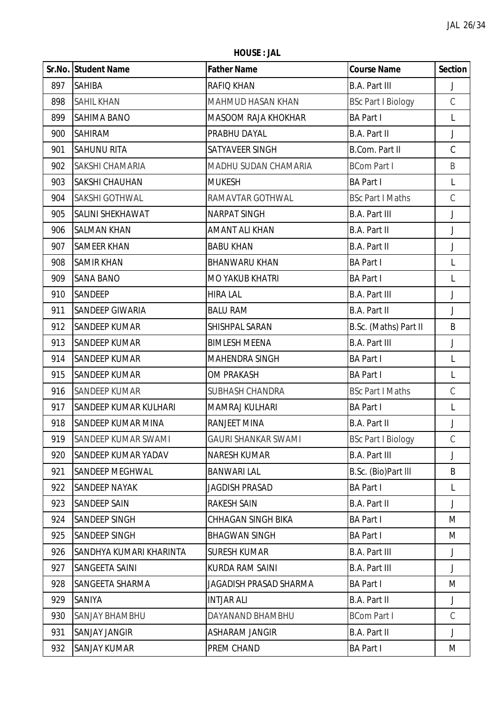**HOUSE : JAL**

|     | Sr.No. Student Name          | <b>Father Name</b>         | <b>Course Name</b>        | <b>Section</b> |
|-----|------------------------------|----------------------------|---------------------------|----------------|
| 897 | <b>SAHIBA</b>                | RAFIQ KHAN                 | <b>B.A. Part III</b>      | J              |
| 898 | <b>SAHIL KHAN</b>            | <b>MAHMUD HASAN KHAN</b>   | <b>BSc Part I Biology</b> | $\mathsf C$    |
| 899 | <b>SAHIMA BANO</b>           | MASOOM RAJA KHOKHAR        | <b>BA Part I</b>          | L              |
| 900 | <b>SAHIRAM</b>               | PRABHU DAYAL               | <b>B.A. Part II</b>       | J              |
| 901 | <b>SAHUNU RITA</b>           | SATYAVEER SINGH            | <b>B.Com. Part II</b>     | $\mathsf C$    |
| 902 | <b>SAKSHI CHAMARIA</b>       | MADHU SUDAN CHAMARIA       | <b>BCom Part I</b>        | B              |
| 903 | <b>SAKSHI CHAUHAN</b>        | <b>MUKESH</b>              | <b>BA Part I</b>          | L              |
| 904 | SAKSHI GOTHWAL               | RAMAVTAR GOTHWAL           | <b>BSc Part I Maths</b>   | $\mathsf C$    |
| 905 | SALINI SHEKHAWAT             | <b>NARPAT SINGH</b>        | <b>B.A. Part III</b>      | J              |
| 906 | <b>SALMAN KHAN</b>           | <b>AMANT ALI KHAN</b>      | <b>B.A. Part II</b>       | $\mathsf J$    |
| 907 | <b>SAMEER KHAN</b>           | <b>BABU KHAN</b>           | <b>B.A. Part II</b>       | J              |
| 908 | <b>SAMIR KHAN</b>            | <b>BHANWARU KHAN</b>       | <b>BA Part I</b>          | L              |
| 909 | <b>SANA BANO</b>             | <b>MO YAKUB KHATRI</b>     | <b>BA Part I</b>          | L              |
| 910 | <b>SANDEEP</b>               | <b>HIRA LAL</b>            | <b>B.A. Part III</b>      | J              |
| 911 | <b>SANDEEP GIWARIA</b>       | <b>BALU RAM</b>            | <b>B.A. Part II</b>       | $\mathsf J$    |
| 912 | <b>SANDEEP KUMAR</b>         | SHISHPAL SARAN             | B.Sc. (Maths) Part II     | B              |
| 913 | <b>SANDEEP KUMAR</b>         | <b>BIMLESH MEENA</b>       | <b>B.A. Part III</b>      | J              |
| 914 | <b>SANDEEP KUMAR</b>         | MAHENDRA SINGH             | <b>BA Part I</b>          | L              |
| 915 | <b>SANDEEP KUMAR</b>         | <b>OM PRAKASH</b>          | <b>BA Part I</b>          | L              |
| 916 | <b>SANDEEP KUMAR</b>         | SUBHASH CHANDRA            | <b>BSc Part I Maths</b>   | $\mathsf C$    |
| 917 | <b>SANDEEP KUMAR KULHARI</b> | MAMRAJ KULHARI             | <b>BA Part I</b>          | L              |
| 918 | <b>SANDEEP KUMAR MINA</b>    | <b>RANJEET MINA</b>        | <b>B.A. Part II</b>       | J              |
| 919 | SANDEEP KUMAR SWAMI          | <b>GAURI SHANKAR SWAMI</b> | <b>BSc Part I Biology</b> | $\mathcal{C}$  |
| 920 | <b>SANDEEP KUMAR YADAV</b>   | <b>NARESH KUMAR</b>        | <b>B.A. Part III</b>      | J              |
| 921 | <b>SANDEEP MEGHWAL</b>       | <b>BANWARI LAL</b>         | B.Sc. (Bio)Part III       | B              |
| 922 | <b>SANDEEP NAYAK</b>         | <b>JAGDISH PRASAD</b>      | <b>BA Part I</b>          | L              |
| 923 | <b>SANDEEP SAIN</b>          | <b>RAKESH SAIN</b>         | <b>B.A. Part II</b>       | J              |
| 924 | SANDEEP SINGH                | <b>CHHAGAN SINGH BIKA</b>  | <b>BA Part I</b>          | M              |
| 925 | SANDEEP SINGH                | <b>BHAGWAN SINGH</b>       | <b>BA Part I</b>          | M              |
| 926 | SANDHYA KUMARI KHARINTA      | <b>SURESH KUMAR</b>        | <b>B.A. Part III</b>      | J              |
| 927 | SANGEETA SAINI               | <b>KURDA RAM SAINI</b>     | <b>B.A. Part III</b>      | J              |
| 928 | <b>SANGEETA SHARMA</b>       | JAGADISH PRASAD SHARMA     | <b>BA Part I</b>          | M              |
| 929 | SANIYA                       | <b>INTJAR ALI</b>          | <b>B.A. Part II</b>       | J              |
| 930 | <b>SANJAY BHAMBHU</b>        | DAYANAND BHAMBHU           | <b>BCom Part I</b>        | $\mathsf C$    |
| 931 | <b>SANJAY JANGIR</b>         | <b>ASHARAM JANGIR</b>      | <b>B.A. Part II</b>       | J              |
| 932 | SANJAY KUMAR                 | PREM CHAND                 | <b>BA Part I</b>          | M              |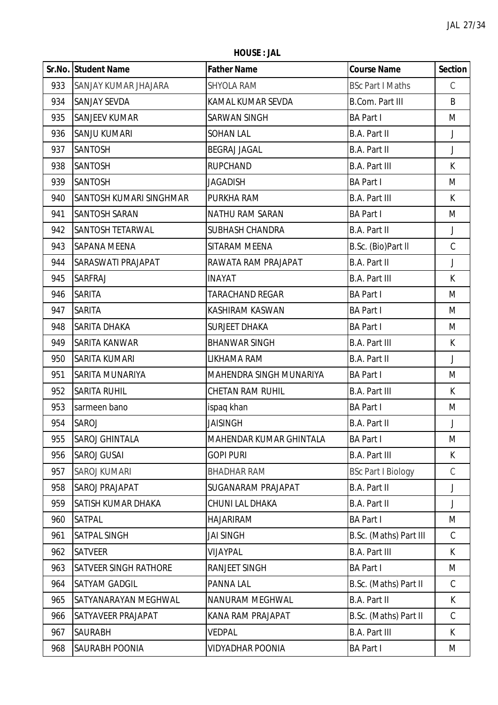**HOUSE : JAL**

|     | Sr.No. Student Name            | <b>Father Name</b>        | <b>Course Name</b>        | <b>Section</b> |
|-----|--------------------------------|---------------------------|---------------------------|----------------|
| 933 | <b>SANJAY KUMAR JHAJARA</b>    | <b>SHYOLA RAM</b>         | <b>BSc Part I Maths</b>   | $\mathsf C$    |
| 934 | <b>SANJAY SEVDA</b>            | KAMAL KUMAR SEVDA         | <b>B.Com. Part III</b>    | B              |
| 935 | <b>SANJEEV KUMAR</b>           | <b>SARWAN SINGH</b>       | <b>BA Part I</b>          | M              |
| 936 | <b>SANJU KUMARI</b>            | <b>SOHAN LAL</b>          | <b>B.A. Part II</b>       | J              |
| 937 | <b>SANTOSH</b>                 | <b>BEGRAJ JAGAL</b>       | <b>B.A. Part II</b>       | $\mathsf J$    |
| 938 | <b>SANTOSH</b>                 | <b>RUPCHAND</b>           | <b>B.A. Part III</b>      | K              |
| 939 | <b>SANTOSH</b>                 | <b>JAGADISH</b>           | <b>BA Part I</b>          | M              |
| 940 | <b>SANTOSH KUMARI SINGHMAR</b> | PURKHA RAM                | <b>B.A. Part III</b>      | $\mathsf{K}$   |
| 941 | <b>SANTOSH SARAN</b>           | NATHU RAM SARAN           | <b>BA Part I</b>          | M              |
| 942 | <b>SANTOSH TETARWAL</b>        | <b>SUBHASH CHANDRA</b>    | <b>B.A. Part II</b>       | $\mathsf J$    |
| 943 | <b>SAPANA MEENA</b>            | SITARAM MEENA             | B.Sc. (Bio)Part II        | $\mathsf C$    |
| 944 | SARASWATI PRAJAPAT             | RAWATA RAM PRAJAPAT       | <b>B.A. Part II</b>       | J              |
| 945 | SARFRAJ                        | <b>INAYAT</b>             | <b>B.A. Part III</b>      | K              |
| 946 | <b>SARITA</b>                  | <b>TARACHAND REGAR</b>    | <b>BA Part I</b>          | M              |
| 947 | <b>SARITA</b>                  | KASHIRAM KASWAN           | <b>BA Part I</b>          | M              |
| 948 | <b>SARITA DHAKA</b>            | <b>SURJEET DHAKA</b>      | <b>BA Part I</b>          | M              |
| 949 | SARITA KANWAR                  | <b>BHANWAR SINGH</b>      | <b>B.A. Part III</b>      | K              |
| 950 | SARITA KUMARI                  | LIKHAMA RAM               | <b>B.A. Part II</b>       | $\mathsf J$    |
| 951 | <b>SARITA MUNARIYA</b>         | MAHENDRA SINGH MUNARIYA   | <b>BA Part I</b>          | M              |
| 952 | <b>SARITA RUHIL</b>            | <b>CHETAN RAM RUHIL</b>   | <b>B.A. Part III</b>      | K              |
| 953 | sarmeen bano                   | ispaq khan                | <b>BA Part I</b>          | M              |
| 954 | SAROJ                          | <b>JAISINGH</b>           | <b>B.A. Part II</b>       | J              |
| 955 | <b>SAROJ GHINTALA</b>          | MAHENDAR KUMAR GHINTALA   | <b>BA Part I</b>          | M              |
| 956 | <b>SAROJ GUSAI</b>             | <b>GOPI PURI</b>          | <b>B.A. Part III</b>      | K              |
| 957 | <b>SAROJ KUMARI</b>            | <b>BHADHAR RAM</b>        | <b>BSc Part I Biology</b> | C              |
| 958 | SAROJ PRAJAPAT                 | <b>SUGANARAM PRAJAPAT</b> | <b>B.A. Part II</b>       | J              |
| 959 | <b>SATISH KUMAR DHAKA</b>      | CHUNI LAL DHAKA           | <b>B.A. Part II</b>       | J              |
| 960 | <b>SATPAL</b>                  | HAJARIRAM                 | <b>BA Part I</b>          | M              |
| 961 | <b>SATPAL SINGH</b>            | <b>JAI SINGH</b>          | B.Sc. (Maths) Part III    | $\mathsf C$    |
| 962 | <b>SATVEER</b>                 | VIJAYPAL                  | <b>B.A. Part III</b>      | K.             |
| 963 | <b>SATVEER SINGH RATHORE</b>   | RANJEET SINGH             | <b>BA Part I</b>          | M              |
| 964 | <b>SATYAM GADGIL</b>           | PANNA LAL                 | B.Sc. (Maths) Part II     | C              |
| 965 | SATYANARAYAN MEGHWAL           | NANURAM MEGHWAL           | <b>B.A. Part II</b>       | K              |
| 966 | SATYAVEER PRAJAPAT             | KANA RAM PRAJAPAT         | B.Sc. (Maths) Part II     | $\mathsf C$    |
| 967 | <b>SAURABH</b>                 | <b>VEDPAL</b>             | <b>B.A. Part III</b>      | K.             |
| 968 | <b>SAURABH POONIA</b>          | <b>VIDYADHAR POONIA</b>   | <b>BA Part I</b>          | M              |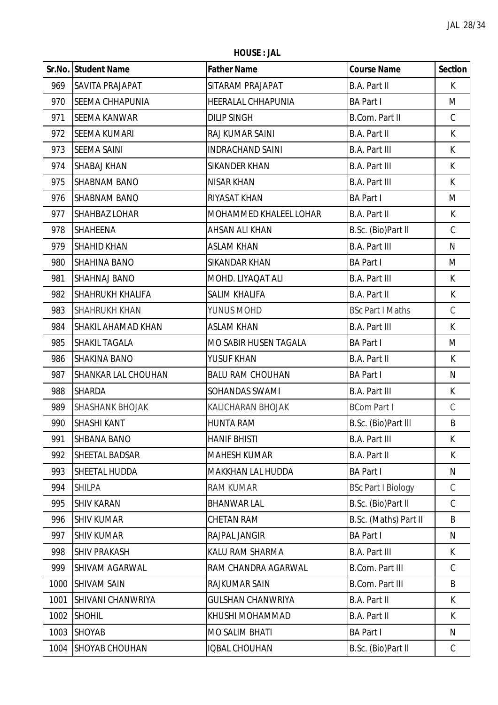**HOUSE : JAL**

|      | Sr.No. Student Name     | <b>Father Name</b>        | <b>Course Name</b>        | <b>Section</b> |
|------|-------------------------|---------------------------|---------------------------|----------------|
| 969  | SAVITA PRAJAPAT         | SITARAM PRAJAPAT          | <b>B.A. Part II</b>       | $\mathsf{K}$   |
| 970  | <b>SEEMA CHHAPUNIA</b>  | <b>HEERALAL CHHAPUNIA</b> | <b>BA Part I</b>          | M              |
| 971  | <b>SEEMA KANWAR</b>     | <b>DILIP SINGH</b>        | <b>B.Com. Part II</b>     | $\mathsf C$    |
| 972  | <b>SEEMA KUMARI</b>     | RAJ KUMAR SAINI           | <b>B.A. Part II</b>       | K              |
| 973  | <b>SEEMA SAINI</b>      | <b>INDRACHAND SAINI</b>   | <b>B.A. Part III</b>      | K              |
| 974  | <b>SHABAJ KHAN</b>      | <b>SIKANDER KHAN</b>      | <b>B.A. Part III</b>      | K              |
| 975  | <b>SHABNAM BANO</b>     | <b>NISAR KHAN</b>         | <b>B.A. Part III</b>      | K              |
| 976  | <b>SHABNAM BANO</b>     | RIYASAT KHAN              | <b>BA Part I</b>          | M              |
| 977  | <b>SHAHBAZ LOHAR</b>    | MOHAMMED KHALEEL LOHAR    | <b>B.A. Part II</b>       | K              |
| 978  | SHAHEENA                | AHSAN ALI KHAN            | B.Sc. (Bio)Part II        | $\mathsf C$    |
| 979  | <b>SHAHID KHAN</b>      | <b>ASLAM KHAN</b>         | <b>B.A. Part III</b>      | N              |
| 980  | <b>SHAHINA BANO</b>     | <b>SIKANDAR KHAN</b>      | <b>BA Part I</b>          | M              |
| 981  | <b>SHAHNAJ BANO</b>     | MOHD. LIYAQAT ALI         | <b>B.A. Part III</b>      | K              |
| 982  | <b>SHAHRUKH KHALIFA</b> | <b>SALIM KHALIFA</b>      | B.A. Part II              | K              |
| 983  | <b>SHAHRUKH KHAN</b>    | YUNUS MOHD                | <b>BSc Part I Maths</b>   | $\mathsf C$    |
| 984  | SHAKIL AHAMAD KHAN      | <b>ASLAM KHAN</b>         | <b>B.A. Part III</b>      | K              |
| 985  | <b>SHAKIL TAGALA</b>    | MO SABIR HUSEN TAGALA     | <b>BA Part I</b>          | M              |
| 986  | <b>SHAKINA BANO</b>     | YUSUF KHAN                | <b>B.A. Part II</b>       | K              |
| 987  | SHANKAR LAL CHOUHAN     | <b>BALU RAM CHOUHAN</b>   | <b>BA Part I</b>          | ${\sf N}$      |
| 988  | <b>SHARDA</b>           | SOHANDAS SWAMI            | <b>B.A. Part III</b>      | K              |
| 989  | <b>SHASHANK BHOJAK</b>  | KALICHARAN BHOJAK         | <b>BCom Part I</b>        | $\mathsf C$    |
| 990  | SHASHI KANT             | <b>HUNTA RAM</b>          | B.Sc. (Bio)Part III       | B              |
| 991  | <b>SHBANA BANO</b>      | <b>HANIF BHISTI</b>       | <b>B.A. Part III</b>      | K              |
| 992  | SHEETAL BADSAR          | <b>MAHESH KUMAR</b>       | <b>B.A. Part II</b>       | K              |
| 993  | SHEETAL HUDDA           | <b>MAKKHAN LAL HUDDA</b>  | <b>BA Part I</b>          | N              |
| 994  | <b>SHILPA</b>           | <b>RAM KUMAR</b>          | <b>BSc Part I Biology</b> | $\mathcal{C}$  |
| 995  | <b>SHIV KARAN</b>       | <b>BHANWAR LAL</b>        | B.Sc. (Bio)Part II        | $\mathcal{C}$  |
| 996  | <b>SHIV KUMAR</b>       | <b>CHETAN RAM</b>         | B.Sc. (Maths) Part II     | B              |
| 997  | <b>SHIV KUMAR</b>       | RAJPAL JANGIR             | <b>BA Part I</b>          | N              |
| 998  | <b>SHIV PRAKASH</b>     | KALU RAM SHARMA           | <b>B.A. Part III</b>      | K              |
| 999  | SHIVAM AGARWAL          | RAM CHANDRA AGARWAL       | <b>B.Com. Part III</b>    | $\mathcal{C}$  |
| 1000 | <b>SHIVAM SAIN</b>      | RAJKUMAR SAIN             | <b>B.Com. Part III</b>    | B              |
| 1001 | SHIVANI CHANWRIYA       | <b>GULSHAN CHANWRIYA</b>  | <b>B.A. Part II</b>       | K              |
| 1002 | <b>SHOHIL</b>           | KHUSHI MOHAMMAD           | <b>B.A. Part II</b>       | K              |
| 1003 | <b>SHOYAB</b>           | <b>MO SALIM BHATI</b>     | <b>BA Part I</b>          | N              |
| 1004 | SHOYAB CHOUHAN          | <b>IQBAL CHOUHAN</b>      | B.Sc. (Bio)Part II        | $\mathsf C$    |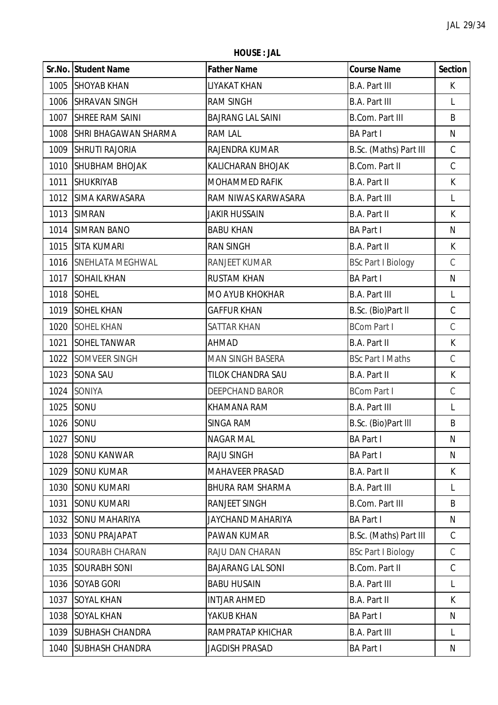**HOUSE : JAL**

|      | Sr.No. Student Name         | <b>Father Name</b>       | <b>Course Name</b>        | <b>Section</b> |
|------|-----------------------------|--------------------------|---------------------------|----------------|
|      | 1005 SHOYAB KHAN            | LIYAKAT KHAN             | <b>B.A. Part III</b>      | K              |
| 1006 | <b>SHRAVAN SINGH</b>        | <b>RAM SINGH</b>         | <b>B.A. Part III</b>      | L              |
| 1007 | <b>SHREE RAM SAINI</b>      | <b>BAJRANG LAL SAINI</b> | <b>B.Com. Part III</b>    | B              |
| 1008 | <b>SHRI BHAGAWAN SHARMA</b> | <b>RAM LAL</b>           | <b>BA Part I</b>          | N              |
| 1009 | <b>SHRUTI RAJORIA</b>       | RAJENDRA KUMAR           | B.Sc. (Maths) Part III    | $\mathsf C$    |
| 1010 | <b>SHUBHAM BHOJAK</b>       | KALICHARAN BHOJAK        | <b>B.Com. Part II</b>     | $\mathsf C$    |
| 1011 | <b>SHUKRIYAB</b>            | MOHAMMED RAFIK           | <b>B.A. Part II</b>       | K              |
| 1012 | <b>SIMA KARWASARA</b>       | RAM NIWAS KARWASARA      | <b>B.A. Part III</b>      | L              |
| 1013 | <b>SIMRAN</b>               | <b>JAKIR HUSSAIN</b>     | <b>B.A. Part II</b>       | K              |
| 1014 | <b>SIMRAN BANO</b>          | <b>BABU KHAN</b>         | <b>BA Part I</b>          | N              |
|      | 1015 SITA KUMARI            | <b>RAN SINGH</b>         | <b>B.A. Part II</b>       | K              |
| 1016 | <b>SNEHLATA MEGHWAL</b>     | RANJEET KUMAR            | <b>BSc Part I Biology</b> | $\mathsf C$    |
| 1017 | <b>SOHAIL KHAN</b>          | <b>RUSTAM KHAN</b>       | <b>BA Part I</b>          | $\mathsf{N}$   |
| 1018 | <b>SOHEL</b>                | <b>MO AYUB KHOKHAR</b>   | <b>B.A. Part III</b>      | L              |
| 1019 | <b>SOHEL KHAN</b>           | <b>GAFFUR KHAN</b>       | B.Sc. (Bio)Part II        | $\mathsf C$    |
| 1020 | <b>SOHEL KHAN</b>           | <b>SATTAR KHAN</b>       | <b>BCom Part I</b>        | $\mathsf C$    |
| 1021 | <b>SOHEL TANWAR</b>         | AHMAD                    | <b>B.A. Part II</b>       | K              |
| 1022 | SOMVEER SINGH               | MAN SINGH BASERA         | <b>BSc Part I Maths</b>   | $\mathsf C$    |
| 1023 | <b>SONA SAU</b>             | TILOK CHANDRA SAU        | <b>B.A. Part II</b>       | K              |
| 1024 | SONIYA                      | <b>DEEPCHAND BAROR</b>   | <b>BCom Part I</b>        | $\mathsf C$    |
|      | 1025 SONU                   | KHAMANA RAM              | <b>B.A. Part III</b>      | L              |
| 1026 | SONU                        | <b>SINGA RAM</b>         | B.Sc. (Bio)Part III       | B              |
| 1027 | SONU                        | <b>NAGAR MAL</b>         | <b>BA Part I</b>          | N              |
| 1028 | <b>SONU KANWAR</b>          | <b>RAJU SINGH</b>        | <b>BA Part I</b>          | N              |
| 1029 | <b>SONU KUMAR</b>           | <b>MAHAVEER PRASAD</b>   | B.A. Part II              | K              |
| 1030 | <b>SONU KUMARI</b>          | BHURA RAM SHARMA         | <b>B.A. Part III</b>      | L              |
| 1031 | <b>SONU KUMARI</b>          | <b>RANJEET SINGH</b>     | <b>B.Com. Part III</b>    | B              |
| 1032 | <b>SONU MAHARIYA</b>        | JAYCHAND MAHARIYA        | <b>BA Part I</b>          | N              |
| 1033 | <b>SONU PRAJAPAT</b>        | PAWAN KUMAR              | B.Sc. (Maths) Part III    | C              |
| 1034 | <b>SOURABH CHARAN</b>       | RAJU DAN CHARAN          | <b>BSc Part I Biology</b> | $\mathsf C$    |
| 1035 | <b>SOURABH SONI</b>         | <b>BAJARANG LAL SONI</b> | <b>B.Com. Part II</b>     | C              |
| 1036 | <b>SOYAB GORI</b>           | <b>BABU HUSAIN</b>       | <b>B.A. Part III</b>      | L              |
| 1037 | <b>SOYAL KHAN</b>           | <b>INTJAR AHMED</b>      | B.A. Part II              | K              |
| 1038 | <b>SOYAL KHAN</b>           | YAKUB KHAN               | <b>BA Part I</b>          | N              |
| 1039 | <b>SUBHASH CHANDRA</b>      | RAMPRATAP KHICHAR        | <b>B.A. Part III</b>      | L              |
| 1040 | <b>SUBHASH CHANDRA</b>      | JAGDISH PRASAD           | <b>BA Part I</b>          | N              |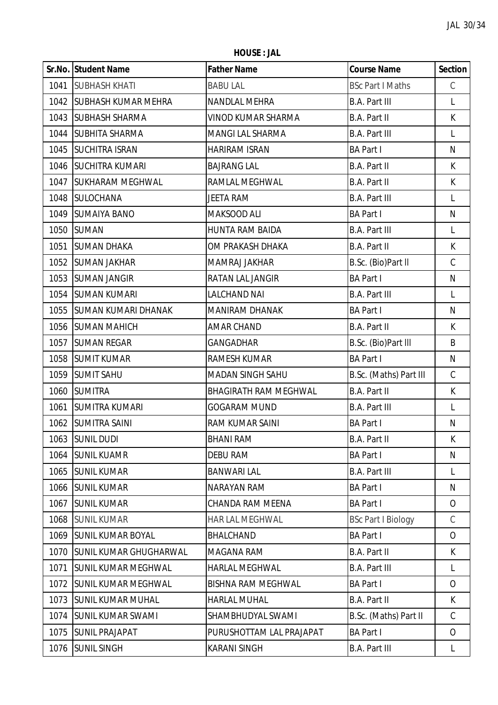**HOUSE : JAL**

|      | Sr.No. Student Name           | <b>Father Name</b>           | <b>Course Name</b>        | <b>Section</b> |
|------|-------------------------------|------------------------------|---------------------------|----------------|
| 1041 | <b>SUBHASH KHATI</b>          | <b>BABU LAL</b>              | <b>BSc Part I Maths</b>   | $\mathsf C$    |
|      | 1042 SUBHASH KUMAR MEHRA      | NANDLAL MEHRA                | <b>B.A. Part III</b>      | L              |
| 1043 | <b>SUBHASH SHARMA</b>         | VINOD KUMAR SHARMA           | B.A. Part II              | K              |
|      | 1044 SUBHITA SHARMA           | MANGI LAL SHARMA             | <b>B.A. Part III</b>      | L              |
|      | 1045 SUCHITRA ISRAN           | <b>HARIRAM ISRAN</b>         | <b>BA Part I</b>          | N              |
|      | 1046   SUCHITRA KUMARI        | <b>BAJRANG LAL</b>           | <b>B.A. Part II</b>       | K              |
| 1047 | <b>SUKHARAM MEGHWAL</b>       | RAMLAL MEGHWAL               | B.A. Part II              | K              |
|      | 1048 SULOCHANA                | JEETA RAM                    | <b>B.A. Part III</b>      | L              |
|      | 1049 SUMAIYA BANO             | MAKSOOD ALI                  | <b>BA Part I</b>          | N              |
|      | 1050 SUMAN                    | <b>HUNTA RAM BAIDA</b>       | <b>B.A. Part III</b>      | L              |
| 1051 | <b>SUMAN DHAKA</b>            | OM PRAKASH DHAKA             | <b>B.A. Part II</b>       | K              |
| 1052 | <b>SUMAN JAKHAR</b>           | MAMRAJ JAKHAR                | B.Sc. (Bio)Part II        | $\mathsf C$    |
| 1053 | <b>SUMAN JANGIR</b>           | RATAN LAL JANGIR             | <b>BA Part I</b>          | N              |
|      | 1054 SUMAN KUMARI             | <b>LALCHAND NAI</b>          | <b>B.A. Part III</b>      | L              |
| 1055 | <b>SUMAN KUMARI DHANAK</b>    | <b>MANIRAM DHANAK</b>        | <b>BA Part I</b>          | N              |
|      | 1056 SUMAN MAHICH             | <b>AMAR CHAND</b>            | <b>B.A. Part II</b>       | K              |
| 1057 | <b>SUMAN REGAR</b>            | <b>GANGADHAR</b>             | B.Sc. (Bio)Part III       | B              |
|      | 1058 SUMIT KUMAR              | RAMESH KUMAR                 | <b>BA Part I</b>          | N              |
|      | 1059 SUMIT SAHU               | MADAN SINGH SAHU             | B.Sc. (Maths) Part III    | $\mathsf C$    |
|      | 1060 SUMITRA                  | <b>BHAGIRATH RAM MEGHWAL</b> | <b>B.A. Part II</b>       | K              |
| 1061 | <b>SUMITRA KUMARI</b>         | <b>GOGARAM MUND</b>          | <b>B.A. Part III</b>      | L              |
|      | 1062 SUMITRA SAINI            | RAM KUMAR SAINI              | <b>BA Part I</b>          | Ν              |
|      | 1063 SUNIL DUDI               | <b>BHANI RAM</b>             | B.A. Part II              | K              |
| 1064 | <b>SUNIL KUAMR</b>            | <b>DEBU RAM</b>              | <b>BA Part I</b>          | N              |
| 1065 | <b>SUNIL KUMAR</b>            | <b>BANWARI LAL</b>           | <b>B.A. Part III</b>      | L              |
| 1066 | <b>SUNIL KUMAR</b>            | NARAYAN RAM                  | <b>BA Part I</b>          | N              |
| 1067 | <b>SUNIL KUMAR</b>            | <b>CHANDA RAM MEENA</b>      | <b>BA Part I</b>          | $\overline{O}$ |
| 1068 | <b>SUNIL KUMAR</b>            | HAR LAL MEGHWAL              | <b>BSc Part I Biology</b> | $\mathcal{C}$  |
| 1069 | <b>SUNIL KUMAR BOYAL</b>      | BHALCHAND                    | <b>BA Part I</b>          | $\overline{O}$ |
| 1070 | <b>SUNIL KUMAR GHUGHARWAL</b> | MAGANA RAM                   | <b>B.A. Part II</b>       | K              |
| 1071 | <b>SUNIL KUMAR MEGHWAL</b>    | <b>HARLAL MEGHWAL</b>        | <b>B.A. Part III</b>      | L              |
| 1072 | <b>SUNIL KUMAR MEGHWAL</b>    | <b>BISHNA RAM MEGHWAL</b>    | <b>BA Part I</b>          | $\overline{O}$ |
| 1073 | <b>SUNIL KUMAR MUHAL</b>      | <b>HARLAL MUHAL</b>          | <b>B.A. Part II</b>       | K              |
| 1074 | <b>SUNIL KUMAR SWAMI</b>      | SHAMBHUDYAL SWAMI            | B.Sc. (Maths) Part II     | $\mathsf C$    |
| 1075 | <b>SUNIL PRAJAPAT</b>         | PURUSHOTTAM LAL PRAJAPAT     | <b>BA Part I</b>          | $\overline{O}$ |
| 1076 | <b>SUNIL SINGH</b>            | <b>KARANI SINGH</b>          | <b>B.A. Part III</b>      | L              |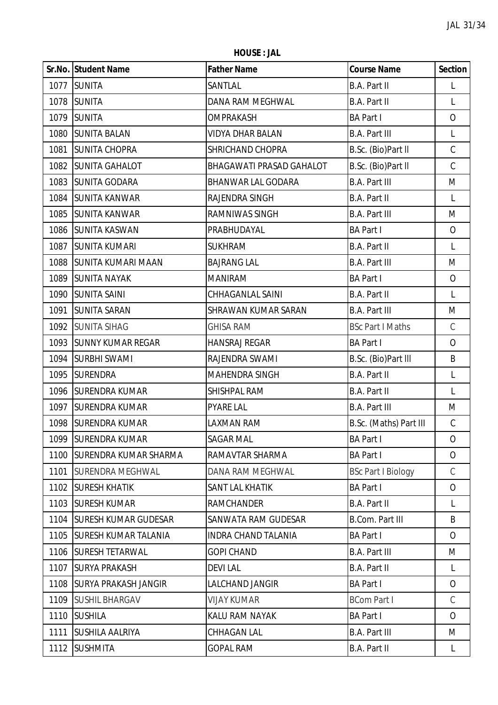**HOUSE : JAL**

|      | Sr.No. Student Name          | <b>Father Name</b>        | <b>Course Name</b>        | <b>Section</b> |
|------|------------------------------|---------------------------|---------------------------|----------------|
| 1077 | <b>SUNITA</b>                | SANTLAL                   | B.A. Part II              | L              |
| 1078 | <b>SUNITA</b>                | DANA RAM MEGHWAL          | B.A. Part II              | L              |
| 1079 | <b>SUNITA</b>                | OMPRAKASH                 | <b>BA Part I</b>          | 0              |
| 1080 | <b>SUNITA BALAN</b>          | VIDYA DHAR BALAN          | <b>B.A. Part III</b>      | L              |
| 1081 | <b>SUNITA CHOPRA</b>         | SHRICHAND CHOPRA          | B.Sc. (Bio)Part II        | $\mathsf C$    |
| 1082 | <b>SUNITA GAHALOT</b>        | BHAGAWATI PRASAD GAHALOT  | B.Sc. (Bio)Part II        | $\mathsf C$    |
| 1083 | <b>SUNITA GODARA</b>         | <b>BHANWAR LAL GODARA</b> | <b>B.A. Part III</b>      | M              |
| 1084 | <b>SUNITA KANWAR</b>         | RAJENDRA SINGH            | <b>B.A. Part II</b>       | L              |
| 1085 | <b>SUNITA KANWAR</b>         | RAMNIWAS SINGH            | <b>B.A. Part III</b>      | M              |
| 1086 | <b>SUNITA KASWAN</b>         | PRABHUDAYAL               | <b>BA Part I</b>          | $\overline{O}$ |
| 1087 | <b>SUNITA KUMARI</b>         | <b>SUKHRAM</b>            | B.A. Part II              | L              |
| 1088 | <b>SUNITA KUMARI MAAN</b>    | <b>BAJRANG LAL</b>        | <b>B.A. Part III</b>      | M              |
| 1089 | <b>SUNITA NAYAK</b>          | <b>MANIRAM</b>            | <b>BA Part I</b>          | $\overline{O}$ |
| 1090 | <b>SUNITA SAINI</b>          | CHHAGANLAL SAINI          | B.A. Part II              | L              |
| 1091 | <b>SUNITA SARAN</b>          | SHRAWAN KUMAR SARAN       | <b>B.A. Part III</b>      | M              |
| 1092 | <b>SUNITA SIHAG</b>          | <b>GHISA RAM</b>          | <b>BSc Part I Maths</b>   | C              |
| 1093 | <b>SUNNY KUMAR REGAR</b>     | <b>HANSRAJ REGAR</b>      | <b>BA Part I</b>          | $\overline{O}$ |
| 1094 | <b>SURBHI SWAMI</b>          | RAJENDRA SWAMI            | B.Sc. (Bio)Part III       | B              |
| 1095 | <b>SURENDRA</b>              | <b>MAHENDRA SINGH</b>     | B.A. Part II              | L              |
| 1096 | <b>SURENDRA KUMAR</b>        | SHISHPAL RAM              | <b>B.A. Part II</b>       | L              |
| 1097 | <b>SURENDRA KUMAR</b>        | <b>PYARE LAL</b>          | <b>B.A. Part III</b>      | M              |
| 1098 | <b>SURENDRA KUMAR</b>        | LAXMAN RAM                | B.Sc. (Maths) Part III    | C              |
| 1099 | <b>SURENDRA KUMAR</b>        | <b>SAGAR MAL</b>          | <b>BA Part I</b>          | 0              |
| 1100 | <b>SURENDRA KUMAR SHARMA</b> | RAMAVTAR SHARMA           | <b>BA Part I</b>          | $\overline{O}$ |
| 1101 | <b>SURENDRA MEGHWAL</b>      | DANA RAM MEGHWAL          | <b>BSc Part I Biology</b> | $\mathcal{C}$  |
| 1102 | <b>SURESH KHATIK</b>         | SANT LAL KHATIK           | <b>BA Part I</b>          | 0              |
| 1103 | <b>SURESH KUMAR</b>          | <b>RAMCHANDER</b>         | B.A. Part II              | L              |
| 1104 | <b>SURESH KUMAR GUDESAR</b>  | SANWATA RAM GUDESAR       | <b>B.Com. Part III</b>    | B              |
| 1105 | <b>SURESH KUMAR TALANIA</b>  | INDRA CHAND TALANIA       | <b>BA Part I</b>          | $\overline{O}$ |
| 1106 | <b>SURESH TETARWAL</b>       | <b>GOPI CHAND</b>         | <b>B.A. Part III</b>      | M              |
| 1107 | <b>SURYA PRAKASH</b>         | <b>DEVILAL</b>            | <b>B.A. Part II</b>       | L              |
| 1108 | <b>SURYA PRAKASH JANGIR</b>  | LALCHAND JANGIR           | <b>BA Part I</b>          | $\overline{O}$ |
| 1109 | <b>SUSHIL BHARGAV</b>        | <b>VIJAY KUMAR</b>        | <b>BCom Part I</b>        | C              |
| 1110 | <b>SUSHILA</b>               | KALU RAM NAYAK            | <b>BA Part I</b>          | $\overline{O}$ |
| 1111 | <b>SUSHILA AALRIYA</b>       | CHHAGAN LAL               | <b>B.A. Part III</b>      | M              |
| 1112 | <b>SUSHMITA</b>              | <b>GOPAL RAM</b>          | B.A. Part II              | L              |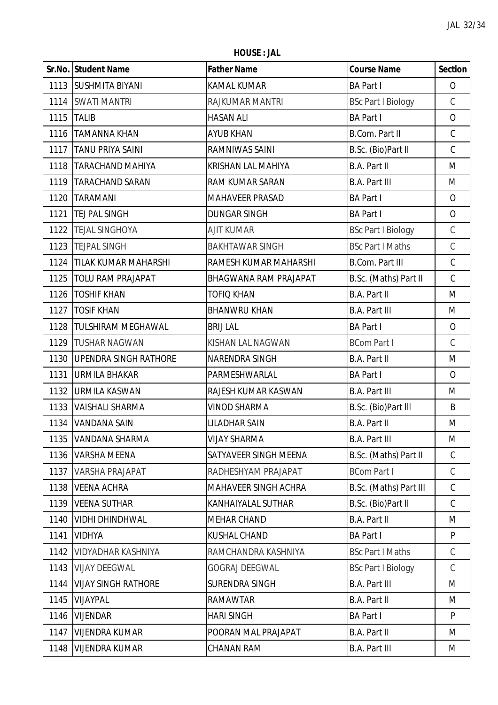**HOUSE : JAL**

|      | <b>Sr.No. Student Name</b>   | <b>Father Name</b>     | <b>Course Name</b>        | <b>Section</b> |
|------|------------------------------|------------------------|---------------------------|----------------|
| 1113 | <b>SUSHMITA BIYANI</b>       | KAMAL KUMAR            | <b>BA Part I</b>          | $\overline{O}$ |
| 1114 | <b>SWATI MANTRI</b>          | RAJKUMAR MANTRI        | <b>BSc Part I Biology</b> | $\mathcal{C}$  |
| 1115 | <b>TALIB</b>                 | <b>HASAN ALI</b>       | <b>BA Part I</b>          | $\mathbf{O}$   |
| 1116 | <b>TAMANNA KHAN</b>          | <b>AYUB KHAN</b>       | <b>B.Com. Part II</b>     | $\mathsf C$    |
| 1117 | <b>TANU PRIYA SAINI</b>      | RAMNIWAS SAINI         | B.Sc. (Bio)Part II        | $\mathsf C$    |
| 1118 | <b>TARACHAND MAHIYA</b>      | KRISHAN LAL MAHIYA     | <b>B.A. Part II</b>       | M              |
| 1119 | <b>TARACHAND SARAN</b>       | <b>RAM KUMAR SARAN</b> | <b>B.A. Part III</b>      | M              |
| 1120 | <b>TARAMANI</b>              | <b>MAHAVEER PRASAD</b> | <b>BA Part I</b>          | $\overline{O}$ |
| 1121 | TEJ PAL SINGH                | <b>DUNGAR SINGH</b>    | <b>BA Part I</b>          | $\overline{O}$ |
| 1122 | <b>TEJAL SINGHOYA</b>        | <b>AJIT KUMAR</b>      | <b>BSc Part I Biology</b> | $\mathsf C$    |
| 1123 | <b>TEJPAL SINGH</b>          | <b>BAKHTAWAR SINGH</b> | <b>BSc Part I Maths</b>   | $\mathsf C$    |
| 1124 | <b>TILAK KUMAR MAHARSHI</b>  | RAMESH KUMAR MAHARSHI  | <b>B.Com. Part III</b>    | $\mathsf C$    |
| 1125 | <b>TOLU RAM PRAJAPAT</b>     | BHAGWANA RAM PRAJAPAT  | B.Sc. (Maths) Part II     | $\mathsf C$    |
| 1126 | <b>TOSHIF KHAN</b>           | TOFIQ KHAN             | B.A. Part II              | M              |
| 1127 | <b>TOSIF KHAN</b>            | <b>BHANWRU KHAN</b>    | <b>B.A. Part III</b>      | M              |
| 1128 | TULSHIRAM MEGHAWAL           | <b>BRIJ LAL</b>        | <b>BA Part I</b>          | $\overline{O}$ |
| 1129 | <b>TUSHAR NAGWAN</b>         | KISHAN LAL NAGWAN      | <b>BCom Part I</b>        | $\mathcal{C}$  |
| 1130 | <b>UPENDRA SINGH RATHORE</b> | NARENDRA SINGH         | <b>B.A. Part II</b>       | M              |
| 1131 | <b>URMILA BHAKAR</b>         | PARMESHWARLAL          | <b>BA Part I</b>          | $\overline{O}$ |
| 1132 | <b>URMILA KASWAN</b>         | RAJESH KUMAR KASWAN    | <b>B.A. Part III</b>      | M              |
| 1133 | <b>VAISHALI SHARMA</b>       | <b>VINOD SHARMA</b>    | B.Sc. (Bio)Part III       | B              |
| 1134 | <b>VANDANA SAIN</b>          | <b>LILADHAR SAIN</b>   | <b>B.A. Part II</b>       | M              |
| 1135 | <b>VANDANA SHARMA</b>        | <b>VIJAY SHARMA</b>    | <b>B.A. Part III</b>      | M              |
| 1136 | <b>VARSHA MEENA</b>          | SATYAVEER SINGH MEENA  | B.Sc. (Maths) Part II     | $\mathcal{C}$  |
| 1137 | VARSHA PRAJAPAT              | RADHESHYAM PRAJAPAT    | <b>BCom Part I</b>        | $\mathsf C$    |
| 1138 | <b>VEENA ACHRA</b>           | MAHAVEER SINGH ACHRA   | B.Sc. (Maths) Part III    | C              |
| 1139 | <b>VEENA SUTHAR</b>          | KANHAIYALAL SUTHAR     | B.Sc. (Bio)Part II        | C              |
| 1140 | VIDHI DHINDHWAL              | <b>MEHAR CHAND</b>     | B.A. Part II              | M              |
| 1141 | <b>VIDHYA</b>                | <b>KUSHAL CHAND</b>    | <b>BA Part I</b>          | P              |
| 1142 | VIDYADHAR KASHNIYA           | RAMCHANDRA KASHNIYA    | <b>BSc Part I Maths</b>   | $\mathcal{C}$  |
| 1143 | <b>VIJAY DEEGWAL</b>         | <b>GOGRAJ DEEGWAL</b>  | <b>BSc Part I Biology</b> | C              |
| 1144 | <b>VIJAY SINGH RATHORE</b>   | SURENDRA SINGH         | <b>B.A. Part III</b>      | M              |
| 1145 | VIJAYPAL                     | <b>RAMAWTAR</b>        | B.A. Part II              | M              |
| 1146 | <b>VIJENDAR</b>              | <b>HARI SINGH</b>      | <b>BA Part I</b>          | P              |
| 1147 | <b>VIJENDRA KUMAR</b>        | POORAN MAL PRAJAPAT    | B.A. Part II              | M              |
| 1148 | <b>VIJENDRA KUMAR</b>        | CHANAN RAM             | <b>B.A. Part III</b>      | M              |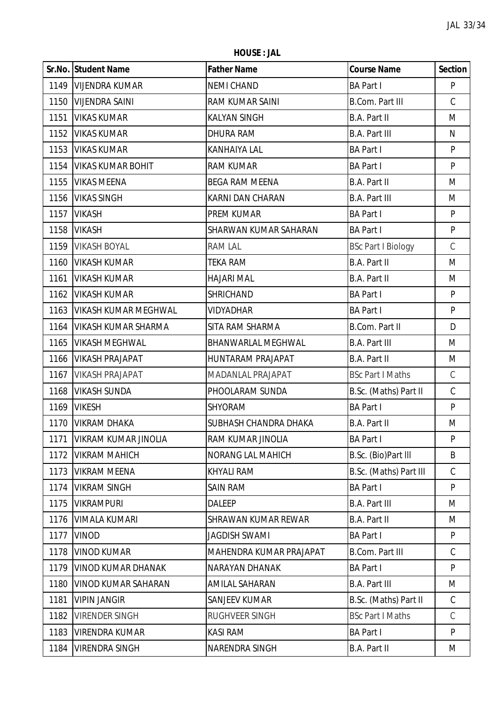**HOUSE : JAL**

|      | Sr.No. Student Name         | <b>Father Name</b>         | <b>Course Name</b>        | <b>Section</b> |
|------|-----------------------------|----------------------------|---------------------------|----------------|
|      | 1149   VIJENDRA KUMAR       | <b>NEMI CHAND</b>          | <b>BA Part I</b>          | P              |
| 1150 | <b>VIJENDRA SAINI</b>       | RAM KUMAR SAINI            | <b>B.Com. Part III</b>    | $\mathsf C$    |
| 1151 | <b>VIKAS KUMAR</b>          | <b>KALYAN SINGH</b>        | <b>B.A. Part II</b>       | M              |
| 1152 | <b>VIKAS KUMAR</b>          | <b>DHURA RAM</b>           | <b>B.A. Part III</b>      | N              |
| 1153 | <b>VIKAS KUMAR</b>          | KANHAIYA LAL               | <b>BA Part I</b>          | P              |
| 1154 | <b>VIKAS KUMAR BOHIT</b>    | <b>RAM KUMAR</b>           | <b>BA Part I</b>          | P              |
| 1155 | <b>VIKAS MEENA</b>          | <b>BEGA RAM MEENA</b>      | B.A. Part II              | M              |
| 1156 | <b>VIKAS SINGH</b>          | KARNI DAN CHARAN           | <b>B.A. Part III</b>      | M              |
| 1157 | <b>VIKASH</b>               | PREM KUMAR                 | <b>BA Part I</b>          | P              |
| 1158 | <b>VIKASH</b>               | SHARWAN KUMAR SAHARAN      | <b>BA Part I</b>          | P              |
| 1159 | <b>VIKASH BOYAL</b>         | RAM LAL                    | <b>BSc Part I Biology</b> | $\mathcal{C}$  |
| 1160 | <b>VIKASH KUMAR</b>         | <b>TEKA RAM</b>            | B.A. Part II              | M              |
| 1161 | <b>VIKASH KUMAR</b>         | <b>HAJARI MAL</b>          | <b>B.A. Part II</b>       | M              |
| 1162 | <b>VIKASH KUMAR</b>         | <b>SHRICHAND</b>           | <b>BA Part I</b>          | P              |
| 1163 | <b>VIKASH KUMAR MEGHWAL</b> | VIDYADHAR                  | <b>BA Part I</b>          | ${\sf P}$      |
| 1164 | <b>VIKASH KUMAR SHARMA</b>  | SITA RAM SHARMA            | B.Com. Part II            | D              |
| 1165 | <b>VIKASH MEGHWAL</b>       | BHANWARLAL MEGHWAL         | <b>B.A. Part III</b>      | M              |
| 1166 | <b>VIKASH PRAJAPAT</b>      | <b>HUNTARAM PRAJAPAT</b>   | B.A. Part II              | M              |
| 1167 | <b>VIKASH PRAJAPAT</b>      | MADANLAL PRAJAPAT          | <b>BSc Part I Maths</b>   | $\mathsf C$    |
| 1168 | <b>VIKASH SUNDA</b>         | PHOOLARAM SUNDA            | B.Sc. (Maths) Part II     | $\mathsf C$    |
| 1169 | <b>VIKESH</b>               | <b>SHYORAM</b>             | <b>BA Part I</b>          | P              |
| 1170 | <b>VIKRAM DHAKA</b>         | SUBHASH CHANDRA DHAKA      | B.A. Part II              | M              |
| 1171 | <b>VIKRAM KUMAR JINOLIA</b> | RAM KUMAR JINOLIA          | <b>BA Part I</b>          | P              |
| 1172 | <b>VIKRAM MAHICH</b>        | <b>NORANG LAL MAHICH</b>   | B.Sc. (Bio)Part III       | B              |
| 1173 | <b>VIKRAM MEENA</b>         | <b>KHYALI RAM</b>          | B.Sc. (Maths) Part III    | $\mathcal{C}$  |
| 1174 | <b>VIKRAM SINGH</b>         | <b>SAIN RAM</b>            | <b>BA Part I</b>          | P              |
| 1175 | <b>VIKRAMPURI</b>           | DALEEP                     | <b>B.A. Part III</b>      | M              |
| 1176 | <b>VIMALA KUMARI</b>        | <b>SHRAWAN KUMAR REWAR</b> | B.A. Part II              | M              |
| 1177 | <b>VINOD</b>                | JAGDISH SWAMI              | <b>BA Part I</b>          | P              |
| 1178 | <b>VINOD KUMAR</b>          | MAHENDRA KUMAR PRAJAPAT    | <b>B.Com. Part III</b>    | $\mathcal{C}$  |
| 1179 | <b>VINOD KUMAR DHANAK</b>   | NARAYAN DHANAK             | <b>BA Part I</b>          | P              |
| 1180 | <b>VINOD KUMAR SAHARAN</b>  | AMILAL SAHARAN             | <b>B.A. Part III</b>      | M              |
| 1181 | <b>VIPIN JANGIR</b>         | <b>SANJEEV KUMAR</b>       | B.Sc. (Maths) Part II     | C              |
| 1182 | <b>VIRENDER SINGH</b>       | RUGHVEER SINGH             | <b>BSc Part I Maths</b>   | $\mathbb{C}$   |
| 1183 | <b>VIRENDRA KUMAR</b>       | KASI RAM                   | <b>BA Part I</b>          | P              |
| 1184 | <b>VIRENDRA SINGH</b>       | NARENDRA SINGH             | <b>B.A. Part II</b>       | M              |